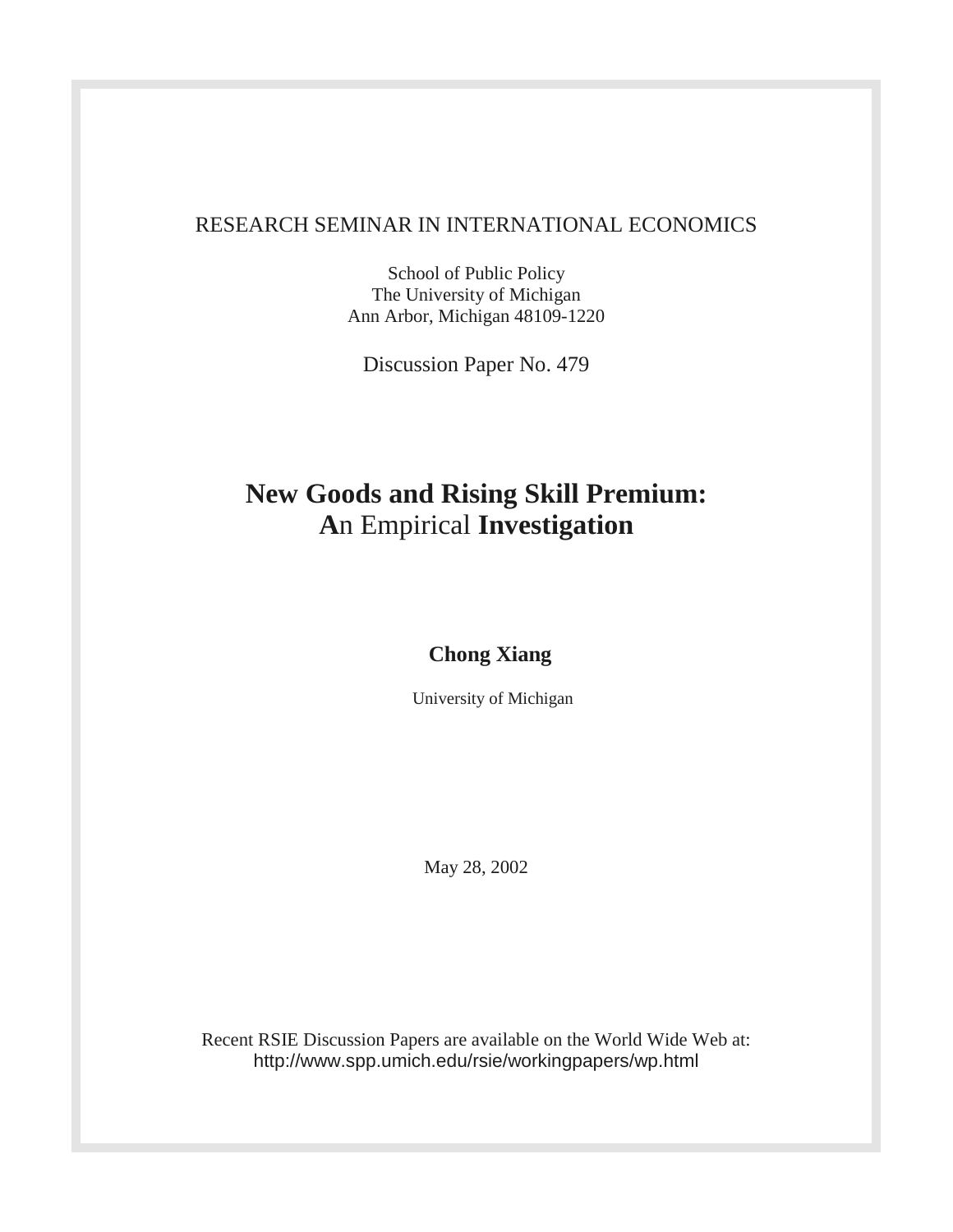# RESEARCH SEMINAR IN INTERNATIONAL ECONOMICS

School of Public Policy The University of Michigan Ann Arbor, Michigan 48109-1220

Discussion Paper No. 479

# **New Goods and Rising Skill Premium: A**n Empirical **Investigation**

# **Chong Xiang**

University of Michigan

May 28, 2002

Recent RSIE Discussion Papers are available on the World Wide Web at: http://www.spp.umich.edu/rsie/workingpapers/wp.html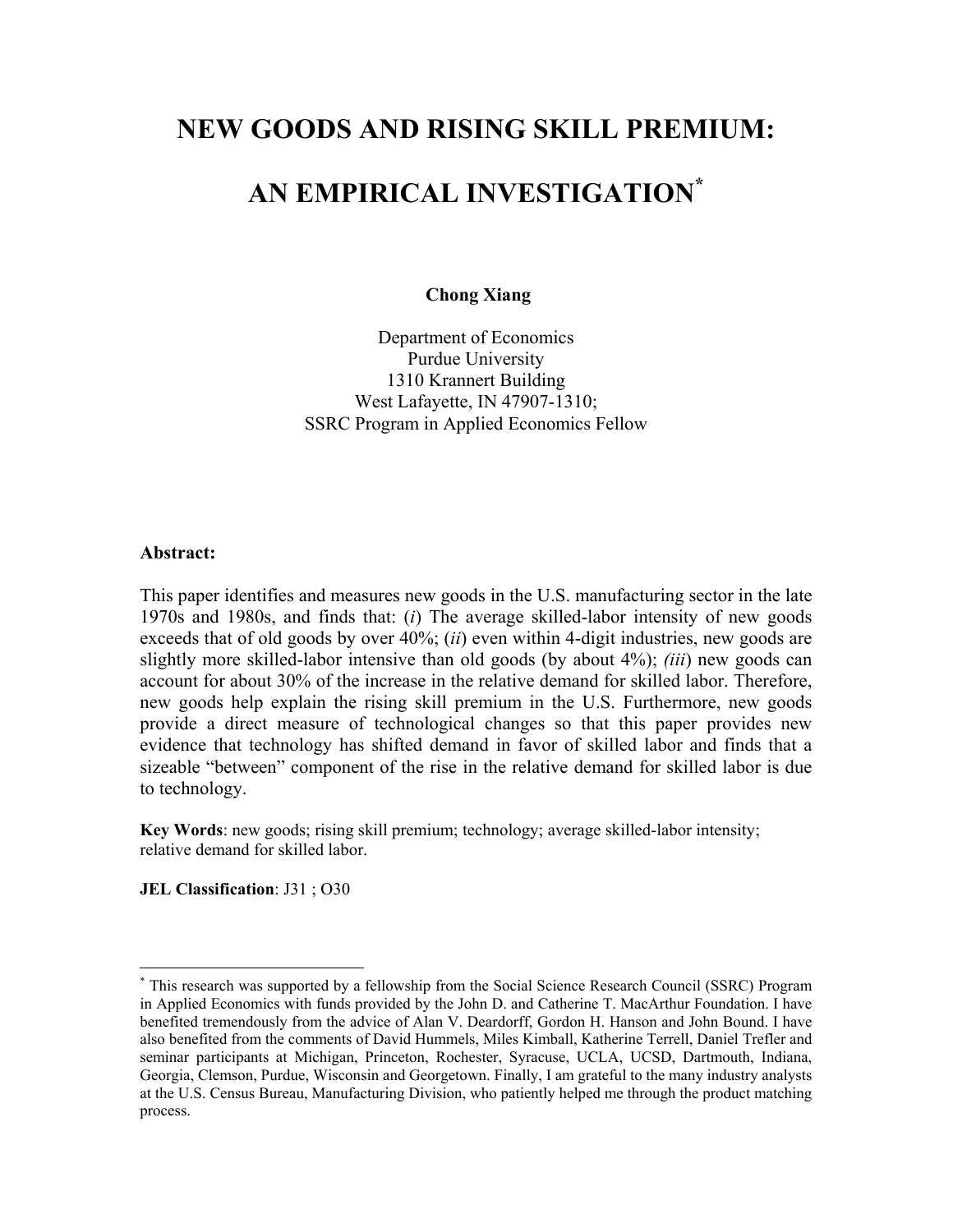# **NEW GOODS AND RISING SKILL PREMIUM:**

# **AN EMPIRICAL INVESTIGATION[\\*](#page-1-0)**

 **Chong Xiang** 

Department of Economics Purdue University 1310 Krannert Building West Lafayette, IN 47907-1310; SSRC Program in Applied Economics Fellow

## **Abstract:**

This paper identifies and measures new goods in the U.S. manufacturing sector in the late 1970s and 1980s, and finds that: (*i*) The average skilled-labor intensity of new goods exceeds that of old goods by over 40%; (*ii*) even within 4-digit industries, new goods are slightly more skilled-labor intensive than old goods (by about 4%); *(iii*) new goods can account for about 30% of the increase in the relative demand for skilled labor. Therefore, new goods help explain the rising skill premium in the U.S. Furthermore, new goods provide a direct measure of technological changes so that this paper provides new evidence that technology has shifted demand in favor of skilled labor and finds that a sizeable "between" component of the rise in the relative demand for skilled labor is due to technology.

**Key Words**: new goods; rising skill premium; technology; average skilled-labor intensity; relative demand for skilled labor.

**JEL Classification**: J31 ; O30

<span id="page-1-0"></span><sup>\*</sup> This research was supported by a fellowship from the Social Science Research Council (SSRC) Program in Applied Economics with funds provided by the John D. and Catherine T. MacArthur Foundation. I have benefited tremendously from the advice of Alan V. Deardorff, Gordon H. Hanson and John Bound. I have also benefited from the comments of David Hummels, Miles Kimball, Katherine Terrell, Daniel Trefler and seminar participants at Michigan, Princeton, Rochester, Syracuse, UCLA, UCSD, Dartmouth, Indiana, Georgia, Clemson, Purdue, Wisconsin and Georgetown. Finally, I am grateful to the many industry analysts at the U.S. Census Bureau, Manufacturing Division, who patiently helped me through the product matching process.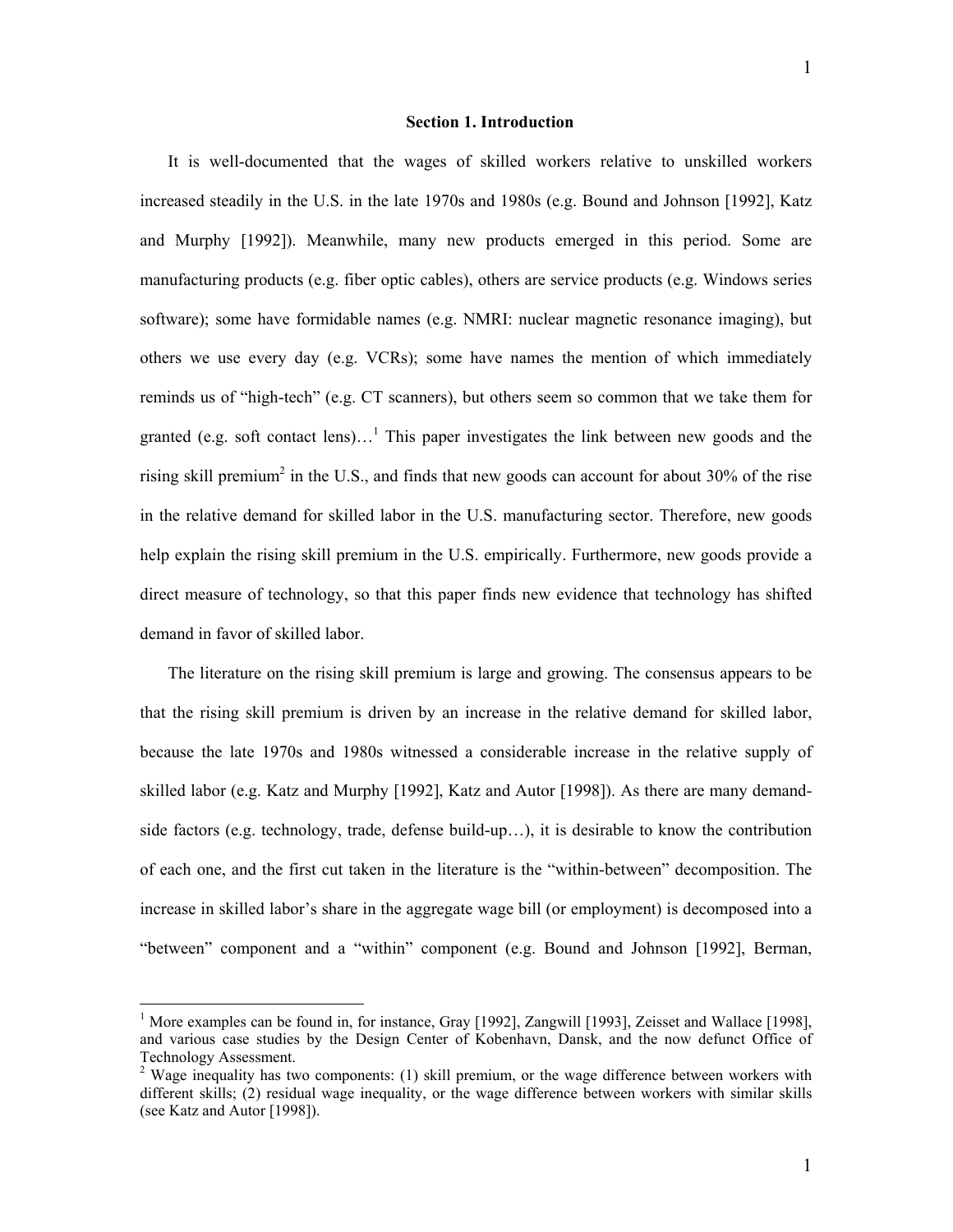#### **Section 1. Introduction**

It is well-documented that the wages of skilled workers relative to unskilled workers increased steadily in the U.S. in the late 1970s and 1980s (e.g. Bound and Johnson [1992], Katz and Murphy [1992]). Meanwhile, many new products emerged in this period. Some are manufacturing products (e.g. fiber optic cables), others are service products (e.g. Windows series software); some have formidable names (e.g. NMRI: nuclear magnetic resonance imaging), but others we use every day (e.g. VCRs); some have names the mention of which immediately reminds us of "high-tech" (e.g. CT scanners), but others seem so common that we take them for granted (e.g. soft contact lens)...<sup>[1](#page-2-0)</sup> This paper investigates the link between new goods and the rising skill premium<sup>[2](#page-2-1)</sup> in the U.S., and finds that new goods can account for about 30% of the rise in the relative demand for skilled labor in the U.S. manufacturing sector. Therefore, new goods help explain the rising skill premium in the U.S. empirically. Furthermore, new goods provide a direct measure of technology, so that this paper finds new evidence that technology has shifted demand in favor of skilled labor.

The literature on the rising skill premium is large and growing. The consensus appears to be that the rising skill premium is driven by an increase in the relative demand for skilled labor, because the late 1970s and 1980s witnessed a considerable increase in the relative supply of skilled labor (e.g. Katz and Murphy [1992], Katz and Autor [1998]). As there are many demandside factors (e.g. technology, trade, defense build-up…), it is desirable to know the contribution of each one, and the first cut taken in the literature is the "within-between" decomposition. The increase in skilled labor's share in the aggregate wage bill (or employment) is decomposed into a "between" component and a "within" component (e.g. Bound and Johnson [1992], Berman,

<span id="page-2-0"></span><sup>&</sup>lt;sup>1</sup> More examples can be found in, for instance, Gray [1992], Zangwill [1993], Zeisset and Wallace [1998], and various case studies by the Design Center of Kobenhavn, Dansk, and the now defunct Office of Technology Assessment. 2

<span id="page-2-1"></span><sup>&</sup>lt;sup>2</sup> Wage inequality has two components: (1) skill premium, or the wage difference between workers with different skills; (2) residual wage inequality, or the wage difference between workers with similar skills (see Katz and Autor [1998]).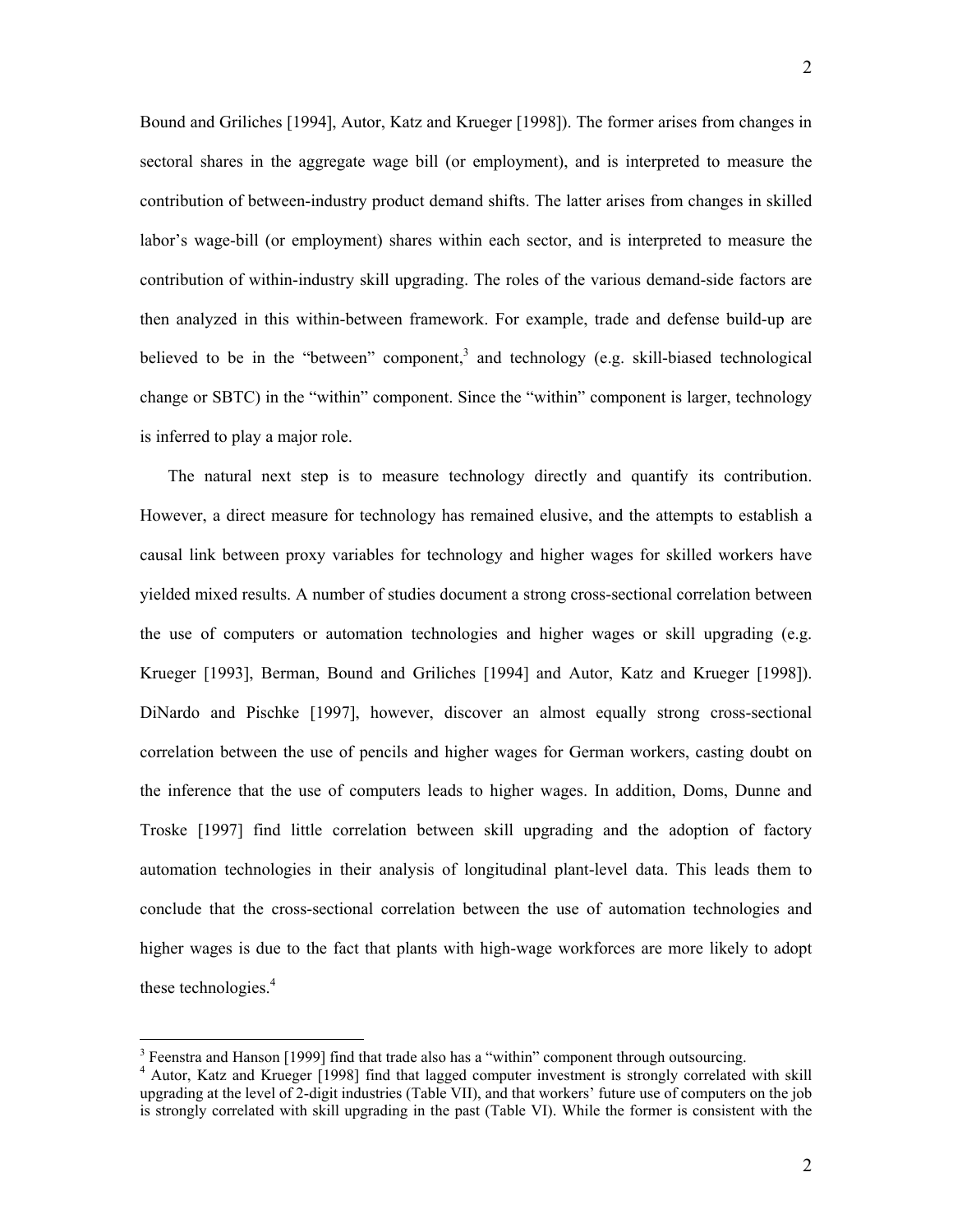<span id="page-3-1"></span>Bound and Griliches [1994], Autor, Katz and Krueger [1998]). The former arises from changes in sectoral shares in the aggregate wage bill (or employment), and is interpreted to measure the contribution of between-industry product demand shifts. The latter arises from changes in skilled labor's wage-bill (or employment) shares within each sector, and is interpreted to measure the contribution of within-industry skill upgrading. The roles of the various demand-side factors are then analyzed in this within-between framework. For example, trade and defense build-up are believed to be in the "between" component, and technology (e.g. skill-biased technological change or SBTC) in the "within" component. Since the "within" component is larger, technology is inferred to play a major role.

The natural next step is to measure technology directly and quantify its contribution. However, a direct measure for technology has remained elusive, and the attempts to establish a causal link between proxy variables for technology and higher wages for skilled workers have yielded mixed results. A number of studies document a strong cross-sectional correlation between the use of computers or automation technologies and higher wages or skill upgrading (e.g. Krueger [1993], Berman, Bound and Griliches [1994] and Autor, Katz and Krueger [1998]). DiNardo and Pischke [1997], however, discover an almost equally strong cross-sectional correlation between the use of pencils and higher wages for German workers, casting doubt on the inference that the use of computers leads to higher wages. In addition, Doms, Dunne and Troske [1997] find little correlation between skill upgrading and the adoption of factory automation technologies in their analysis of longitudinal plant-level data. This leads them to conclude that the cross-sectional correlation between the use of automation technologies and higher wages is due to the fact that plants with high-wage workforces are more likely to adopt thesetechnologies.<sup>4</sup>

<span id="page-3-0"></span><sup>&</sup>lt;sup>3</sup> Feenstra and Hanson [1999] find that trade also has a "within" component through outsourcing.<br> $\frac{4}{3}$  Autor. Ketz and Krugger [1008] find that lagged computer investment is strongly correlated.

<sup>&</sup>lt;sup>4</sup> Autor, Katz and Krueger [1998] find that lagged computer investment is strongly correlated with skill upgrading at the level of 2-digit industries (Table VII), and that workers' future use of computers on the job is strongly correlated with skill upgrading in the past (Table VI). While the former is consistent with the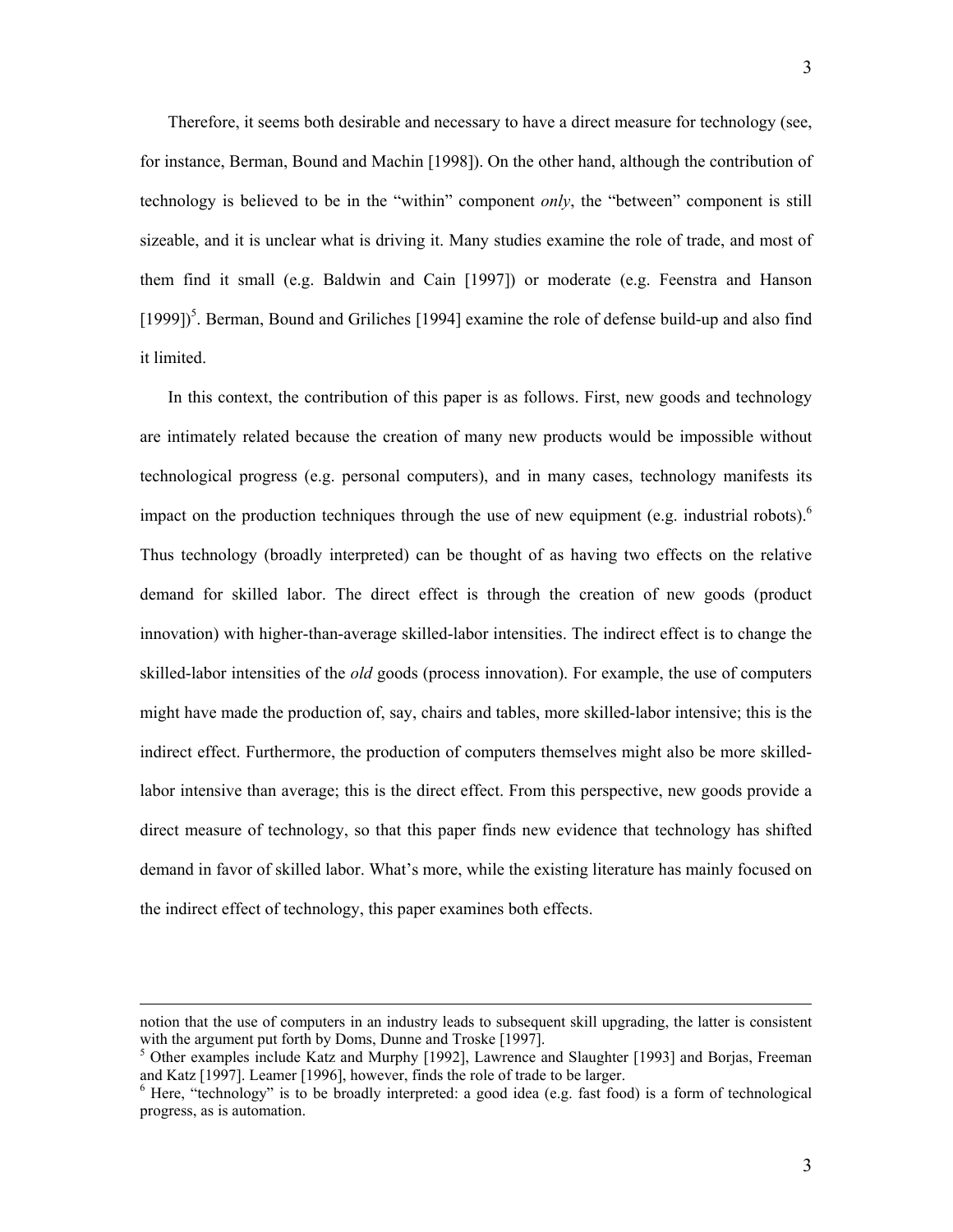Therefore, it seems both desirable and necessary to have a direct measure for technology (see, for instance, Berman, Bound and Machin [1998]). On the other hand, although the contribution of technology is believed to be in the "within" component *only*, the "between" component is still sizeable, and it is unclear what is driving it. Many studies examine the role of trade, and most of them find it small (e.g. Baldwin and Cain [1997]) or moderate (e.g. Feenstra and Hanson [1999])<sup>5</sup>[.](#page-4-0) Berman, Bound and Griliches [1994] examine the role of defense build-up and also find it limited.

In this context, the contribution of this paper is as follows. First, new goods and technology are intimately related because the creation of many new products would be impossible without technological progress (e.g. personal computers), and in many cases, technology manifests its impact on the production techniques through the use of new equipment (e.g. industrial robots).<sup>[6](#page-4-1)</sup> Thus technology (broadly interpreted) can be thought of as having two effects on the relative demand for skilled labor. The direct effect is through the creation of new goods (product innovation) with higher-than-average skilled-labor intensities. The indirect effect is to change the skilled-labor intensities of the *old* goods (process innovation). For example, the use of computers might have made the production of, say, chairs and tables, more skilled-labor intensive; this is the indirect effect. Furthermore, the production of computers themselves might also be more skilledlabor intensive than average; this is the direct effect. From this perspective, new goods provide a direct measure of technology, so that this paper finds new evidence that technology has shifted demand in favor of skilled labor. What's more, while the existing literature has mainly focused on the indirect effect of technology, this paper examines both effects.

notion that the use of computers in an industry leads to subsequent skill upgrading, the latter is consistent with the argument put forth by Doms, Dunne and Troske [1997].

<span id="page-4-0"></span> $<sup>5</sup>$  Other examples include Katz and Murphy [1992], Lawrence and Slaughter [1993] and Borjas, Freeman and Katz [1997]. Leamer [1996], however, finds the role of trade to be larger.</sup>

<span id="page-4-1"></span> $6$  Here, "technology" is to be broadly interpreted: a good idea (e.g. fast food) is a form of technological progress, as is automation.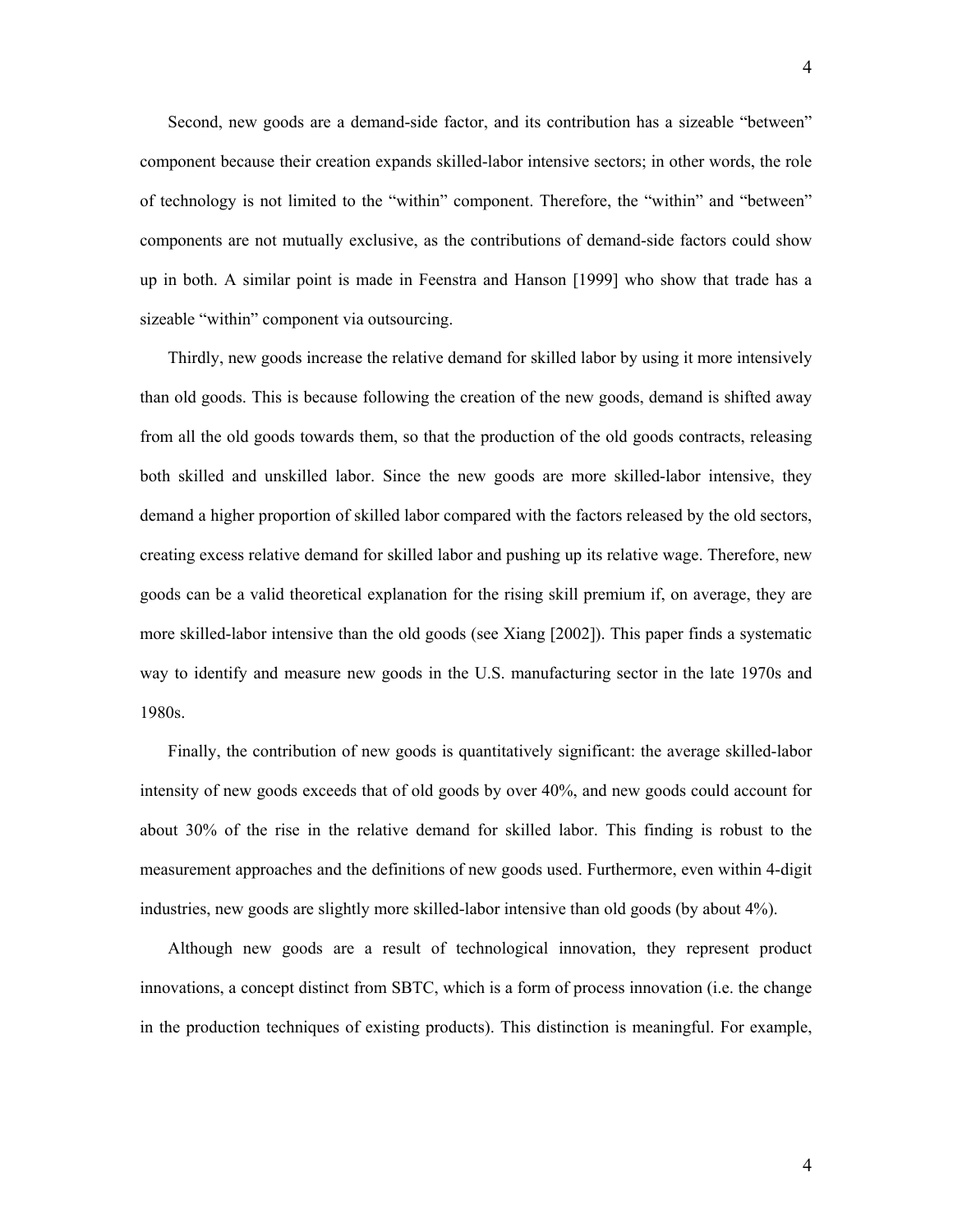Second, new goods are a demand-side factor, and its contribution has a sizeable "between" component because their creation expands skilled-labor intensive sectors; in other words, the role of technology is not limited to the "within" component. Therefore, the "within" and "between" components are not mutually exclusive, as the contributions of demand-side factors could show up in both. A similar point is made in Feenstra and Hanson [1999] who show that trade has a sizeable "within" component via outsourcing.

Thirdly, new goods increase the relative demand for skilled labor by using it more intensively than old goods. This is because following the creation of the new goods, demand is shifted away from all the old goods towards them, so that the production of the old goods contracts, releasing both skilled and unskilled labor. Since the new goods are more skilled-labor intensive, they demand a higher proportion of skilled labor compared with the factors released by the old sectors, creating excess relative demand for skilled labor and pushing up its relative wage. Therefore, new goods can be a valid theoretical explanation for the rising skill premium if, on average, they are more skilled-labor intensive than the old goods (see Xiang [2002]). This paper finds a systematic way to identify and measure new goods in the U.S. manufacturing sector in the late 1970s and 1980s.

Finally, the contribution of new goods is quantitatively significant: the average skilled-labor intensity of new goods exceeds that of old goods by over 40%, and new goods could account for about 30% of the rise in the relative demand for skilled labor. This finding is robust to the measurement approaches and the definitions of new goods used. Furthermore, even within 4-digit industries, new goods are slightly more skilled-labor intensive than old goods (by about 4%).

Although new goods are a result of technological innovation, they represent product innovations, a concept distinct from SBTC, which is a form of process innovation (i.e. the change in the production techniques of existing products). This distinction is meaningful. For example,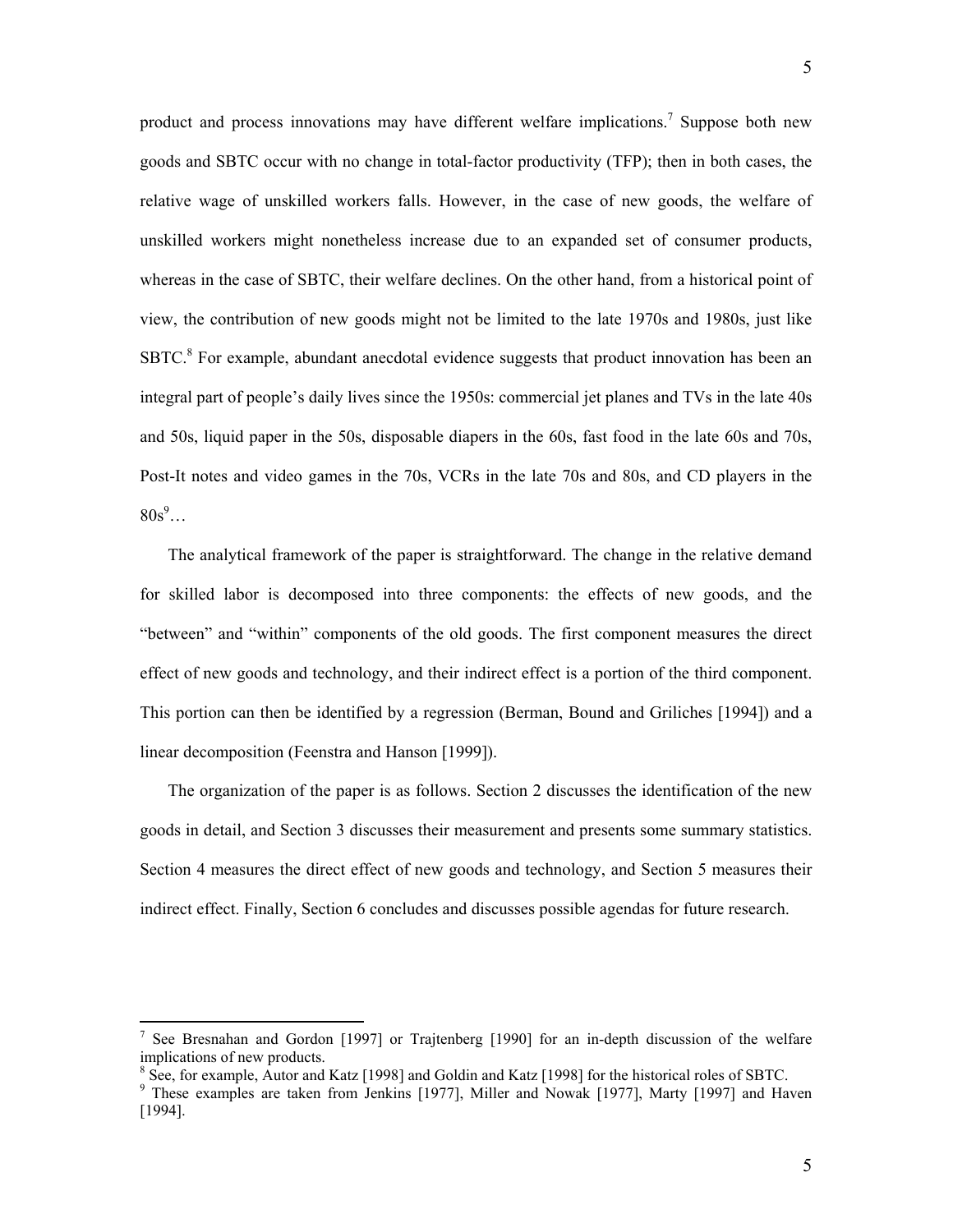product and process innovations may have different welfare implications.<sup>7</sup> Suppose both new goods and SBTC occur with no change in total-factor productivity (TFP); then in both cases, the relative wage of unskilled workers falls. However, in the case of new goods, the welfare of unskilled workers might nonetheless increase due to an expanded set of consumer products, whereas in the case of SBTC, their welfare declines. On the other hand, from a historical point of view, the contribution of new goods might not be limited to the late 1970s and 1980s, just like SBTC.<sup>[8](#page-6-1)</sup> For example, abundant anecdotal evidence suggests that product innovation has been an integral part of people's daily lives since the 1950s: commercial jet planes and TVs in the late 40s and 50s, liquid paper in the 50s, disposable diapers in the 60s, fast food in the late 60s and 70s, Post-It notes and video games in the 70s, VCRs in the late 70s and 80s, and CD players in the  $80s^9...$ 

The analytical framework of the paper is straightforward. The change in the relative demand for skilled labor is decomposed into three components: the effects of new goods, and the "between" and "within" components of the old goods. The first component measures the direct effect of new goods and technology, and their indirect effect is a portion of the third component. This portion can then be identified by a regression (Berman, Bound and Griliches [1994]) and a linear decomposition (Feenstra and Hanson [1999]).

The organization of the paper is as follows. Section 2 discusses the identification of the new goods in detail, and Section 3 discusses their measurement and presents some summary statistics. Section 4 measures the direct effect of new goods and technology, and Section 5 measures their indirect effect. Finally, Section 6 concludes and discusses possible agendas for future research.

<span id="page-6-0"></span><sup>&</sup>lt;sup>7</sup> See Bresnahan and Gordon [1997] or Trajtenberg [1990] for an in-depth discussion of the welfare implications of new products.<br><sup>8</sup> See, for example, Autor and Katz [1998] and Goldin and Katz [1998] for the historical roles of SBTC.

<span id="page-6-2"></span><span id="page-6-1"></span>

<sup>&</sup>lt;sup>8</sup> See, for example, Autor and Katz [1998] and Goldin and Katz [1998] for the historical roles of SBTC.<br><sup>9</sup> These examples are taken from Jenkins [1977], Miller and Nowak [1977], Marty [1997] and Haven [1994].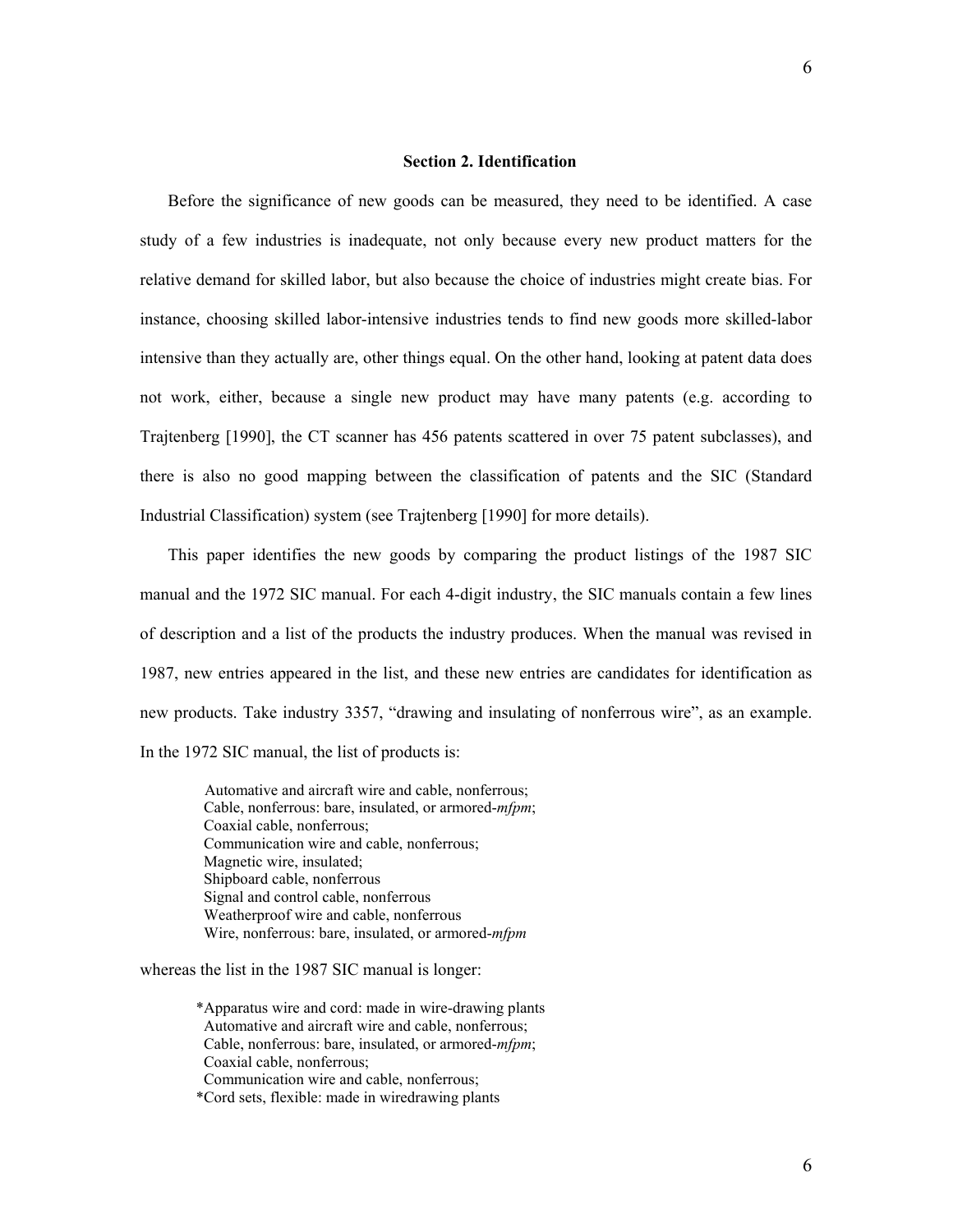#### **Section 2. Identification**

Before the significance of new goods can be measured, they need to be identified. A case study of a few industries is inadequate, not only because every new product matters for the relative demand for skilled labor, but also because the choice of industries might create bias. For instance, choosing skilled labor-intensive industries tends to find new goods more skilled-labor intensive than they actually are, other things equal. On the other hand, looking at patent data does not work, either, because a single new product may have many patents (e.g. according to Trajtenberg [1990], the CT scanner has 456 patents scattered in over 75 patent subclasses), and there is also no good mapping between the classification of patents and the SIC (Standard Industrial Classification) system (see Trajtenberg [1990] for more details).

This paper identifies the new goods by comparing the product listings of the 1987 SIC manual and the 1972 SIC manual. For each 4-digit industry, the SIC manuals contain a few lines of description and a list of the products the industry produces. When the manual was revised in 1987, new entries appeared in the list, and these new entries are candidates for identification as new products. Take industry 3357, "drawing and insulating of nonferrous wire", as an example. In the 1972 SIC manual, the list of products is:

 Automative and aircraft wire and cable, nonferrous; Cable, nonferrous: bare, insulated, or armored-*mfpm*; Coaxial cable, nonferrous; Communication wire and cable, nonferrous; Magnetic wire, insulated; Shipboard cable, nonferrous Signal and control cable, nonferrous Weatherproof wire and cable, nonferrous Wire, nonferrous: bare, insulated, or armored-*mfpm* 

whereas the list in the 1987 SIC manual is longer:

\*Apparatus wire and cord: made in wire-drawing plants Automative and aircraft wire and cable, nonferrous; Cable, nonferrous: bare, insulated, or armored-*mfpm*; Coaxial cable, nonferrous; Communication wire and cable, nonferrous;

\*Cord sets, flexible: made in wiredrawing plants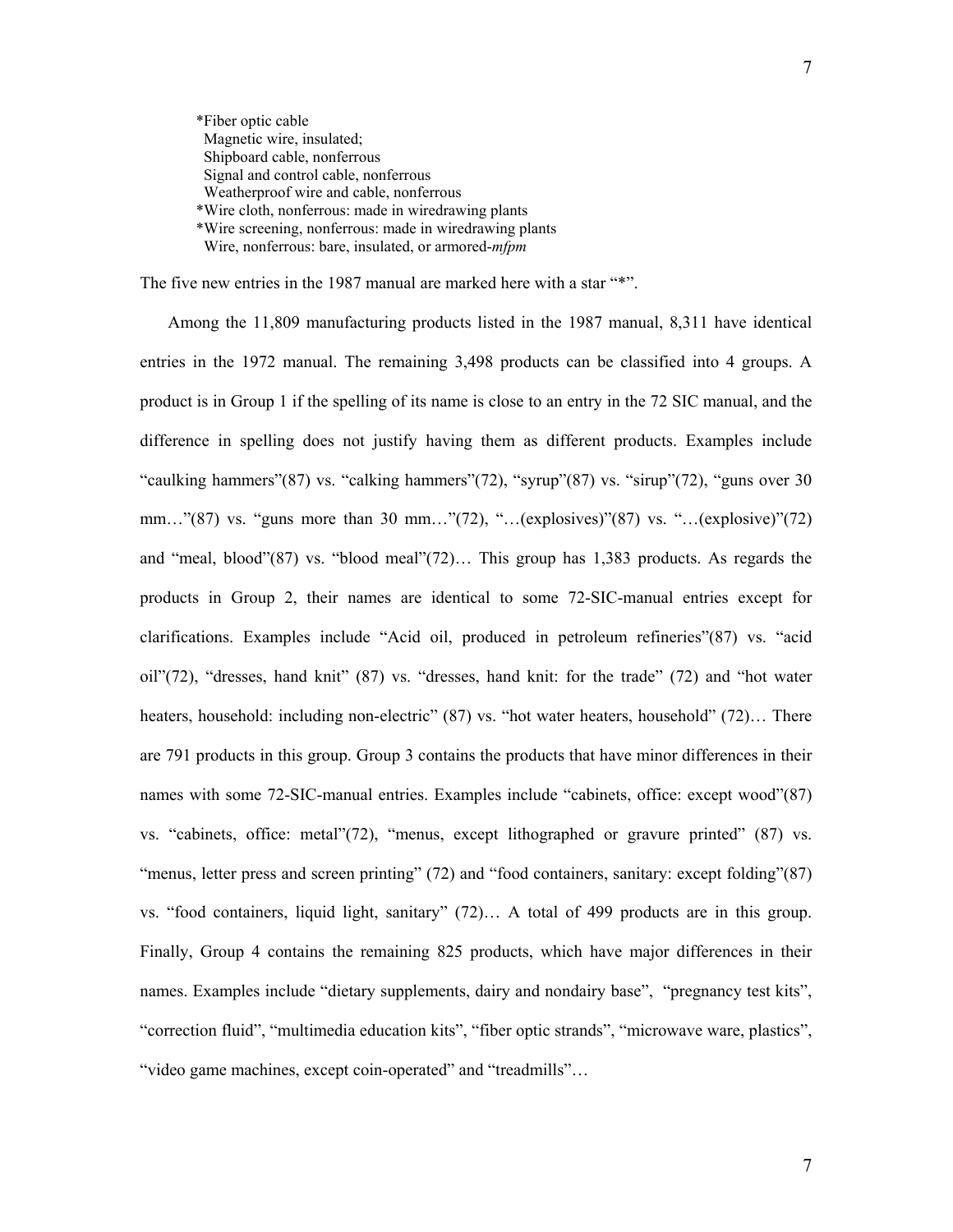\*Fiber optic cable Magnetic wire, insulated; Shipboard cable, nonferrous Signal and control cable, nonferrous Weatherproof wire and cable, nonferrous \*Wire cloth, nonferrous: made in wiredrawing plants \*Wire screening, nonferrous: made in wiredrawing plants Wire, nonferrous: bare, insulated, or armored-*mfpm* 

The five new entries in the 1987 manual are marked here with a star "\*".

Among the 11,809 manufacturing products listed in the 1987 manual, 8,311 have identical entries in the 1972 manual. The remaining 3,498 products can be classified into 4 groups. A product is in Group 1 if the spelling of its name is close to an entry in the 72 SIC manual, and the difference in spelling does not justify having them as different products. Examples include "caulking hammers"(87) vs. "calking hammers"(72), "syrup"(87) vs. "sirup"(72), "guns over 30 mm…"(87) vs. "guns more than 30 mm…"(72), "…(explosives)"(87) vs. "…(explosive)"(72) and "meal, blood"(87) vs. "blood meal"(72)… This group has 1,383 products. As regards the products in Group 2, their names are identical to some 72-SIC-manual entries except for clarifications. Examples include "Acid oil, produced in petroleum refineries"(87) vs. "acid oil"(72), "dresses, hand knit" (87) vs. "dresses, hand knit: for the trade" (72) and "hot water heaters, household: including non-electric" (87) vs. "hot water heaters, household" (72)... There are 791 products in this group. Group 3 contains the products that have minor differences in their names with some 72-SIC-manual entries. Examples include "cabinets, office: except wood"(87) vs. "cabinets, office: metal"(72), "menus, except lithographed or gravure printed" (87) vs. "menus, letter press and screen printing" (72) and "food containers, sanitary: except folding" (87) vs. "food containers, liquid light, sanitary" (72)… A total of 499 products are in this group. Finally, Group 4 contains the remaining 825 products, which have major differences in their names. Examples include "dietary supplements, dairy and nondairy base", "pregnancy test kits", "correction fluid", "multimedia education kits", "fiber optic strands", "microwave ware, plastics", "video game machines, except coin-operated" and "treadmills"…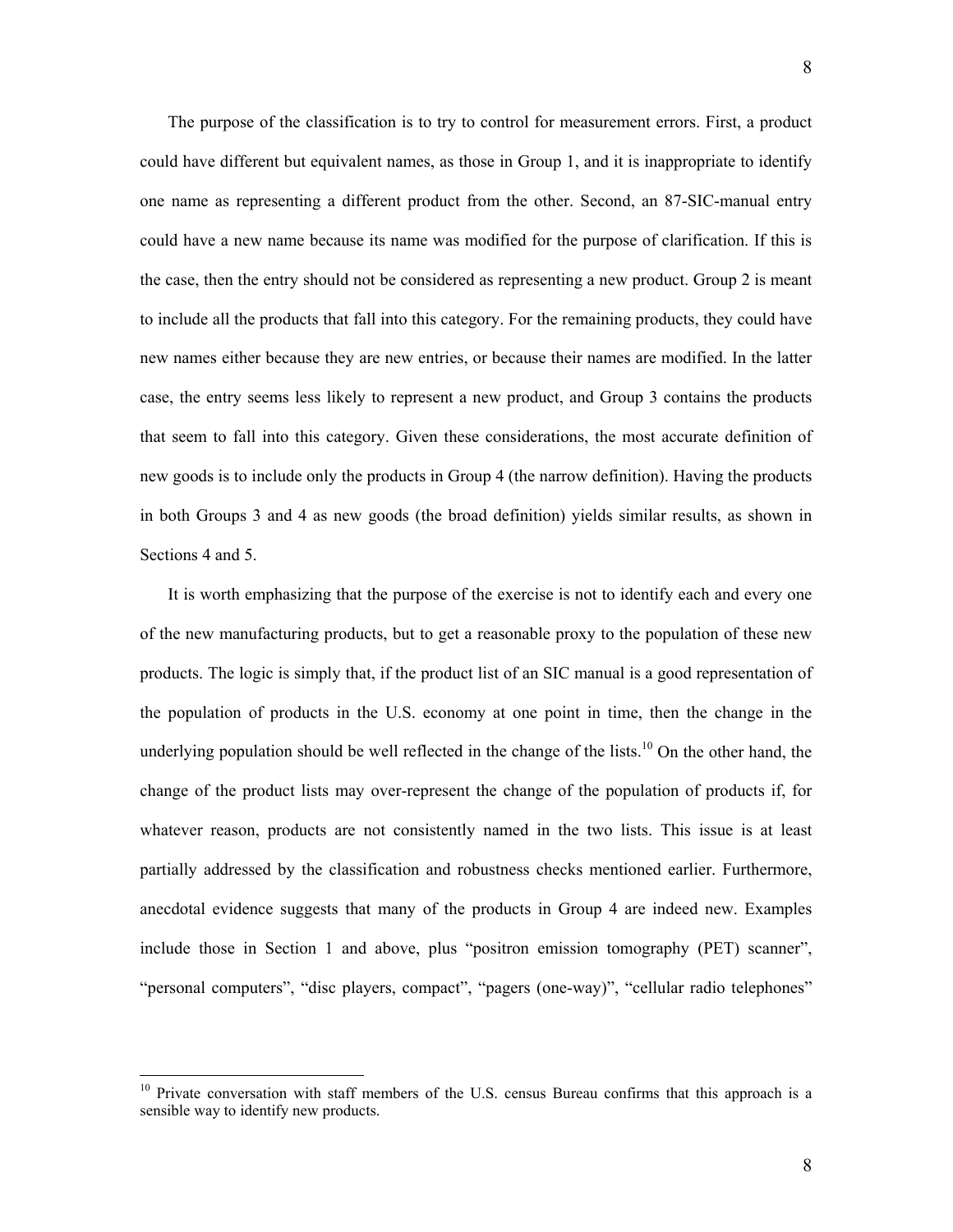The purpose of the classification is to try to control for measurement errors. First, a product could have different but equivalent names, as those in Group 1, and it is inappropriate to identify one name as representing a different product from the other. Second, an 87-SIC-manual entry could have a new name because its name was modified for the purpose of clarification. If this is the case, then the entry should not be considered as representing a new product. Group 2 is meant to include all the products that fall into this category. For the remaining products, they could have new names either because they are new entries, or because their names are modified. In the latter case, the entry seems less likely to represent a new product, and Group 3 contains the products that seem to fall into this category. Given these considerations, the most accurate definition of new goods is to include only the products in Group 4 (the narrow definition). Having the products in both Groups 3 and 4 as new goods (the broad definition) yields similar results, as shown in Sections 4 and 5.

It is worth emphasizing that the purpose of the exercise is not to identify each and every one of the new manufacturing products, but to get a reasonable proxy to the population of these new products. The logic is simply that, if the product list of an SIC manual is a good representation of the population of products in the U.S. economy at one point in time, then the change in the underlying population should be well reflected in the change of the lists.<sup>10</sup> On the other hand, the change of the product lists may over-represent the change of the population of products if, for whatever reason, products are not consistently named in the two lists. This issue is at least partially addressed by the classification and robustness checks mentioned earlier. Furthermore, anecdotal evidence suggests that many of the products in Group 4 are indeed new. Examples include those in Section 1 and above, plus "positron emission tomography (PET) scanner", "personal computers", "disc players, compact", "pagers (one-way)", "cellular radio telephones"

<span id="page-9-0"></span><sup>&</sup>lt;sup>10</sup> Private conversation with staff members of the U.S. census Bureau confirms that this approach is a sensible way to identify new products.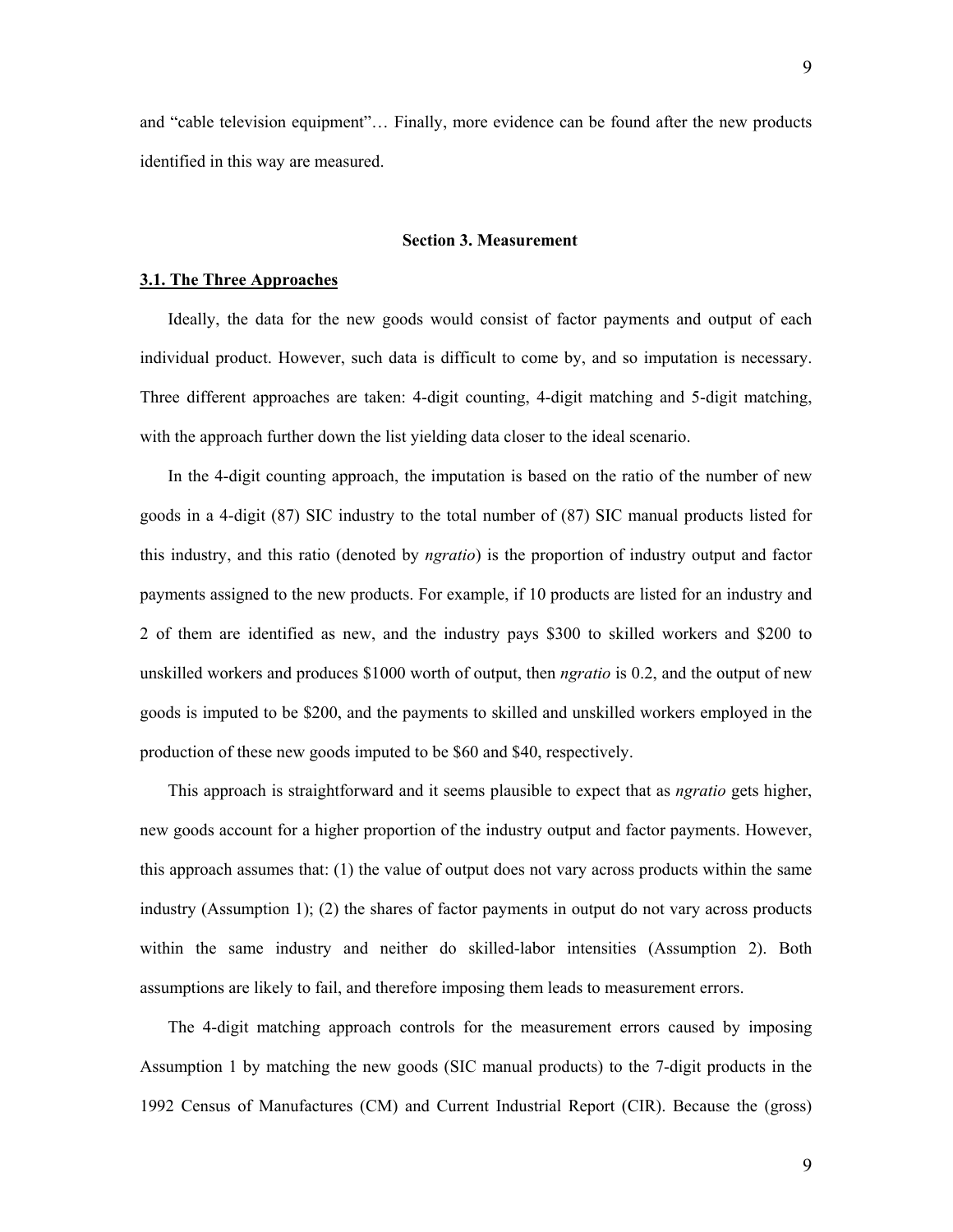and "cable television equipment"… Finally, more evidence can be found after the new products identified in this way are measured.

# **Section 3. Measurement**

## **3.1. The Three Approaches**

Ideally, the data for the new goods would consist of factor payments and output of each individual product. However, such data is difficult to come by, and so imputation is necessary. Three different approaches are taken: 4-digit counting, 4-digit matching and 5-digit matching, with the approach further down the list yielding data closer to the ideal scenario.

In the 4-digit counting approach, the imputation is based on the ratio of the number of new goods in a 4-digit (87) SIC industry to the total number of (87) SIC manual products listed for this industry, and this ratio (denoted by *ngratio*) is the proportion of industry output and factor payments assigned to the new products. For example, if 10 products are listed for an industry and 2 of them are identified as new, and the industry pays \$300 to skilled workers and \$200 to unskilled workers and produces \$1000 worth of output, then *ngratio* is 0.2, and the output of new goods is imputed to be \$200, and the payments to skilled and unskilled workers employed in the production of these new goods imputed to be \$60 and \$40, respectively.

This approach is straightforward and it seems plausible to expect that as *ngratio* gets higher, new goods account for a higher proportion of the industry output and factor payments. However, this approach assumes that: (1) the value of output does not vary across products within the same industry (Assumption 1); (2) the shares of factor payments in output do not vary across products within the same industry and neither do skilled-labor intensities (Assumption 2). Both assumptions are likely to fail, and therefore imposing them leads to measurement errors.

The 4-digit matching approach controls for the measurement errors caused by imposing Assumption 1 by matching the new goods (SIC manual products) to the 7-digit products in the 1992 Census of Manufactures (CM) and Current Industrial Report (CIR). Because the (gross)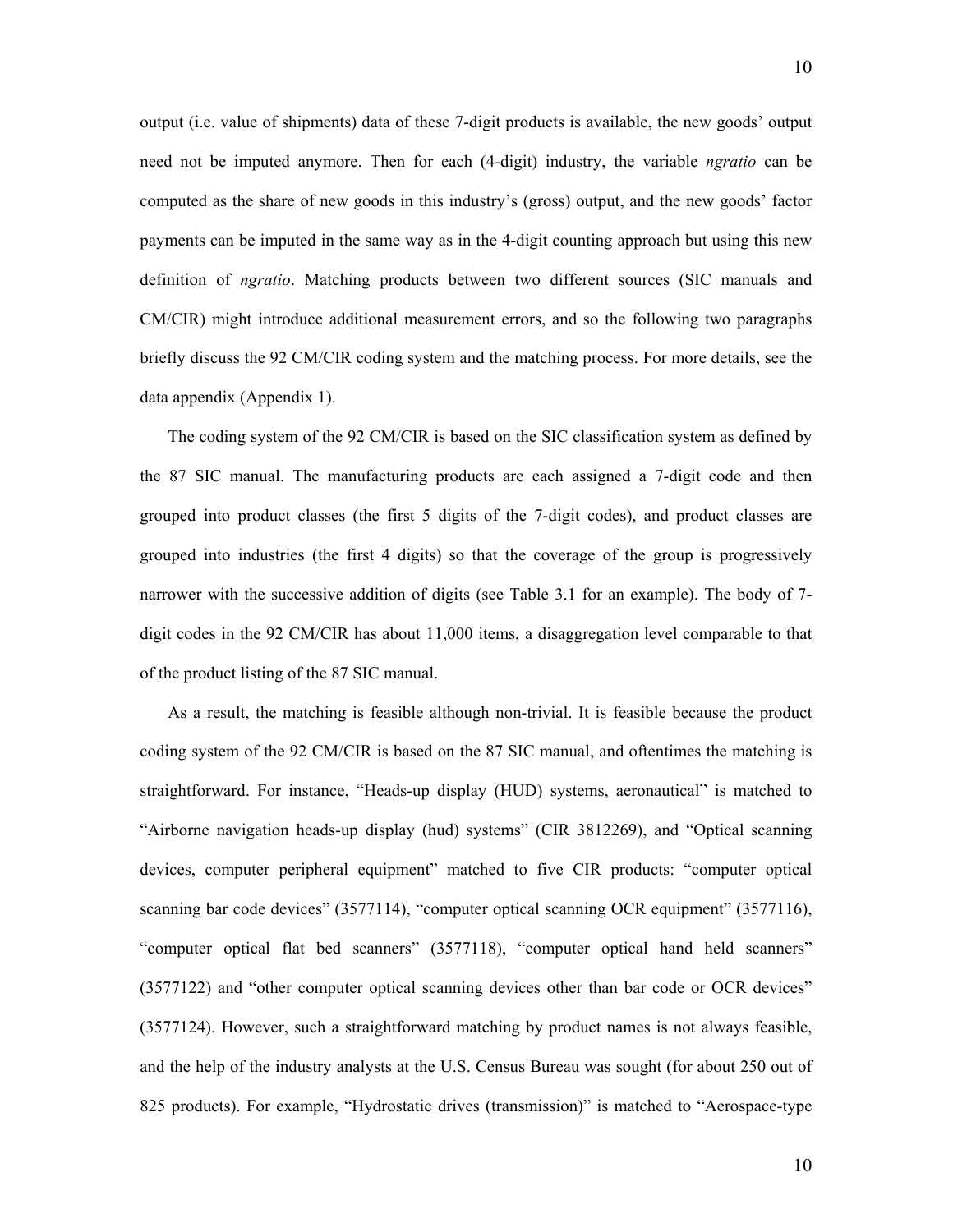output (i.e. value of shipments) data of these 7-digit products is available, the new goods' output need not be imputed anymore. Then for each (4-digit) industry, the variable *ngratio* can be computed as the share of new goods in this industry's (gross) output, and the new goods' factor payments can be imputed in the same way as in the 4-digit counting approach but using this new definition of *ngratio*. Matching products between two different sources (SIC manuals and CM/CIR) might introduce additional measurement errors, and so the following two paragraphs briefly discuss the 92 CM/CIR coding system and the matching process. For more details, see the data appendix (Appendix 1).

The coding system of the 92 CM/CIR is based on the SIC classification system as defined by the 87 SIC manual. The manufacturing products are each assigned a 7-digit code and then grouped into product classes (the first 5 digits of the 7-digit codes), and product classes are grouped into industries (the first 4 digits) so that the coverage of the group is progressively narrower with the successive addition of digits (see Table 3.1 for an example). The body of 7 digit codes in the 92 CM/CIR has about 11,000 items, a disaggregation level comparable to that of the product listing of the 87 SIC manual.

As a result, the matching is feasible although non-trivial. It is feasible because the product coding system of the 92 CM/CIR is based on the 87 SIC manual, and oftentimes the matching is straightforward. For instance, "Heads-up display (HUD) systems, aeronautical" is matched to "Airborne navigation heads-up display (hud) systems" (CIR 3812269), and "Optical scanning devices, computer peripheral equipment" matched to five CIR products: "computer optical scanning bar code devices" (3577114), "computer optical scanning OCR equipment" (3577116), "computer optical flat bed scanners" (3577118), "computer optical hand held scanners" (3577122) and "other computer optical scanning devices other than bar code or OCR devices" (3577124). However, such a straightforward matching by product names is not always feasible, and the help of the industry analysts at the U.S. Census Bureau was sought (for about 250 out of 825 products). For example, "Hydrostatic drives (transmission)" is matched to "Aerospace-type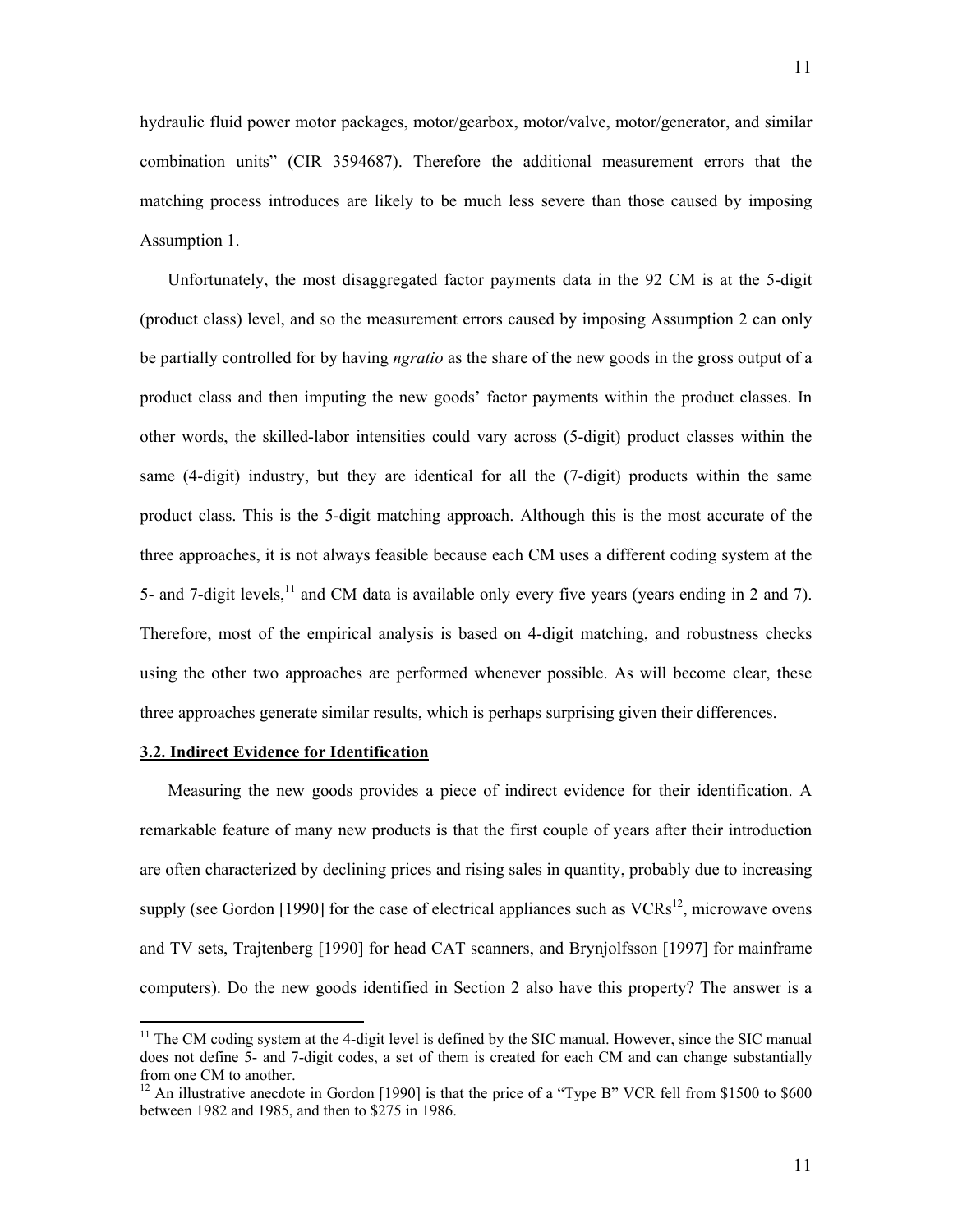hydraulic fluid power motor packages, motor/gearbox, motor/valve, motor/generator, and similar combination units" (CIR 3594687). Therefore the additional measurement errors that the matching process introduces are likely to be much less severe than those caused by imposing Assumption 1.

Unfortunately, the most disaggregated factor payments data in the 92 CM is at the 5-digit (product class) level, and so the measurement errors caused by imposing Assumption 2 can only be partially controlled for by having *ngratio* as the share of the new goods in the gross output of a product class and then imputing the new goods' factor payments within the product classes. In other words, the skilled-labor intensities could vary across (5-digit) product classes within the same (4-digit) industry, but they are identical for all the (7-digit) products within the same product class. This is the 5-digit matching approach. Although this is the most accurate of the three approaches, it is not always feasible because each CM uses a different coding system at the 5- and 7-digit levels,<sup>11</sup> and CM data is available only every five years (years ending in 2 and 7). Therefore, most of the empirical analysis is based on 4-digit matching, and robustness checks using the other two approaches are performed whenever possible. As will become clear, these three approaches generate similar results, which is perhaps surprising given their differences.

# **3.2. Indirect Evidence for Identification**

1

Measuring the new goods provides a piece of indirect evidence for their identification. A remarkable feature of many new products is that the first couple of years after their introduction are often characterized by declining prices and rising sales in quantity, probably due to increasing supply (see Gordon [1990] for the case of electrical appliances such as  $VCRs<sup>12</sup>$ , microwave ovens and TV sets, Trajtenberg [1990] for head CAT scanners, and Brynjolfsson [1997] for mainframe computers). Do the new goods identified in Section 2 also have this property? The answer is a

<span id="page-12-0"></span><sup>&</sup>lt;sup>11</sup> The CM coding system at the 4-digit level is defined by the SIC manual. However, since the SIC manual does not define 5- and 7-digit codes, a set of them is created for each CM and can change substantially from one CM to another.

<span id="page-12-1"></span><sup>&</sup>lt;sup>12</sup> An illustrative anecdote in Gordon [1990] is that the price of a "Type B" VCR fell from \$1500 to \$600 between 1982 and 1985, and then to \$275 in 1986.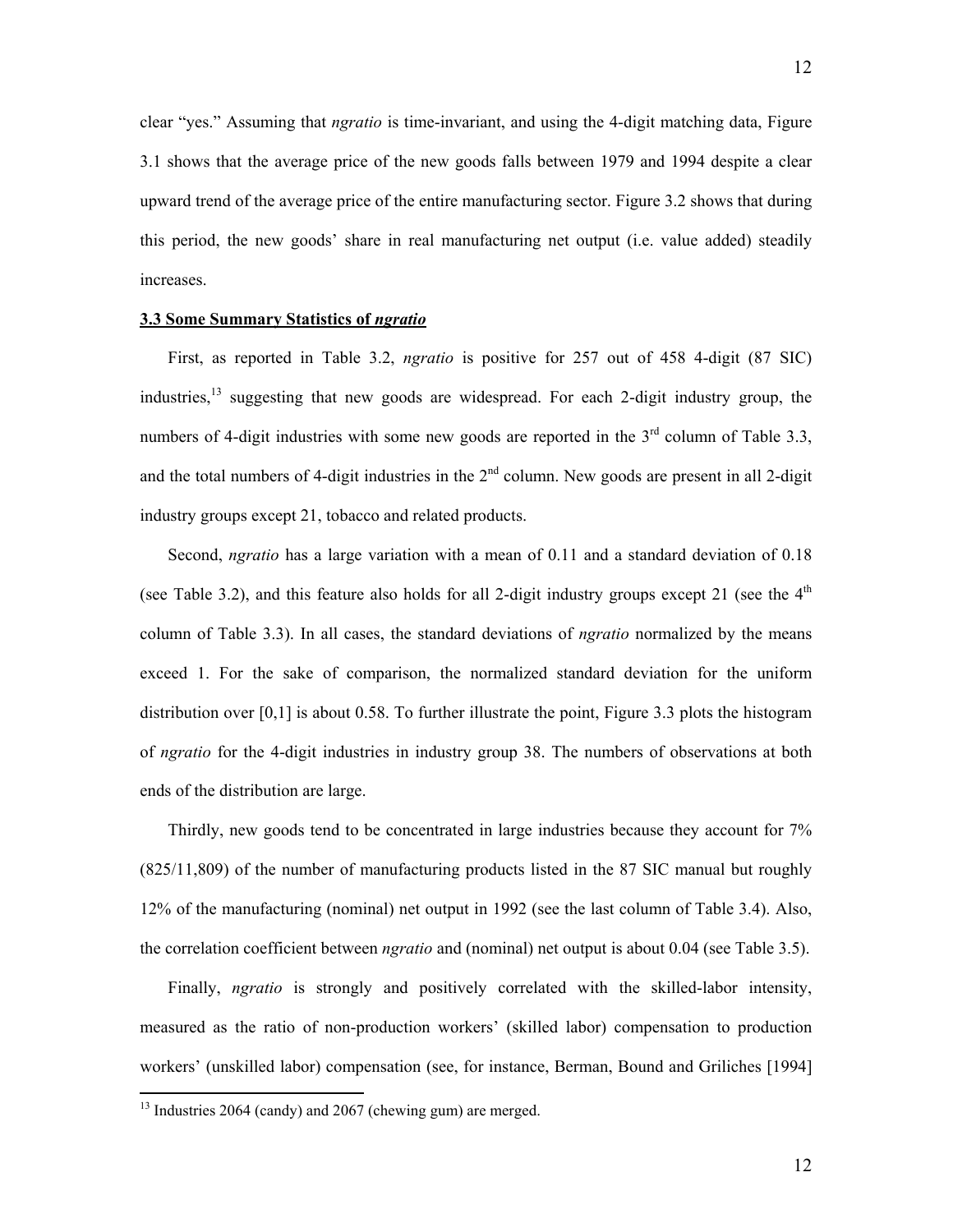clear "yes." Assuming that *ngratio* is time-invariant, and using the 4-digit matching data, Figure 3.1 shows that the average price of the new goods falls between 1979 and 1994 despite a clear upward trend of the average price of the entire manufacturing sector. Figure 3.2 shows that during this period, the new goods' share in real manufacturing net output (i.e. value added) steadily increases.

#### **3.3 Some Summary Statistics of** *ngratio*

First, as reported in Table 3.2, *ngratio* is positive for 257 out of 458 4-digit (87 SIC) industries, $^{13}$  $^{13}$  $^{13}$  suggesting that new goods are widespread. For each 2-digit industry group, the numbers of 4-digit industries with some new goods are reported in the  $3<sup>rd</sup>$  column of Table 3.3, and the total numbers of 4-digit industries in the  $2<sup>nd</sup>$  column. New goods are present in all 2-digit industry groups except 21, tobacco and related products.

Second, *ngratio* has a large variation with a mean of 0.11 and a standard deviation of 0.18 (see Table 3.2), and this feature also holds for all 2-digit industry groups except 21 (see the  $4<sup>th</sup>$ column of Table 3.3). In all cases, the standard deviations of *ngratio* normalized by the means exceed 1. For the sake of comparison, the normalized standard deviation for the uniform distribution over [0,1] is about 0.58. To further illustrate the point, Figure 3.3 plots the histogram of *ngratio* for the 4-digit industries in industry group 38. The numbers of observations at both ends of the distribution are large.

Thirdly, new goods tend to be concentrated in large industries because they account for 7% (825/11,809) of the number of manufacturing products listed in the 87 SIC manual but roughly 12% of the manufacturing (nominal) net output in 1992 (see the last column of Table 3.4). Also, the correlation coefficient between *ngratio* and (nominal) net output is about 0.04 (see Table 3.5).

Finally, *ngratio* is strongly and positively correlated with the skilled-labor intensity, measured as the ratio of non-production workers' (skilled labor) compensation to production workers' (unskilled labor) compensation (see, for instance, Berman, Bound and Griliches [1994]

<span id="page-13-0"></span><sup>&</sup>lt;sup>13</sup> Industries 2064 (candy) and 2067 (chewing gum) are merged.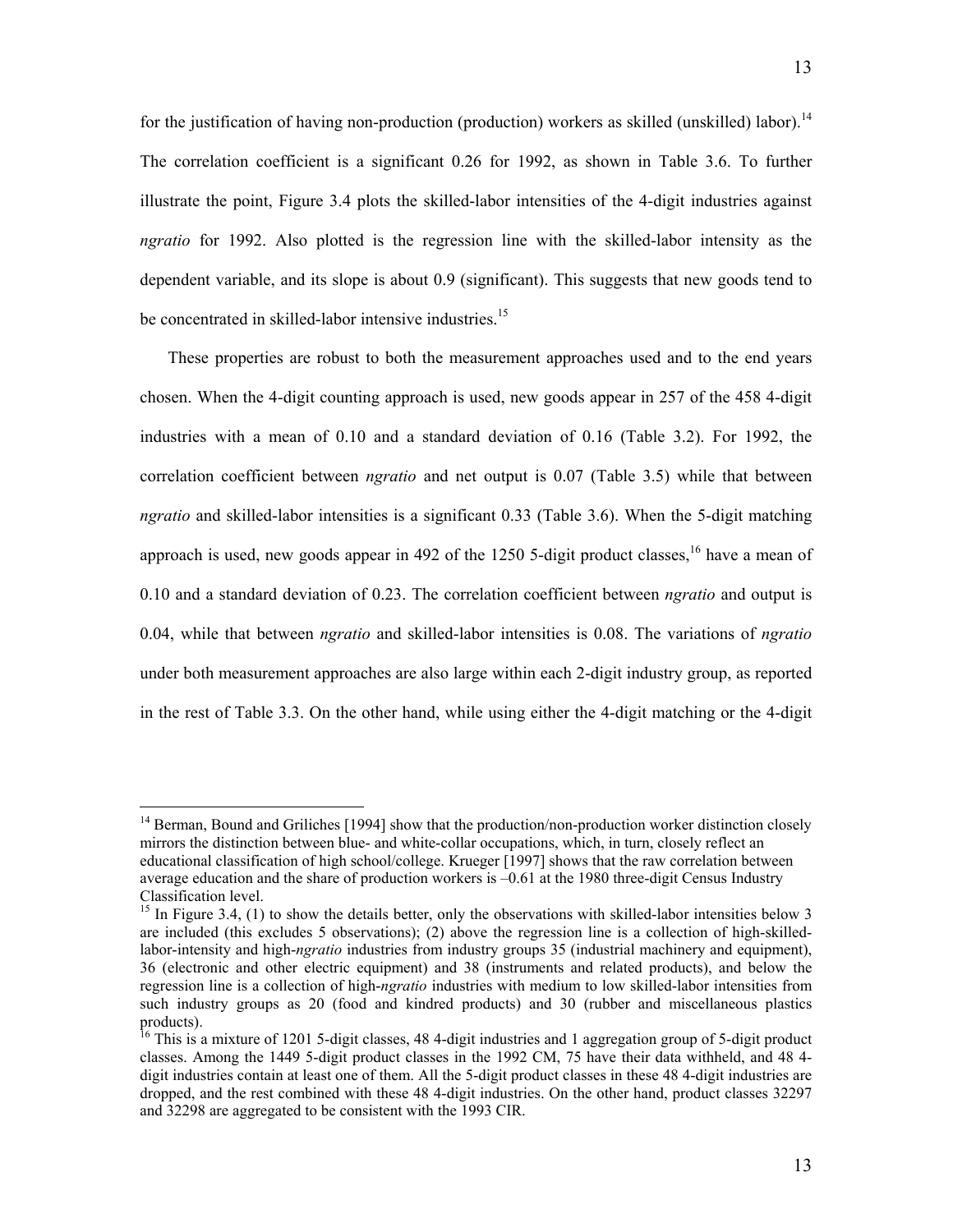The correlation coefficient is a significant 0.26 for 1992, as shown in Table 3.6. To further illustrate the point, Figure 3.4 plots the skilled-labor intensities of the 4-digit industries against *ngratio* for 1992. Also plotted is the regression line with the skilled-labor intensity as the dependent variable, and its slope is about 0.9 (significant). This suggests that new goods tend to be concentrated in skilled-labor intensive industries.<sup>15</sup>

13

These properties are robust to both the measurement approaches used and to the end years chosen. When the 4-digit counting approach is used, new goods appear in 257 of the 458 4-digit industries with a mean of 0.10 and a standard deviation of 0.16 (Table 3.2). For 1992, the correlation coefficient between *ngratio* and net output is 0.07 (Table 3.5) while that between *ngratio* and skilled-labor intensities is a significant 0.33 (Table 3.6). When the 5-digit matching approach is used, new goods appear in 492 of the 1250 5-digit product classes.<sup>16</sup> have a mean of 0.10 and a standard deviation of 0.23. The correlation coefficient between *ngratio* and output is 0.04, while that between *ngratio* and skilled-labor intensities is 0.08. The variations of *ngratio* under both measurement approaches are also large within each 2-digit industry group, as reported in the rest of Table 3.3. On the other hand, while using either the 4-digit matching or the 4-digit

<span id="page-14-0"></span><sup>&</sup>lt;sup>14</sup> Berman, Bound and Griliches [1994] show that the production/non-production worker distinction closely mirrors the distinction between blue- and white-collar occupations, which, in turn, closely reflect an educational classification of high school/college. Krueger [1997] shows that the raw correlation between average education and the share of production workers is –0.61 at the 1980 three-digit Census Industry

<span id="page-14-1"></span> $^{15}$  In Figure 3.4, (1) to show the details better, only the observations with skilled-labor intensities below 3 are included (this excludes 5 observations); (2) above the regression line is a collection of high-skilledlabor-intensity and high-*ngratio* industries from industry groups 35 (industrial machinery and equipment), 36 (electronic and other electric equipment) and 38 (instruments and related products), and below the regression line is a collection of high-*ngratio* industries with medium to low skilled-labor intensities from such industry groups as 20 (food and kindred products) and 30 (rubber and miscellaneous plastics products).<br><sup>16</sup> This is a mixture of 1201 5-digit classes, 48 4-digit industries and 1 aggregation group of 5-digit product

<span id="page-14-2"></span>classes. Among the 1449 5-digit product classes in the 1992 CM, 75 have their data withheld, and 48 4 digit industries contain at least one of them. All the 5-digit product classes in these 48 4-digit industries are dropped, and the rest combined with these 48 4-digit industries. On the other hand, product classes 32297 and 32298 are aggregated to be consistent with the 1993 CIR.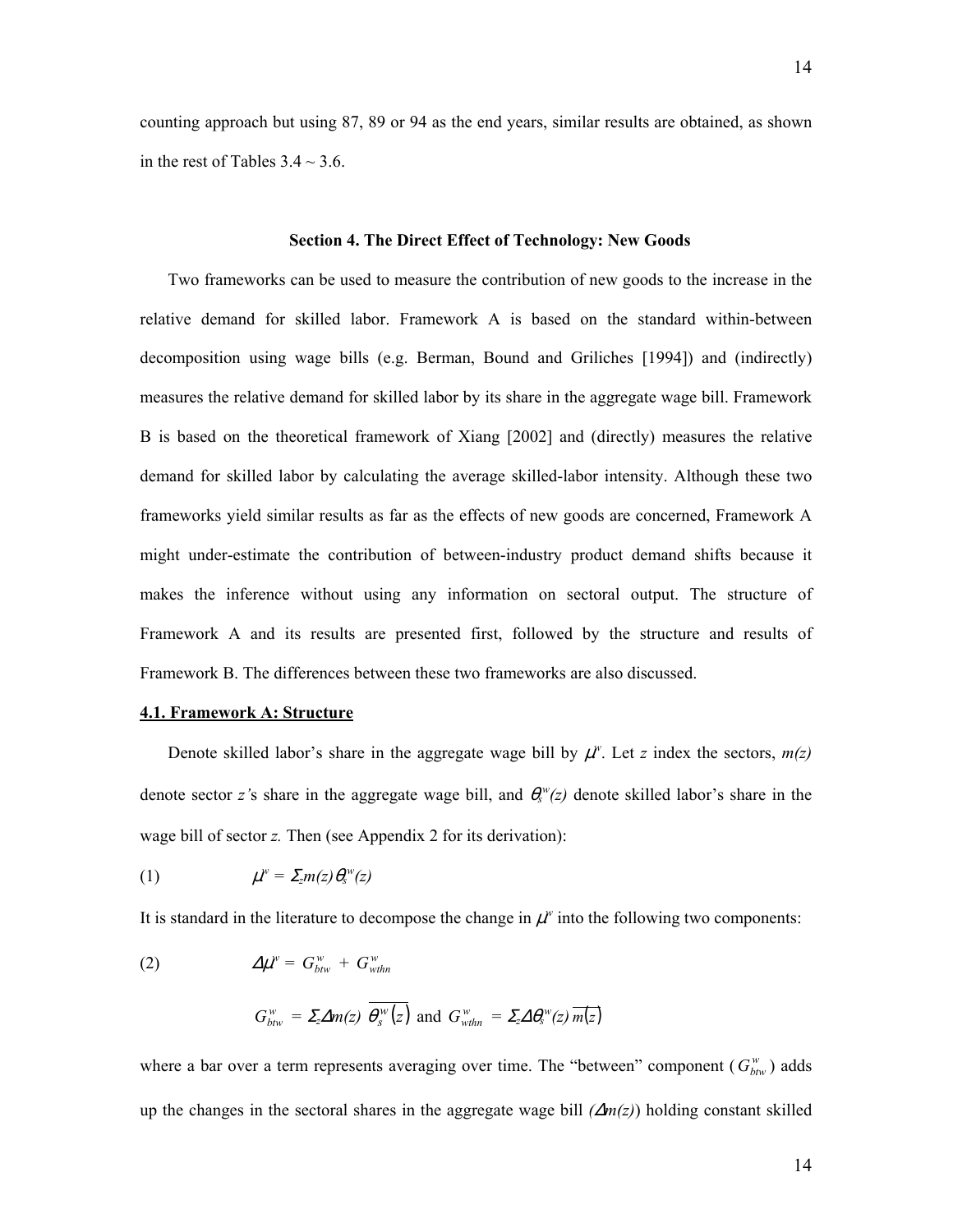counting approach but using 87, 89 or 94 as the end years, similar results are obtained, as shown in the rest of Tables  $3.4 \sim 3.6$ .

# **Section 4. The Direct Effect of Technology: New Goods**

Two frameworks can be used to measure the contribution of new goods to the increase in the relative demand for skilled labor. Framework A is based on the standard within-between decomposition using wage bills (e.g. Berman, Bound and Griliches [1994]) and (indirectly) measures the relative demand for skilled labor by its share in the aggregate wage bill. Framework B is based on the theoretical framework of Xiang [2002] and (directly) measures the relative demand for skilled labor by calculating the average skilled-labor intensity. Although these two frameworks yield similar results as far as the effects of new goods are concerned, Framework A might under-estimate the contribution of between-industry product demand shifts because it makes the inference without using any information on sectoral output. The structure of Framework A and its results are presented first, followed by the structure and results of Framework B. The differences between these two frameworks are also discussed.

#### **4.1. Framework A: Structure**

Denote skilled labor's share in the aggregate wage bill by  $\mu^w$ . Let *z* index the sectors,  $m(z)$ denote sector *z*'s share in the aggregate wage bill, and  $\theta_s^w(z)$  denote skilled labor's share in the wage bill of sector *z.* Then (see Appendix 2 for its derivation):

$$
(1) \hspace{1cm} \mu^w = \Sigma_z m(z) \theta_s^w(z)
$$

It is standard in the literature to decompose the change in  $\mu^w$  into the following two components:

$$
(2) \hspace{1cm} \Delta \mu^{\scriptscriptstyle W} = G^{\scriptscriptstyle W}_{btw} + G^{\scriptscriptstyle W}_{\scriptscriptstyle \text{withn}}
$$

$$
G_{bbw}^{w} = \Sigma_2 \Delta m(z) \overline{\theta_s^{w}(z)}
$$
 and 
$$
G_{wthn}^{w} = \Sigma_2 \Delta \theta_s^{w}(z) \overline{m(z)}
$$

where a bar over a term represents averaging over time. The "between" component ( $G_{bw}^w$ ) adds up the changes in the sectoral shares in the aggregate wage bill *(*∆*m(z)*) holding constant skilled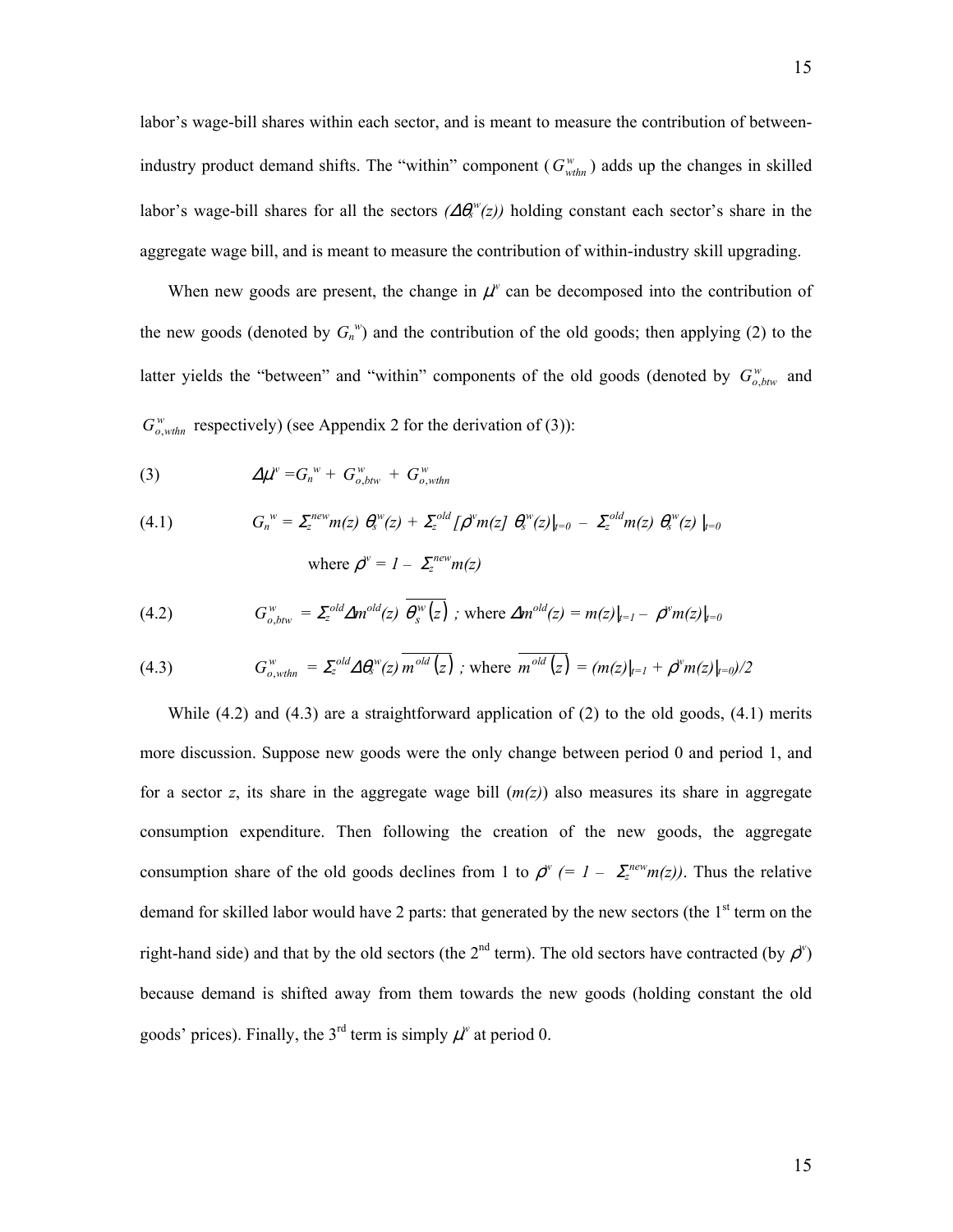labor's wage-bill shares within each sector, and is meant to measure the contribution of betweenindustry product demand shifts. The "within" component  $(G_{\text{withn}}^w)$  adds up the changes in skilled labor's wage-bill shares for all the sectors  $(\Delta \theta_s^w(z))$  holding constant each sector's share in the aggregate wage bill, and is meant to measure the contribution of within-industry skill upgrading.

When new goods are present, the change in  $\mu^w$  can be decomposed into the contribution of the new goods (denoted by  $G_n^w$ ) and the contribution of the old goods; then applying (2) to the latter yields the "between" and "within" components of the old goods (denoted by  $G_{o,btw}^w$  and  $G_{o, \text{with}}^{\text{w}}$  respectively) (see Appendix 2 for the derivation of (3)):

$$
(3) \qquad \qquad \Delta \mu^w = G_n^w + G_{o,btw}^w + G_{o,withn}^w
$$

(4.1) 
$$
G_n^{\ w} = \Sigma_z^{new} m(z) \ \theta_s^{\ w}(z) + \Sigma_z^{old} [\rho^{\ w} m(z] \ \theta_s^{\ w}(z)]_{t=0} - \Sigma_z^{old} m(z) \ \theta_s^{\ w}(z) \mid_{t=0}
$$
  
where 
$$
\rho^{\ w} = 1 - \Sigma_z^{new} m(z)
$$

(4.2) 
$$
G_{o,btw}^w = \Sigma_z^{old} \Delta m^{old}(z) \overline{\theta_s^w(z)}; \text{ where } \Delta m^{old}(z) = m(z)|_{t=1} - \rho^w m(z)|_{t=0}
$$

(4.3) 
$$
G_{o,whn}^w = \sum_{z}^{old} \Delta \theta_z^w(z) \, \overline{m}^{old}(z) \, ; \text{ where } \, \overline{m}^{old}(z) = (m(z)|_{t=1} + \rho^w m(z)|_{t=0})/2
$$

While  $(4.2)$  and  $(4.3)$  are a straightforward application of  $(2)$  to the old goods,  $(4.1)$  merits more discussion. Suppose new goods were the only change between period 0 and period 1, and for a sector *z*, its share in the aggregate wage bill  $(m(z))$  also measures its share in aggregate consumption expenditure. Then following the creation of the new goods, the aggregate consumption share of the old goods declines from 1 to  $\rho^w$  (= 1 –  $\sum_{z}^{new} m(z)$ ). Thus the relative demand for skilled labor would have 2 parts: that generated by the new sectors (the  $1<sup>st</sup>$  term on the right-hand side) and that by the old sectors (the  $2^{nd}$  term). The old sectors have contracted (by  $\rho^w$ ) because demand is shifted away from them towards the new goods (holding constant the old goods' prices). Finally, the  $3<sup>rd</sup>$  term is simply  $\mu^w$  at period 0.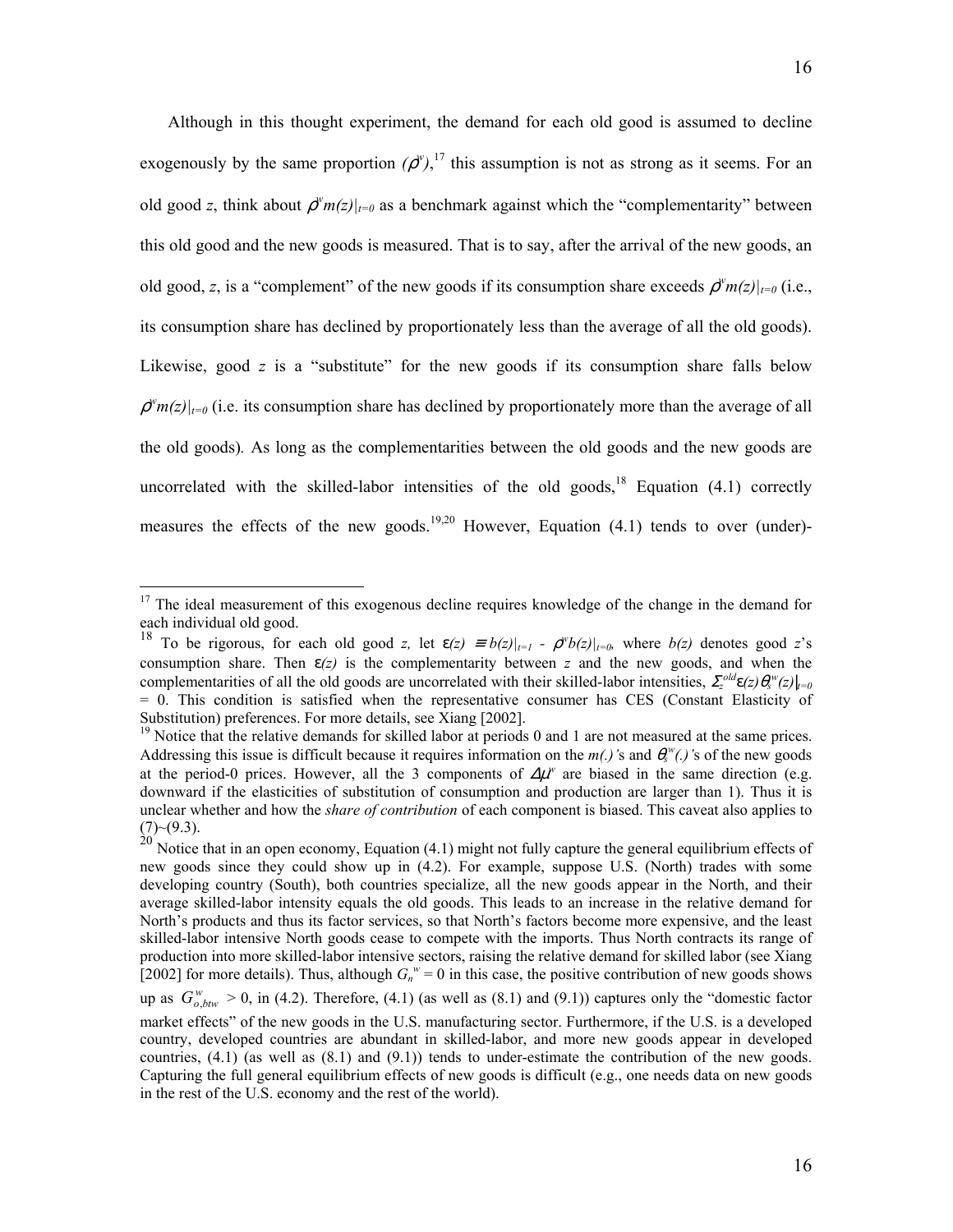Although in this thought experiment, the demand for each old good is assumed to decline exogenously by the same proportion  $(\rho^{\nu})$ ,<sup>17</sup>, this assumption is not as strong as it seems. For an old good *z*, think about  $\rho^w m(z)|_{t=0}$  as a benchmark against which the "complementarity" between this old good and the new goods is measured. That is to say, after the arrival of the new goods, an old good, *z*, is a "complement" of the new goods if its consumption share exceeds  $\rho^w m(z)|_{t=0}$  (i.e., its consumption share has declined by proportionately less than the average of all the old goods). Likewise, good *z* is a "substitute" for the new goods if its consumption share falls below  $\rho^w m(z)|_{t=0}$  (i.e. its consumption share has declined by proportionately more than the average of all the old goods)*.* As long as the complementarities between the old goods and the new goods are uncorrelated with the skilled-labor intensities of the old goods,<sup>18</sup> Equation  $(4.1)$  correctly measures the effects of the new goods.<sup>[19,](#page-17-2)20</sup> However, Equation (4.1) tends to over (under)-

<span id="page-17-0"></span><sup>&</sup>lt;sup>17</sup> The ideal measurement of this exogenous decline requires knowledge of the change in the demand for each individual old good.

<span id="page-17-1"></span><sup>&</sup>lt;sup>18</sup> To be rigorous, for each old good *z*, let  $\varepsilon(z) = b(z)|_{t=1} - \rho^w b(z)|_{t=0}$ , where  $b(z)$  denotes good *z*'s consumption share. Then  $\varepsilon(z)$  is the complementarity between z and the new goods, and when the complementarities of all the old goods are uncorrelated with their skilled-labor intensities,  $\sum_{z}^{old} \epsilon(z) \theta_{s}^{w}(z) |_{t=0}$  $= 0$ . This condition is satisfied when the representative consumer has CES (Constant Elasticity of Substitution) preferences. For more details, see Xiang [2002].

<span id="page-17-2"></span> $\frac{19}{19}$  Notice that the relative demands for skilled labor at periods 0 and 1 are not measured at the same prices. Addressing this issue is difficult because it requires information on the  $m(.)$ 's and  $\theta_s^w(.)$ 's of the new goods at the period-0 prices. However, all the 3 components of  $\Delta \mu^w$  are biased in the same direction (e.g. downward if the elasticities of substitution of consumption and production are larger than 1). Thus it is unclear whether and how the *share of contribution* of each component is biased. This caveat also applies to  $(7)$   $\sim$   $(9.3)$ .

<span id="page-17-3"></span> $^{20}$  Notice that in an open economy, Equation (4.1) might not fully capture the general equilibrium effects of new goods since they could show up in (4.2). For example, suppose U.S. (North) trades with some developing country (South), both countries specialize, all the new goods appear in the North, and their average skilled-labor intensity equals the old goods. This leads to an increase in the relative demand for North's products and thus its factor services, so that North's factors become more expensive, and the least skilled-labor intensive North goods cease to compete with the imports. Thus North contracts its range of production into more skilled-labor intensive sectors, raising the relative demand for skilled labor (see Xiang [2002] for more details). Thus, although  $G_n^w = 0$  in this case, the positive contribution of new goods shows

up as  $G_{o,btw}^w > 0$ , in (4.2). Therefore, (4.1) (as well as (8.1) and (9.1)) captures only the "domestic factor market effects" of the new goods in the U.S. manufacturing sector. Furthermore, if the U.S. is a developed country, developed countries are abundant in skilled-labor, and more new goods appear in developed countries, (4.1) (as well as (8.1) and (9.1)) tends to under-estimate the contribution of the new goods. Capturing the full general equilibrium effects of new goods is difficult (e.g., one needs data on new goods in the rest of the U.S. economy and the rest of the world).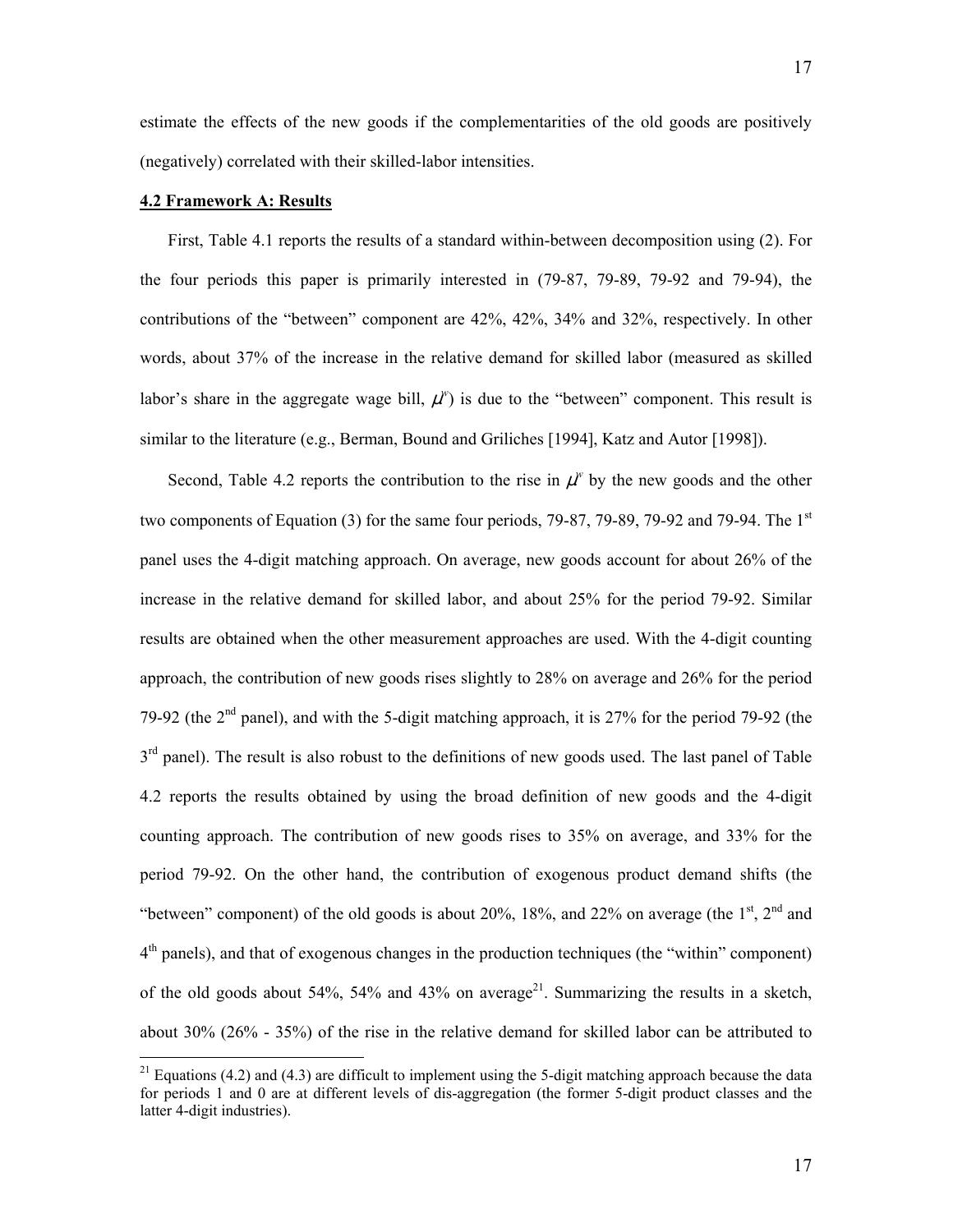estimate the effects of the new goods if the complementarities of the old goods are positively (negatively) correlated with their skilled-labor intensities.

## **4.2 Framework A: Results**

1

First, Table 4.1 reports the results of a standard within-between decomposition using (2). For the four periods this paper is primarily interested in (79-87, 79-89, 79-92 and 79-94), the contributions of the "between" component are 42%, 42%, 34% and 32%, respectively. In other words, about 37% of the increase in the relative demand for skilled labor (measured as skilled labor's share in the aggregate wage bill,  $\mu^w$ ) is due to the "between" component. This result is similar to the literature (e.g., Berman, Bound and Griliches [1994], Katz and Autor [1998]).

Second, Table 4.2 reports the contribution to the rise in  $\mu^w$  by the new goods and the other two components of Equation (3) for the same four periods,  $79-87$ ,  $79-89$ ,  $79-92$  and  $79-94$ . The  $1<sup>st</sup>$ panel uses the 4-digit matching approach. On average, new goods account for about 26% of the increase in the relative demand for skilled labor, and about 25% for the period 79-92. Similar results are obtained when the other measurement approaches are used. With the 4-digit counting approach, the contribution of new goods rises slightly to 28% on average and 26% for the period 79-92 (the  $2<sup>nd</sup>$  panel), and with the 5-digit matching approach, it is 27% for the period 79-92 (the  $3<sup>rd</sup>$  panel). The result is also robust to the definitions of new goods used. The last panel of Table 4.2 reports the results obtained by using the broad definition of new goods and the 4-digit counting approach. The contribution of new goods rises to 35% on average, and 33% for the period 79-92. On the other hand, the contribution of exogenous product demand shifts (the "between" component) of the old goods is about 20%, 18%, and 22% on average (the  $1<sup>st</sup>$ ,  $2<sup>nd</sup>$  and  $4<sup>th</sup>$  panels), and that of exogenous changes in the production techniques (the "within" component) of the old goods about 54%, 54% and 43% on average<sup>21</sup>. Summarizing the results in a sketch, about 30% (26% - 35%) of the rise in the relative demand for skilled labor can be attributed to

<span id="page-18-0"></span><sup>&</sup>lt;sup>21</sup> Equations (4.2) and (4.3) are difficult to implement using the 5-digit matching approach because the data for periods 1 and 0 are at different levels of dis-aggregation (the former 5-digit product classes and the latter 4-digit industries).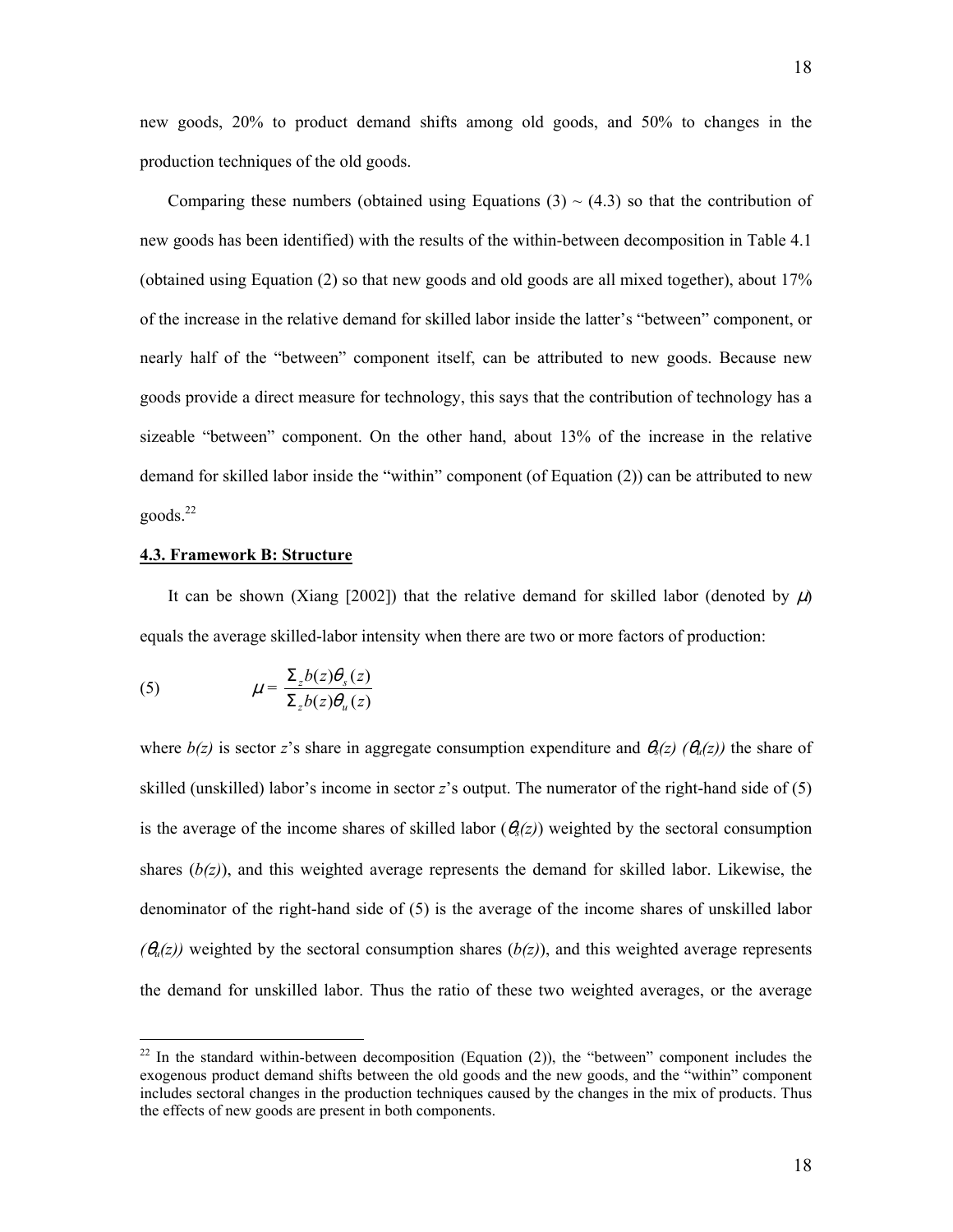new goods, 20% to product demand shifts among old goods, and 50% to changes in the production techniques of the old goods.

Comparing these numbers (obtained using Equations  $(3) \sim (4.3)$  so that the contribution of new goods has been identified) with the results of the within-between decomposition in Table 4.1 (obtained using Equation (2) so that new goods and old goods are all mixed together), about 17% of the increase in the relative demand for skilled labor inside the latter's "between" component, or nearly half of the "between" component itself, can be attributed to new goods. Because new goods provide a direct measure for technology, this says that the contribution of technology has a sizeable "between" component. On the other hand, about 13% of the increase in the relative demand for skilled labor inside the "within" component (of Equation (2)) can be attributed to new  $goods.<sup>22</sup>$ 

# **4.3. Framework B: Structure**

It can be shown (Xiang [2002]) that the relative demand for skilled labor (denoted by  $\mu$ ) equals the average skilled-labor intensity when there are two or more factors of production:

(5) 
$$
\mu = \frac{\Sigma_z b(z) \theta_s(z)}{\Sigma_z b(z) \theta_u(z)}
$$

1

where  $b(z)$  is sector *z*'s share in aggregate consumption expenditure and  $\theta_s(z)$  ( $\theta_u(z)$ ) the share of skilled (unskilled) labor's income in sector *z*'s output. The numerator of the right-hand side of (5) is the average of the income shares of skilled labor  $(\theta_3(z))$  weighted by the sectoral consumption shares  $(b(z))$ , and this weighted average represents the demand for skilled labor. Likewise, the denominator of the right-hand side of (5) is the average of the income shares of unskilled labor  $(\theta_u(z))$  weighted by the sectoral consumption shares ( $b(z)$ ), and this weighted average represents the demand for unskilled labor. Thus the ratio of these two weighted averages, or the average

<span id="page-19-0"></span> $22$  In the standard within-between decomposition (Equation (2)), the "between" component includes the exogenous product demand shifts between the old goods and the new goods, and the "within" component includes sectoral changes in the production techniques caused by the changes in the mix of products. Thus the effects of new goods are present in both components.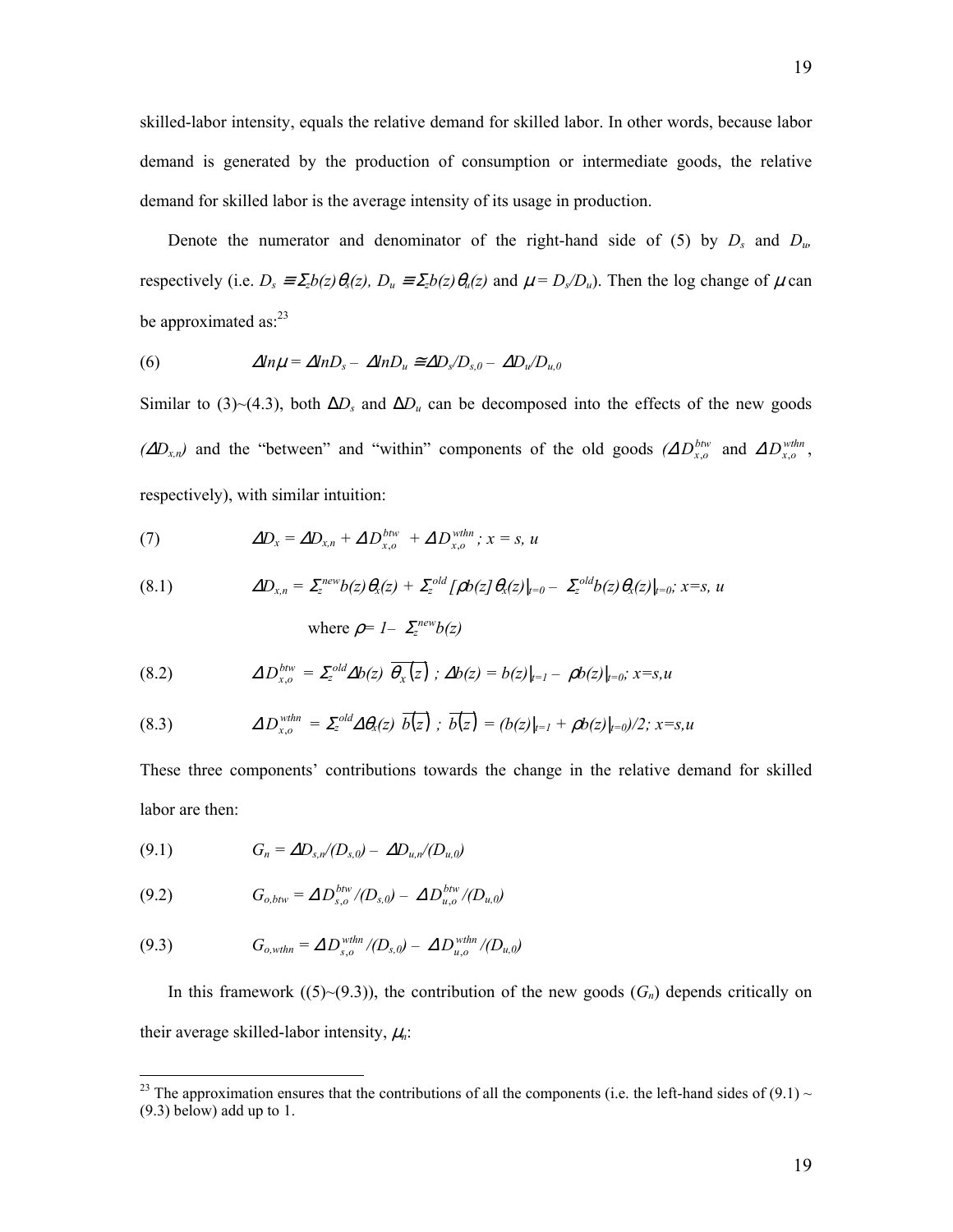skilled-labor intensity, equals the relative demand for skilled labor. In other words, because labor demand is generated by the production of consumption or intermediate goods, the relative demand for skilled labor is the average intensity of its usage in production.

Denote the numerator and denominator of the right-hand side of (5) by  $D_s$  and  $D_w$ respectively (i.e.  $D_s \equiv \sum_z b(z) \theta_s(z)$ ,  $D_u \equiv \sum_z b(z) \theta_u(z)$  and  $\mu = D_s/D_u$ ). Then the log change of  $\mu$  can be approximated as: $23$ 

(6) 
$$
\Delta ln \mu = \Delta ln D_s - \Delta ln D_u \approx \Delta D_s / D_{s,0} - \Delta D_u / D_{u,0}
$$

Similar to (3)~(4.3), both  $\Delta D_s$  and  $\Delta D_u$  can be decomposed into the effects of the new goods  $(\Delta D_{x,n})$  and the "between" and "within" components of the old goods  $(\Delta D_{x,o}^{btw}$  and  $\Delta D_{x,o}^{wthn}$ , respectively), with similar intuition:

(7) 
$$
\Delta D_x = \Delta D_{x,n} + \Delta D_{x,o}^{btw} + \Delta D_{x,o}^{whn} ; x = s, u
$$

(8.1) 
$$
\Delta D_{x,n} = \sum_{z}^{new} b(z) \theta_x(z) + \sum_{z}^{old} [\rho b(z] \theta_x(z)|_{t=0} - \sum_{z}^{old} b(z) \theta_x(z)|_{t=0}; x=s, u
$$

where 
$$
\rho = I - \sum_{z}^{new} b(z)
$$

(8.2) 
$$
\Delta D_{x,o}^{btw} = \Sigma_z^{old} \Delta b(z) \overline{\theta_x(z)}; \Delta b(z) = b(z)|_{t=1} - \rho b(z)|_{t=0}; x=s,u
$$

(8.3) 
$$
\Delta D_{x,o}^{vthn} = \Sigma_z^{old} \Delta \theta_x(z) \overline{b(z)}; \overline{b(z)} = (b(z)|_{t=1} + \rho b(z)|_{t=0})/2; x=s,u
$$

These three components' contributions towards the change in the relative demand for skilled labor are then:

$$
(9.1) \tG_n = \Delta D_{s,n}/(D_{s,0}) - \Delta D_{u,n}/(D_{u,0})
$$

1

(9.2) 
$$
G_{o,btw} = \Delta D_{s,o}^{bw} / (D_{s,0}) - \Delta D_{u,o}^{bw} / (D_{u,0})
$$

(9.3) 
$$
G_{o, \text{wthn}} = \Delta D_{s,o}^{\text{wthn}} / (D_{s,0}) - \Delta D_{u,o}^{\text{wthn}} / (D_{u,0})
$$

In this framework  $((5)~(9.3))$ , the contribution of the new goods  $(G_n)$  depends critically on their average skilled-labor intensity,  $\mu_n$ :

<span id="page-20-0"></span><sup>&</sup>lt;sup>23</sup> The approximation ensures that the contributions of all the components (i.e. the left-hand sides of (9.1) ~ (9.3) below) add up to 1.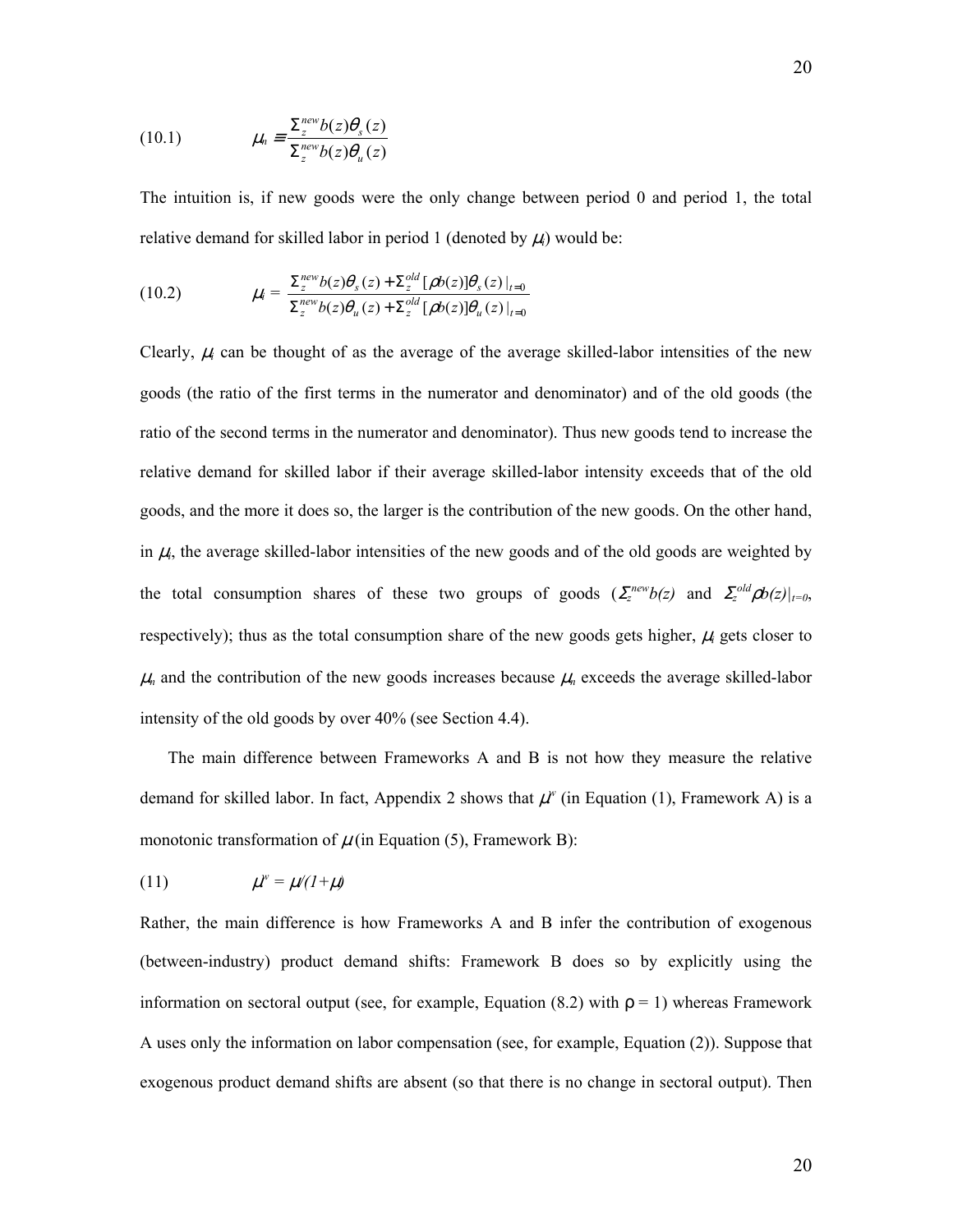(10.1) 
$$
\mu_n = \frac{\sum_{z}^{new} b(z) \theta_s(z)}{\sum_{z}^{new} b(z) \theta_u(z)}
$$

The intuition is, if new goods were the only change between period 0 and period 1, the total relative demand for skilled labor in period 1 (denoted by  $\mu_i$ ) would be:

(10.2) 
$$
\mu_i = \frac{\sum_{z}^{new} b(z) \theta_s(z) + \sum_{z}^{old} [\rho b(z)] \theta_s(z) |_{t=0}}{\sum_{z}^{new} b(z) \theta_u(z) + \sum_{z}^{old} [\rho b(z)] \theta_u(z) |_{t=0}}
$$

Clearly,  $\mu_i$  can be thought of as the average of the average skilled-labor intensities of the new goods (the ratio of the first terms in the numerator and denominator) and of the old goods (the ratio of the second terms in the numerator and denominator). Thus new goods tend to increase the relative demand for skilled labor if their average skilled-labor intensity exceeds that of the old goods, and the more it does so, the larger is the contribution of the new goods. On the other hand, in  $\mu_i$ , the average skilled-labor intensities of the new goods and of the old goods are weighted by the total consumption shares of these two groups of goods  $(\sum_{z}^{new}b(z)$  and  $\sum_{z}^{old}pb(z)|_{t=0}$ , respectively); thus as the total consumption share of the new goods gets higher,  $\mu_i$  gets closer to  $\mu_n$  and the contribution of the new goods increases because  $\mu_n$  exceeds the average skilled-labor intensity of the old goods by over 40% (see Section 4.4).

The main difference between Frameworks A and B is not how they measure the relative demand for skilled labor. In fact, Appendix 2 shows that  $\mu^w$  (in Equation (1), Framework A) is a monotonic transformation of  $\mu$  (in Equation (5), Framework B):

$$
(11) \t\t \mu^w = \mu/(1+\mu)
$$

Rather, the main difference is how Frameworks A and B infer the contribution of exogenous (between-industry) product demand shifts: Framework B does so by explicitly using the information on sectoral output (see, for example, Equation (8.2) with  $\rho = 1$ ) whereas Framework A uses only the information on labor compensation (see, for example, Equation (2)). Suppose that exogenous product demand shifts are absent (so that there is no change in sectoral output). Then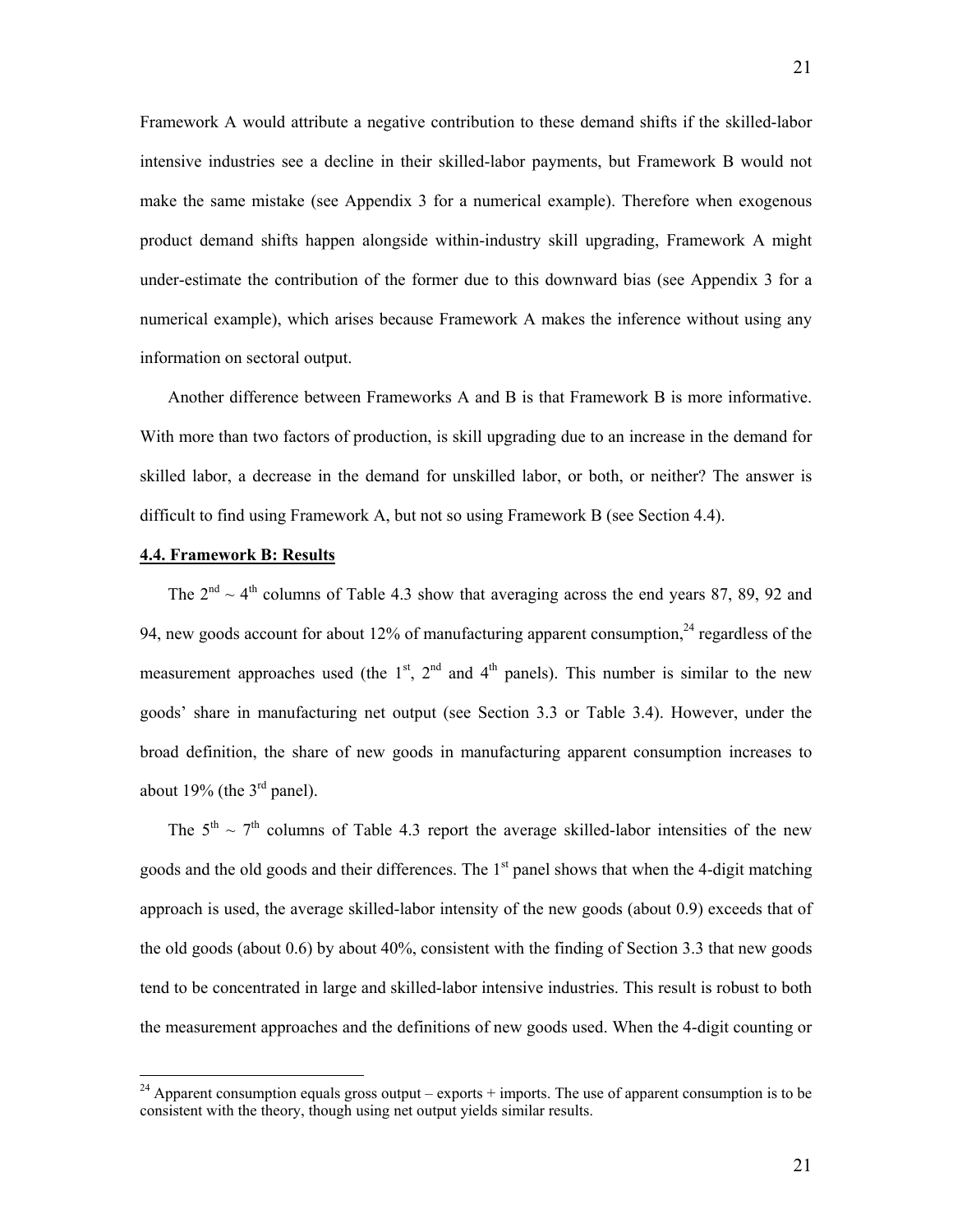Framework A would attribute a negative contribution to these demand shifts if the skilled-labor intensive industries see a decline in their skilled-labor payments, but Framework B would not make the same mistake (see Appendix 3 for a numerical example). Therefore when exogenous product demand shifts happen alongside within-industry skill upgrading, Framework A might under-estimate the contribution of the former due to this downward bias (see Appendix 3 for a numerical example), which arises because Framework A makes the inference without using any information on sectoral output.

Another difference between Frameworks A and B is that Framework B is more informative. With more than two factors of production, is skill upgrading due to an increase in the demand for skilled labor, a decrease in the demand for unskilled labor, or both, or neither? The answer is difficult to find using Framework A, but not so using Framework B (see Section 4.4).

# **4.4. Framework B: Results**

1

The  $2<sup>nd</sup> \sim 4<sup>th</sup>$  columns of Table 4.3 show that averaging across the end years 87, 89, 92 and 94, new goods account for about 12% of manufacturing apparent consumption, $24$  regardless of the measurement approaches used (the  $1<sup>st</sup>$ ,  $2<sup>nd</sup>$  and  $4<sup>th</sup>$  panels). This number is similar to the new goods' share in manufacturing net output (see Section 3.3 or Table 3.4). However, under the broad definition, the share of new goods in manufacturing apparent consumption increases to about 19% (the  $3<sup>rd</sup>$  panel).

The  $5<sup>th</sup> \sim 7<sup>th</sup>$  columns of Table 4.3 report the average skilled-labor intensities of the new goods and the old goods and their differences. The  $1<sup>st</sup>$  panel shows that when the 4-digit matching approach is used, the average skilled-labor intensity of the new goods (about 0.9) exceeds that of the old goods (about 0.6) by about 40%, consistent with the finding of Section 3.3 that new goods tend to be concentrated in large and skilled-labor intensive industries. This result is robust to both the measurement approaches and the definitions of new goods used. When the 4-digit counting or

<span id="page-22-0"></span><sup>&</sup>lt;sup>24</sup> Apparent consumption equals gross output – exports + imports. The use of apparent consumption is to be consistent with the theory, though using net output yields similar results.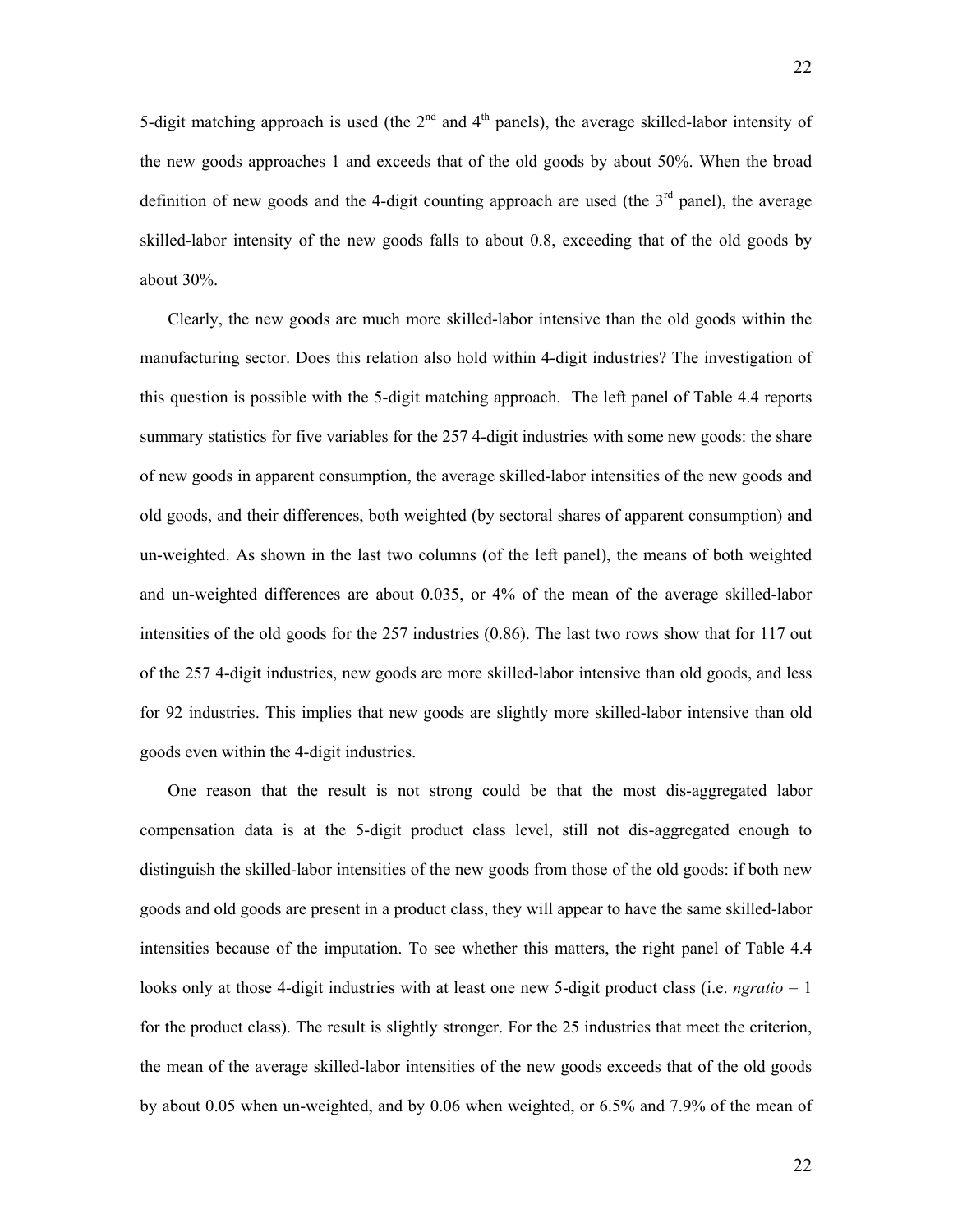5-digit matching approach is used (the  $2<sup>nd</sup>$  and  $4<sup>th</sup>$  panels), the average skilled-labor intensity of the new goods approaches 1 and exceeds that of the old goods by about 50%. When the broad definition of new goods and the 4-digit counting approach are used (the  $3<sup>rd</sup>$  panel), the average skilled-labor intensity of the new goods falls to about 0.8, exceeding that of the old goods by about 30%.

Clearly, the new goods are much more skilled-labor intensive than the old goods within the manufacturing sector. Does this relation also hold within 4-digit industries? The investigation of this question is possible with the 5-digit matching approach. The left panel of Table 4.4 reports summary statistics for five variables for the 257 4-digit industries with some new goods: the share of new goods in apparent consumption, the average skilled-labor intensities of the new goods and old goods, and their differences, both weighted (by sectoral shares of apparent consumption) and un-weighted. As shown in the last two columns (of the left panel), the means of both weighted and un-weighted differences are about 0.035, or 4% of the mean of the average skilled-labor intensities of the old goods for the 257 industries (0.86). The last two rows show that for 117 out of the 257 4-digit industries, new goods are more skilled-labor intensive than old goods, and less for 92 industries. This implies that new goods are slightly more skilled-labor intensive than old goods even within the 4-digit industries.

One reason that the result is not strong could be that the most dis-aggregated labor compensation data is at the 5-digit product class level, still not dis-aggregated enough to distinguish the skilled-labor intensities of the new goods from those of the old goods: if both new goods and old goods are present in a product class, they will appear to have the same skilled-labor intensities because of the imputation. To see whether this matters, the right panel of Table 4.4 looks only at those 4-digit industries with at least one new 5-digit product class (i.e. *ngratio* = 1 for the product class). The result is slightly stronger. For the 25 industries that meet the criterion, the mean of the average skilled-labor intensities of the new goods exceeds that of the old goods by about 0.05 when un-weighted, and by 0.06 when weighted, or 6.5% and 7.9% of the mean of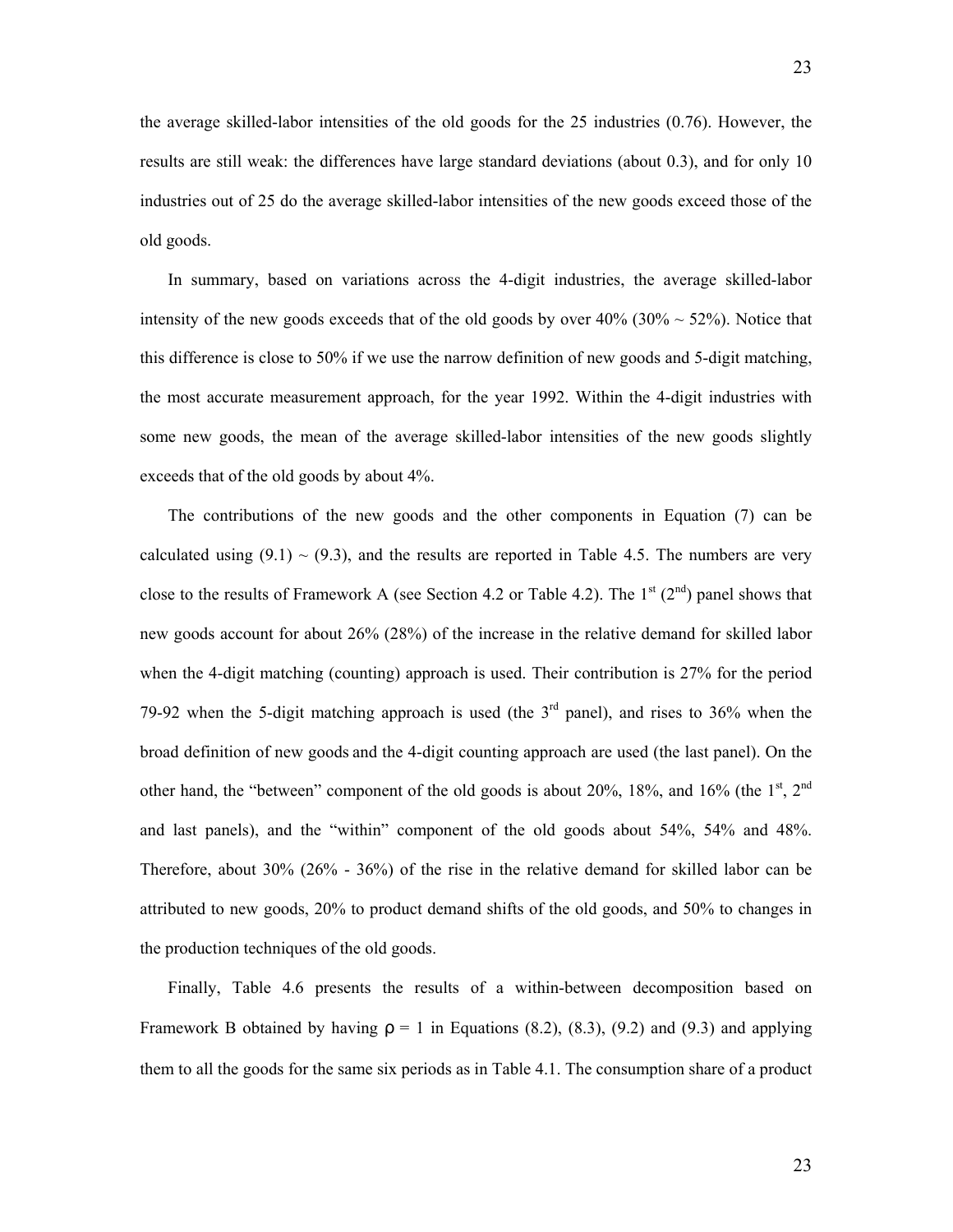the average skilled-labor intensities of the old goods for the 25 industries (0.76). However, the results are still weak: the differences have large standard deviations (about 0.3), and for only 10 industries out of 25 do the average skilled-labor intensities of the new goods exceed those of the old goods.

In summary, based on variations across the 4-digit industries, the average skilled-labor intensity of the new goods exceeds that of the old goods by over  $40\%$  (30%  $\sim$  52%). Notice that this difference is close to 50% if we use the narrow definition of new goods and 5-digit matching, the most accurate measurement approach, for the year 1992. Within the 4-digit industries with some new goods, the mean of the average skilled-labor intensities of the new goods slightly exceeds that of the old goods by about 4%.

The contributions of the new goods and the other components in Equation (7) can be calculated using  $(9.1) \sim (9.3)$ , and the results are reported in Table 4.5. The numbers are very close to the results of Framework A (see Section 4.2 or Table 4.2). The  $1<sup>st</sup>$  ( $2<sup>nd</sup>$ ) panel shows that new goods account for about 26% (28%) of the increase in the relative demand for skilled labor when the 4-digit matching (counting) approach is used. Their contribution is 27% for the period 79-92 when the 5-digit matching approach is used (the  $3<sup>rd</sup>$  panel), and rises to 36% when the broad definition of new goods and the 4-digit counting approach are used (the last panel). On the other hand, the "between" component of the old goods is about 20%, 18%, and 16% (the  $1<sup>st</sup>$ ,  $2<sup>nd</sup>$ and last panels), and the "within" component of the old goods about 54%, 54% and 48%. Therefore, about 30% (26% - 36%) of the rise in the relative demand for skilled labor can be attributed to new goods, 20% to product demand shifts of the old goods, and 50% to changes in the production techniques of the old goods.

Finally, Table 4.6 presents the results of a within-between decomposition based on Framework B obtained by having  $\rho = 1$  in Equations (8.2), (8.3), (9.2) and (9.3) and applying them to all the goods for the same six periods as in Table 4.1. The consumption share of a product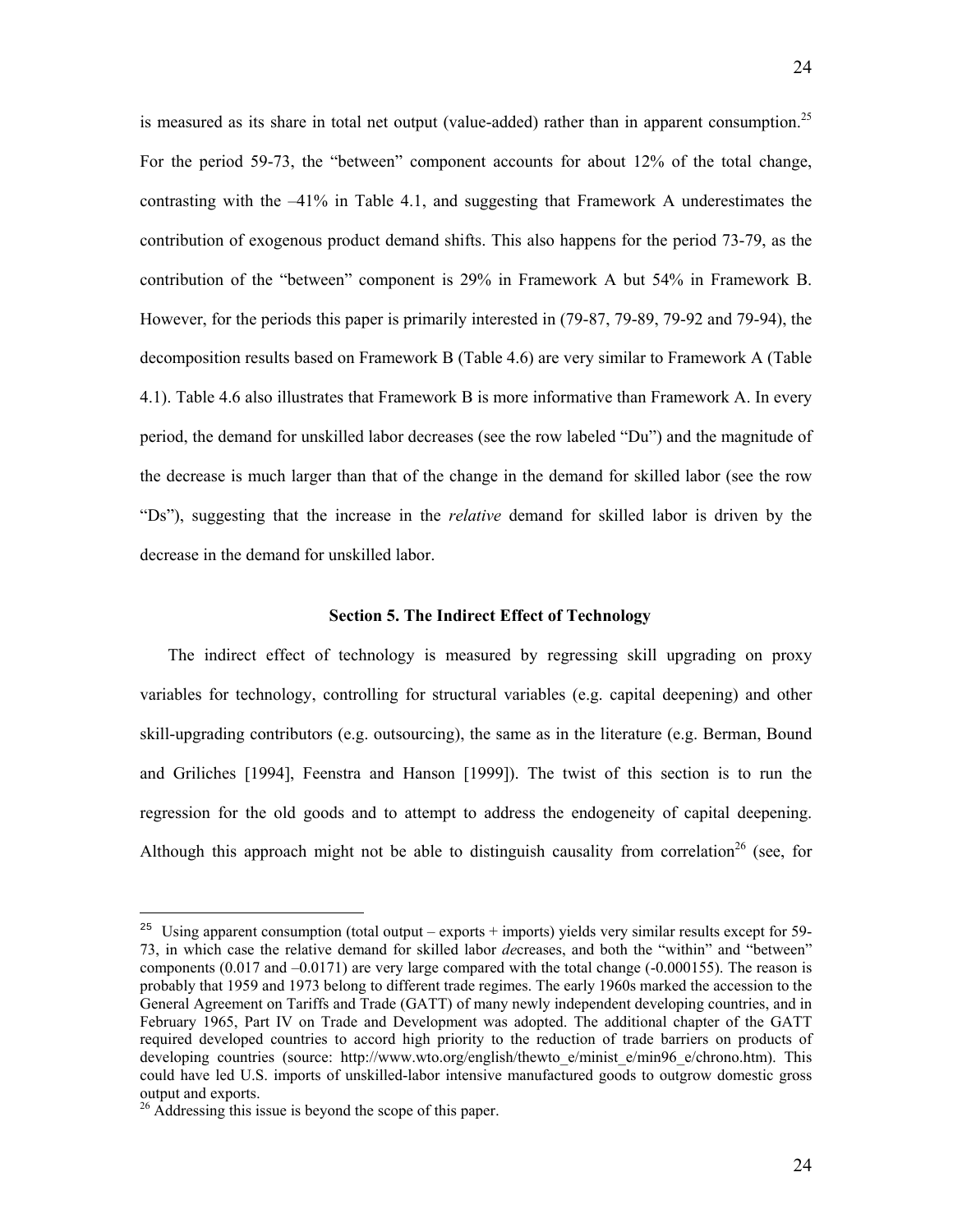is measured as its share in total net output (value-added) rather than in apparent consumption.<sup>[25](#page-25-0)</sup> For the period 59-73, the "between" component accounts for about 12% of the total change, contrasting with the  $-41\%$  in Table 4.1, and suggesting that Framework A underestimates the contribution of exogenous product demand shifts. This also happens for the period 73-79, as the contribution of the "between" component is 29% in Framework A but 54% in Framework B. However, for the periods this paper is primarily interested in (79-87, 79-89, 79-92 and 79-94), the decomposition results based on Framework B (Table 4.6) are very similar to Framework A (Table 4.1). Table 4.6 also illustrates that Framework B is more informative than Framework A. In every period, the demand for unskilled labor decreases (see the row labeled "Du") and the magnitude of the decrease is much larger than that of the change in the demand for skilled labor (see the row "Ds"), suggesting that the increase in the *relative* demand for skilled labor is driven by the decrease in the demand for unskilled labor.

# **Section 5. The Indirect Effect of Technology**

The indirect effect of technology is measured by regressing skill upgrading on proxy variables for technology, controlling for structural variables (e.g. capital deepening) and other skill-upgrading contributors (e.g. outsourcing), the same as in the literature (e.g. Berman, Bound and Griliches [1994], Feenstra and Hanson [1999]). The twist of this section is to run the regression for the old goods and to attempt to address the endogeneity of capital deepening. Although this approach might not be able to distinguish causality from correlation<sup>26</sup> (see, for

<u>.</u>

<span id="page-25-0"></span><sup>&</sup>lt;sup>25</sup> Using apparent consumption (total output – exports + imports) yields very similar results except for 59-73, in which case the relative demand for skilled labor *de*creases, and both the "within" and "between" components  $(0.017$  and  $-0.0171)$  are very large compared with the total change  $(-0.000155)$ . The reason is probably that 1959 and 1973 belong to different trade regimes. The early 1960s marked the accession to the General Agreement on Tariffs and Trade (GATT) of many newly independent developing countries, and in February 1965, Part IV on Trade and Development was adopted. The additional chapter of the GATT required developed countries to accord high priority to the reduction of trade barriers on products of developing countries (source: http://www.wto.org/english/thewto e/minist e/min96 e/chrono.htm). This could have led U.S. imports of unskilled-labor intensive manufactured goods to outgrow domestic gross output and exports. 26 Addressing this issue is beyond the scope of this paper.

<span id="page-25-1"></span>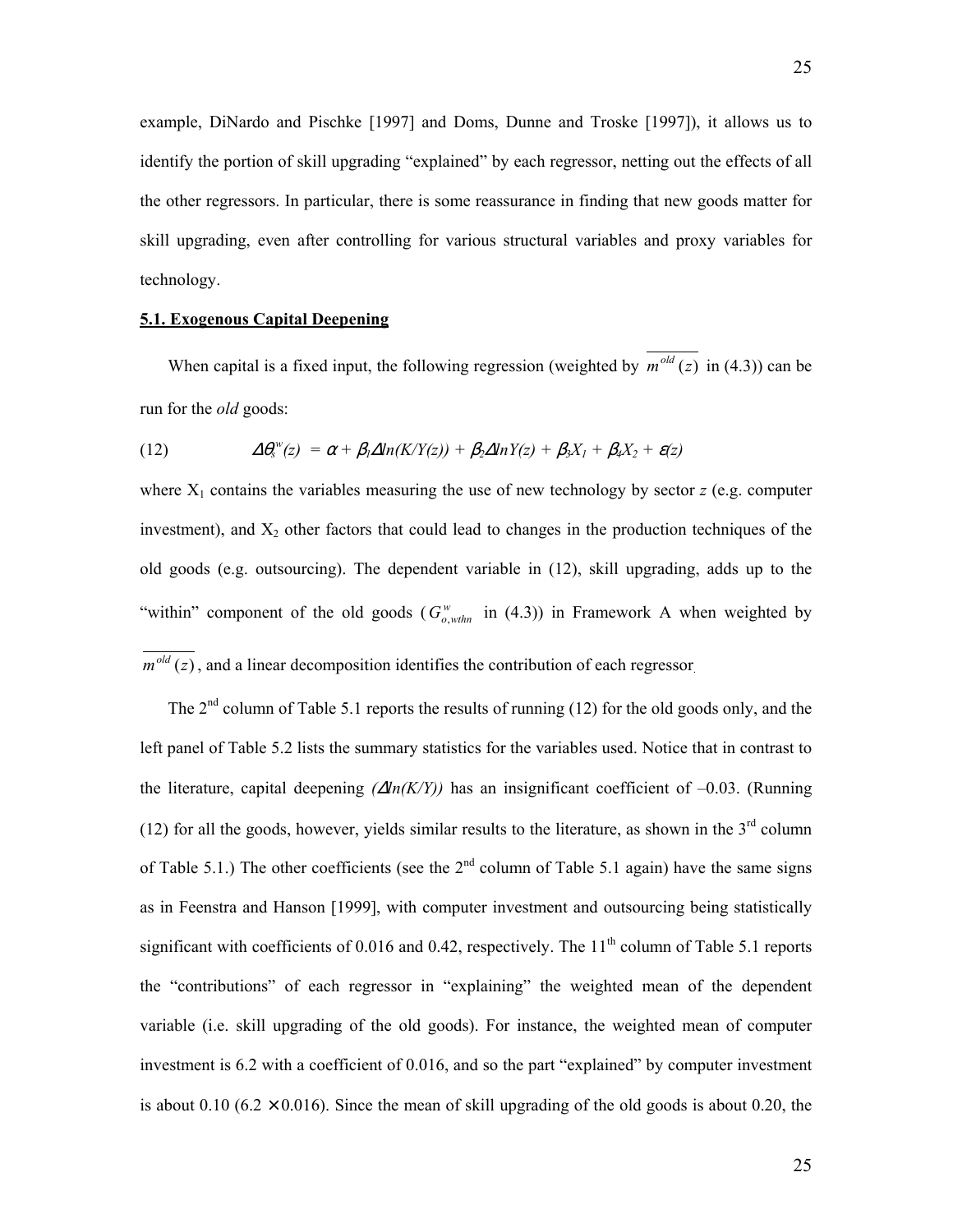example, DiNardo and Pischke [1997] and Doms, Dunne and Troske [1997]), it allows us to identify the portion of skill upgrading "explained" by each regressor, netting out the effects of all the other regressors. In particular, there is some reassurance in finding that new goods matter for skill upgrading, even after controlling for various structural variables and proxy variables for technology.

# **5.1. Exogenous Capital Deepening**

When capital is a fixed input, the following regression (weighted by  $\overline{m^{old}(z)}$  in (4.3)) can be run for the *old* goods:

(12) 
$$
\Delta \theta_s^w(z) = \alpha + \beta_1 \Delta ln(K/Y(z)) + \beta_2 \Delta lnY(z) + \beta_3 X_1 + \beta_4 X_2 + \varepsilon(z)
$$

where  $X_1$  contains the variables measuring the use of new technology by sector  $z$  (e.g. computer investment), and  $X_2$  other factors that could lead to changes in the production techniques of the old goods (e.g. outsourcing). The dependent variable in (12), skill upgrading, adds up to the "within" component of the old goods  $(G_{o,whn}^w$  in (4.3)) in Framework A when weighted by  $\overline{m^{old}(z)}$ , and a linear decomposition identifies the contribution of each regressor

The 2<sup>nd</sup> column of Table 5.1 reports the results of running (12) for the old goods only, and the left panel of Table 5.2 lists the summary statistics for the variables used. Notice that in contrast to the literature, capital deepening *(*∆*ln(K/Y))* has an insignificant coefficient of –0.03. (Running (12) for all the goods, however, yields similar results to the literature, as shown in the  $3<sup>rd</sup>$  column of Table 5.1.) The other coefficients (see the  $2<sup>nd</sup>$  column of Table 5.1 again) have the same signs as in Feenstra and Hanson [1999], with computer investment and outsourcing being statistically significant with coefficients of 0.016 and 0.42, respectively. The  $11<sup>th</sup>$  column of Table 5.1 reports the "contributions" of each regressor in "explaining" the weighted mean of the dependent variable (i.e. skill upgrading of the old goods). For instance, the weighted mean of computer investment is 6.2 with a coefficient of 0.016, and so the part "explained" by computer investment is about 0.10 (6.2  $\times$  0.016). Since the mean of skill upgrading of the old goods is about 0.20, the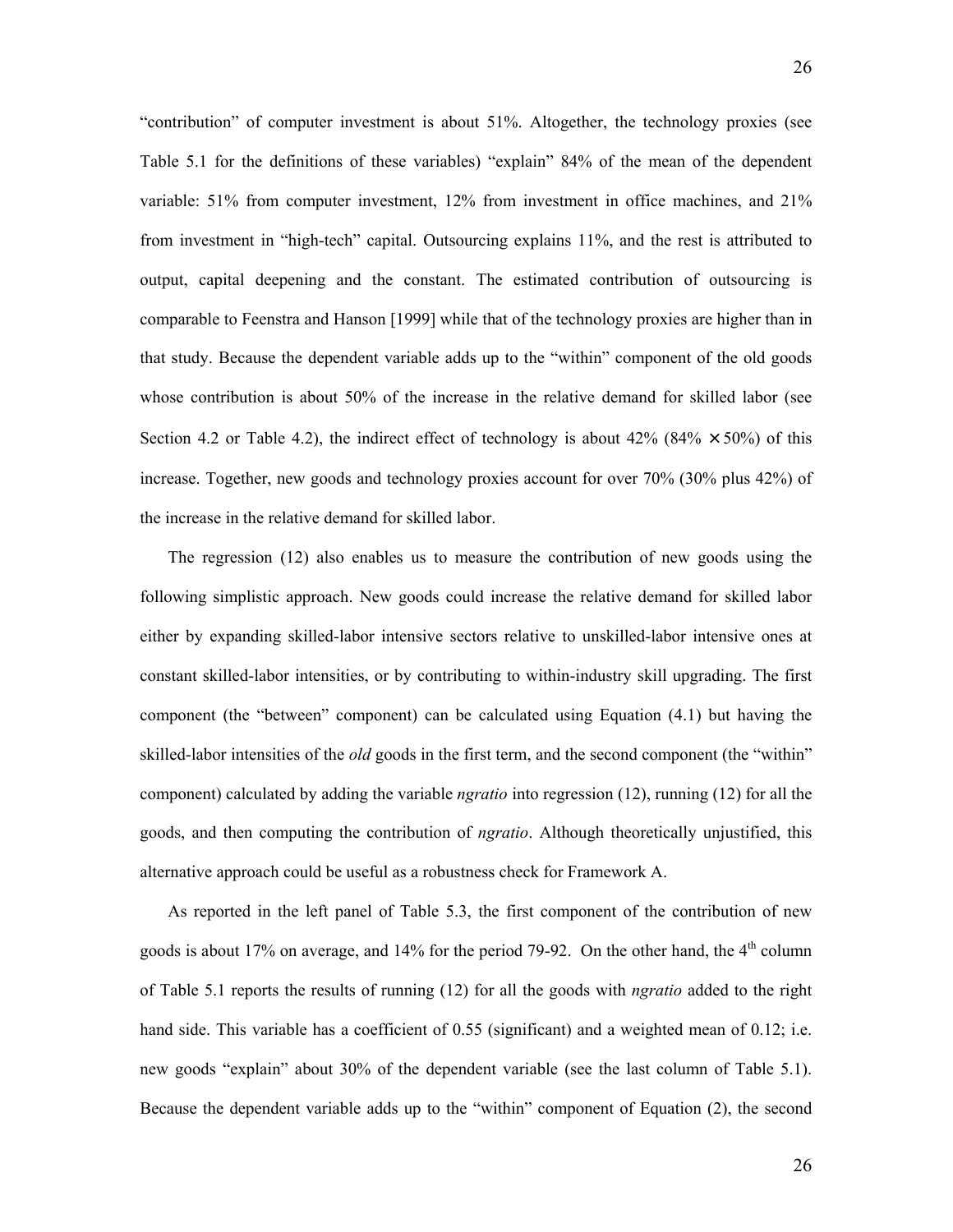"contribution" of computer investment is about 51%. Altogether, the technology proxies (see Table 5.1 for the definitions of these variables) "explain" 84% of the mean of the dependent variable: 51% from computer investment, 12% from investment in office machines, and 21% from investment in "high-tech" capital. Outsourcing explains 11%, and the rest is attributed to output, capital deepening and the constant. The estimated contribution of outsourcing is comparable to Feenstra and Hanson [1999] while that of the technology proxies are higher than in that study. Because the dependent variable adds up to the "within" component of the old goods whose contribution is about 50% of the increase in the relative demand for skilled labor (see Section 4.2 or Table 4.2), the indirect effect of technology is about  $42\%$  ( $84\% \times 50\%$ ) of this increase. Together, new goods and technology proxies account for over 70% (30% plus 42%) of the increase in the relative demand for skilled labor.

The regression (12) also enables us to measure the contribution of new goods using the following simplistic approach. New goods could increase the relative demand for skilled labor either by expanding skilled-labor intensive sectors relative to unskilled-labor intensive ones at constant skilled-labor intensities, or by contributing to within-industry skill upgrading. The first component (the "between" component) can be calculated using Equation (4.1) but having the skilled-labor intensities of the *old* goods in the first term, and the second component (the "within" component) calculated by adding the variable *ngratio* into regression (12), running (12) for all the goods, and then computing the contribution of *ngratio*. Although theoretically unjustified, this alternative approach could be useful as a robustness check for Framework A.

As reported in the left panel of Table 5.3, the first component of the contribution of new goods is about 17% on average, and 14% for the period 79-92. On the other hand, the  $4<sup>th</sup>$  column of Table 5.1 reports the results of running (12) for all the goods with *ngratio* added to the right hand side. This variable has a coefficient of 0.55 (significant) and a weighted mean of 0.12; i.e. new goods "explain" about 30% of the dependent variable (see the last column of Table 5.1). Because the dependent variable adds up to the "within" component of Equation (2), the second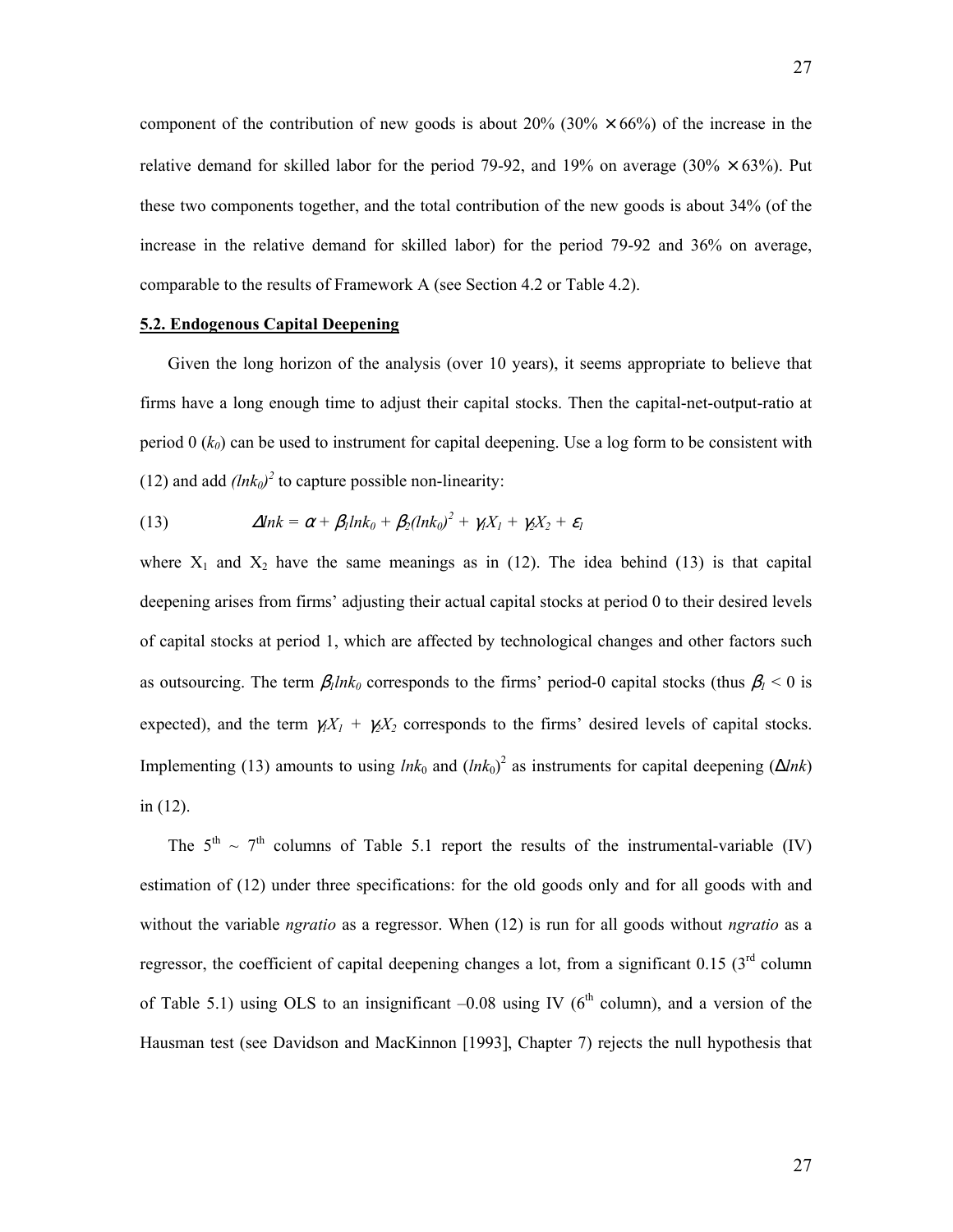component of the contribution of new goods is about  $20\%$  (30%  $\times$  66%) of the increase in the relative demand for skilled labor for the period 79-92, and 19% on average (30%  $\times$  63%). Put these two components together, and the total contribution of the new goods is about 34% (of the increase in the relative demand for skilled labor) for the period 79-92 and 36% on average, comparable to the results of Framework A (see Section 4.2 or Table 4.2).

# **5.2. Endogenous Capital Deepening**

Given the long horizon of the analysis (over 10 years), it seems appropriate to believe that firms have a long enough time to adjust their capital stocks. Then the capital-net-output-ratio at period  $0$  ( $k_0$ ) can be used to instrument for capital deepening. Use a log form to be consistent with (12) and add  $(lnk_0)^2$  to capture possible non-linearity:

(13) 
$$
\Delta lnk = \alpha + \beta_l lnk_0 + \beta_2(lnk_0)^2 + \gamma_l X_l + \gamma_2 X_2 + \varepsilon_l
$$

where  $X_1$  and  $X_2$  have the same meanings as in (12). The idea behind (13) is that capital deepening arises from firms' adjusting their actual capital stocks at period 0 to their desired levels of capital stocks at period 1, which are affected by technological changes and other factors such as outsourcing. The term  $\beta_l ln k_0$  corresponds to the firms' period-0 capital stocks (thus  $\beta_l < 0$  is expected), and the term  $\gamma_1 X_1 + \gamma_2 X_2$  corresponds to the firms' desired levels of capital stocks. Implementing (13) amounts to using  $ln k_0$  and  $(ln k_0)^2$  as instruments for capital deepening ( $\Delta ln k$ ) in (12).

The  $5<sup>th</sup> \sim 7<sup>th</sup>$  columns of Table 5.1 report the results of the instrumental-variable (IV) estimation of (12) under three specifications: for the old goods only and for all goods with and without the variable *ngratio* as a regressor. When (12) is run for all goods without *ngratio* as a regressor, the coefficient of capital deepening changes a lot, from a significant  $0.15$  (3<sup>rd</sup> column of Table 5.1) using OLS to an insignificant  $-0.08$  using IV ( $6<sup>th</sup>$  column), and a version of the Hausman test (see Davidson and MacKinnon [1993], Chapter 7) rejects the null hypothesis that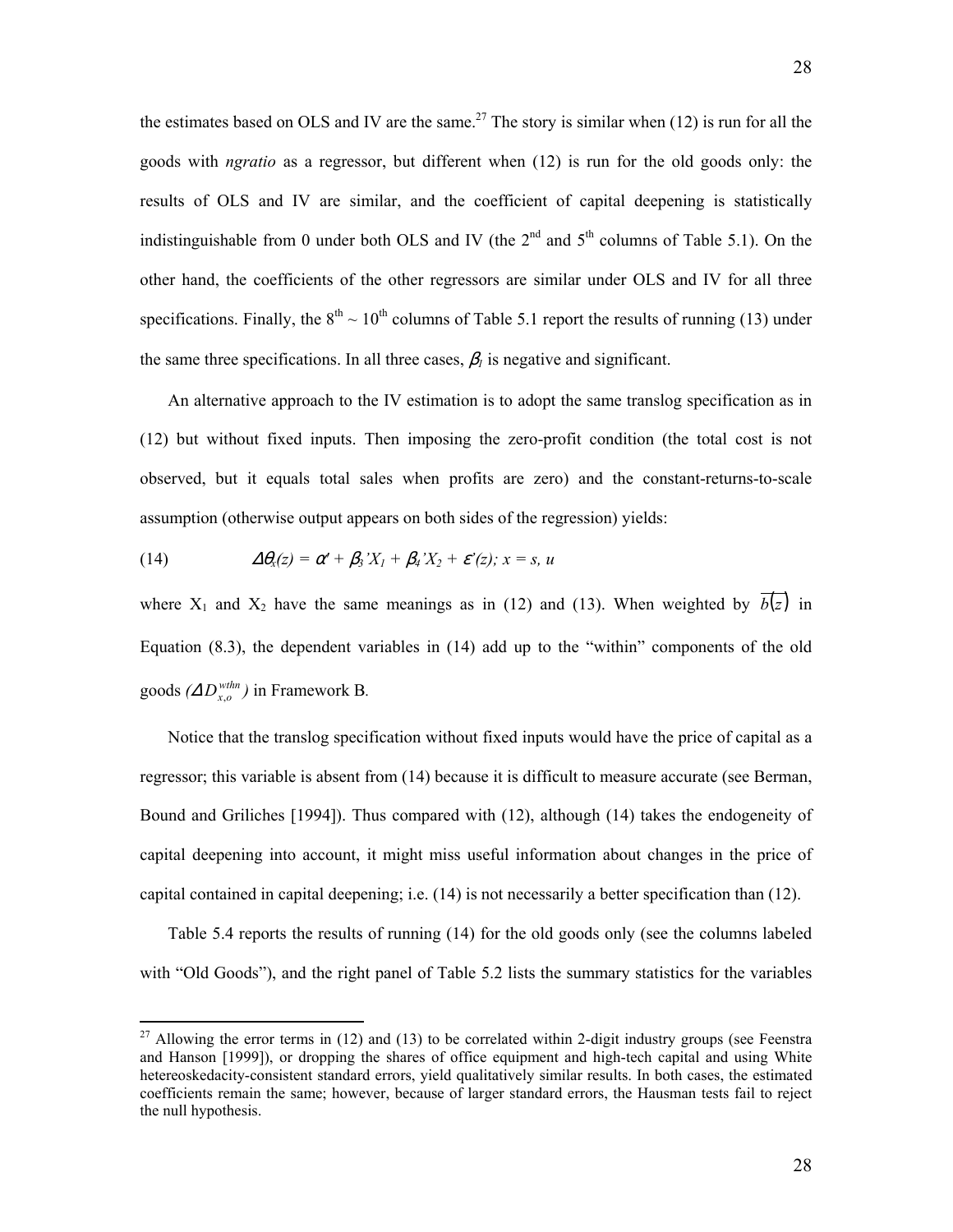the estimates based on OLS and IV are the same.<sup>[27](#page-29-0)</sup> The story is similar when  $(12)$  is run for all the goods with *ngratio* as a regressor, but different when (12) is run for the old goods only: the results of OLS and IV are similar, and the coefficient of capital deepening is statistically indistinguishable from 0 under both OLS and IV (the  $2<sup>nd</sup>$  and  $5<sup>th</sup>$  columns of Table 5.1). On the other hand, the coefficients of the other regressors are similar under OLS and IV for all three specifications. Finally, the  $8<sup>th</sup> \sim 10<sup>th</sup>$  columns of Table 5.1 report the results of running (13) under the same three specifications. In all three cases,  $\beta_l$  is negative and significant.

An alternative approach to the IV estimation is to adopt the same translog specification as in (12) but without fixed inputs. Then imposing the zero-profit condition (the total cost is not observed, but it equals total sales when profits are zero) and the constant-returns-to-scale assumption (otherwise output appears on both sides of the regression) yields:

(14) 
$$
\Delta \theta_x(z) = \alpha' + \beta_3' X_1 + \beta_4' X_2 + \varepsilon'(z); x = s, u
$$

1

where  $X_1$  and  $X_2$  have the same meanings as in (12) and (13). When weighted by  $\overline{b(z)}$  in Equation (8.3), the dependent variables in (14) add up to the "within" components of the old goods  $(\Delta D_{x,o}^{whn})$  in Framework B.

Notice that the translog specification without fixed inputs would have the price of capital as a regressor; this variable is absent from (14) because it is difficult to measure accurate (see Berman, Bound and Griliches [1994]). Thus compared with (12), although (14) takes the endogeneity of capital deepening into account, it might miss useful information about changes in the price of capital contained in capital deepening; i.e. (14) is not necessarily a better specification than (12).

Table 5.4 reports the results of running (14) for the old goods only (see the columns labeled with "Old Goods"), and the right panel of Table 5.2 lists the summary statistics for the variables

<span id="page-29-0"></span><sup>&</sup>lt;sup>27</sup> Allowing the error terms in (12) and (13) to be correlated within 2-digit industry groups (see Feenstra and Hanson [1999]), or dropping the shares of office equipment and high-tech capital and using White hetereoskedacity-consistent standard errors, yield qualitatively similar results. In both cases, the estimated coefficients remain the same; however, because of larger standard errors, the Hausman tests fail to reject the null hypothesis.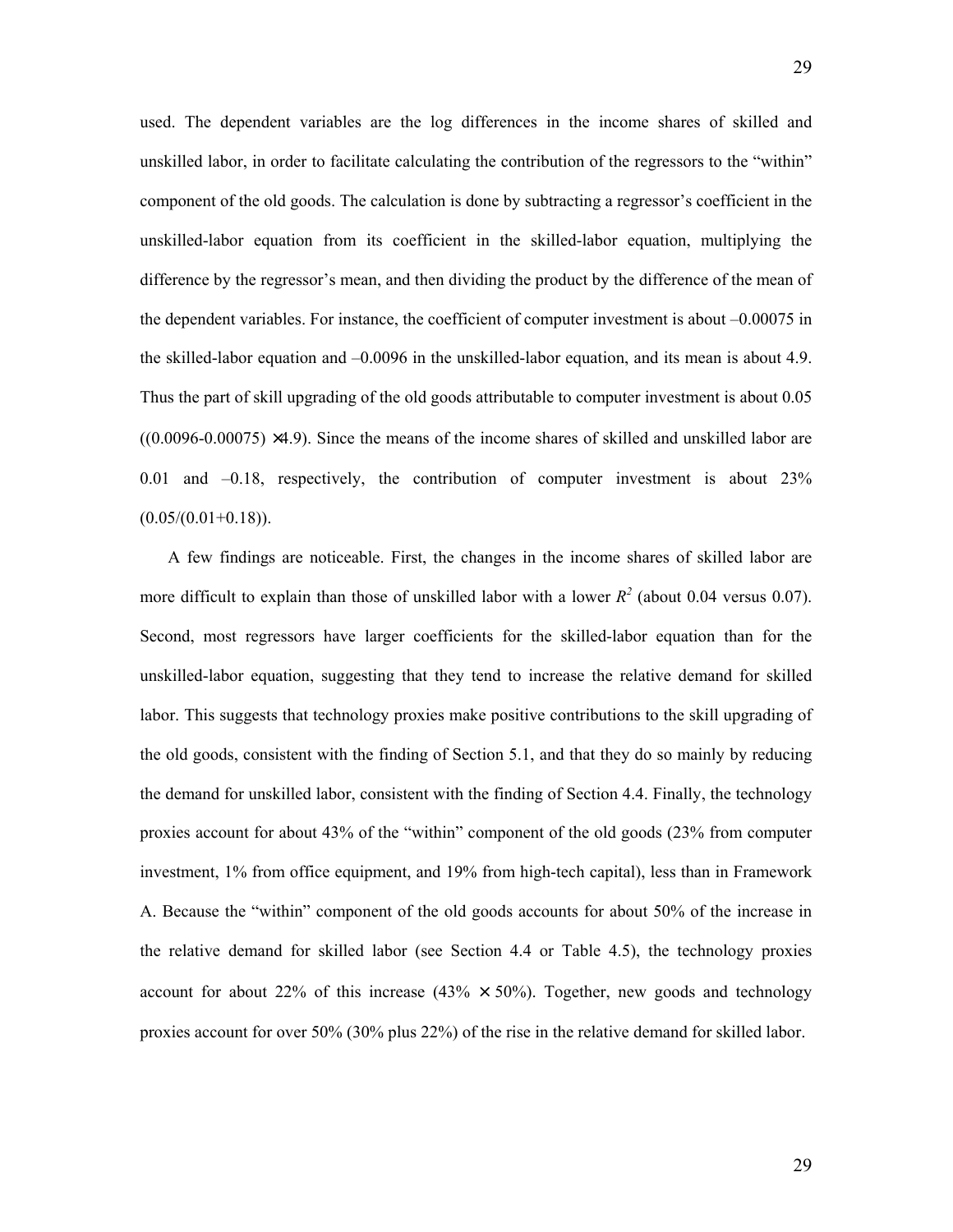used. The dependent variables are the log differences in the income shares of skilled and unskilled labor, in order to facilitate calculating the contribution of the regressors to the "within" component of the old goods. The calculation is done by subtracting a regressor's coefficient in the unskilled-labor equation from its coefficient in the skilled-labor equation, multiplying the difference by the regressor's mean, and then dividing the product by the difference of the mean of the dependent variables. For instance, the coefficient of computer investment is about –0.00075 in the skilled-labor equation and –0.0096 in the unskilled-labor equation, and its mean is about 4.9. Thus the part of skill upgrading of the old goods attributable to computer investment is about 0.05  $((0.0096-0.00075) \times 4.9)$ . Since the means of the income shares of skilled and unskilled labor are 0.01 and –0.18, respectively, the contribution of computer investment is about 23%  $(0.05/(0.01+0.18))$ .

A few findings are noticeable. First, the changes in the income shares of skilled labor are more difficult to explain than those of unskilled labor with a lower  $R^2$  (about 0.04 versus 0.07). Second, most regressors have larger coefficients for the skilled-labor equation than for the unskilled-labor equation, suggesting that they tend to increase the relative demand for skilled labor. This suggests that technology proxies make positive contributions to the skill upgrading of the old goods, consistent with the finding of Section 5.1, and that they do so mainly by reducing the demand for unskilled labor, consistent with the finding of Section 4.4. Finally, the technology proxies account for about 43% of the "within" component of the old goods (23% from computer investment, 1% from office equipment, and 19% from high-tech capital), less than in Framework A. Because the "within" component of the old goods accounts for about 50% of the increase in the relative demand for skilled labor (see Section 4.4 or Table 4.5), the technology proxies account for about 22% of this increase (43%  $\times$  50%). Together, new goods and technology proxies account for over 50% (30% plus 22%) of the rise in the relative demand for skilled labor.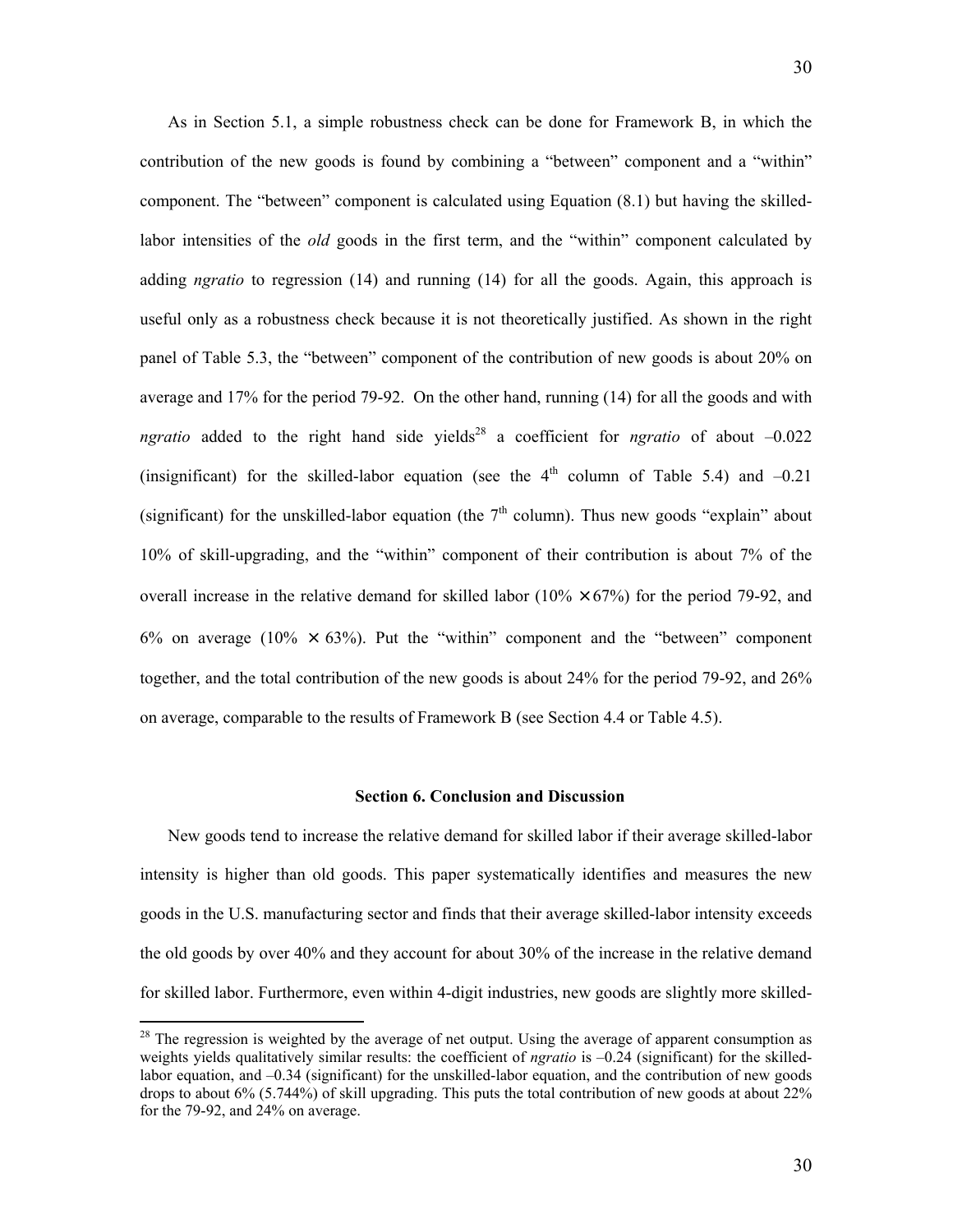As in Section 5.1, a simple robustness check can be done for Framework B, in which the contribution of the new goods is found by combining a "between" component and a "within" component. The "between" component is calculated using Equation (8.1) but having the skilledlabor intensities of the *old* goods in the first term, and the "within" component calculated by adding *ngratio* to regression (14) and running (14) for all the goods. Again, this approach is useful only as a robustness check because it is not theoretically justified. As shown in the right panel of Table 5.3, the "between" component of the contribution of new goods is about 20% on average and 17% for the period 79-92. On the other hand, running (14) for all the goods and with *ngratio* added to the right hand side yields<sup>28</sup> a coefficient for *ngratio* of about  $-0.022$ (insignificant) for the skilled-labor equation (see the  $4<sup>th</sup>$  column of Table 5.4) and  $-0.21$ (significant) for the unskilled-labor equation (the  $7<sup>th</sup>$  column). Thus new goods "explain" about 10% of skill-upgrading, and the "within" component of their contribution is about 7% of the overall increase in the relative demand for skilled labor  $(10\% \times 67\%)$  for the period 79-92, and 6% on average (10%  $\times$  63%). Put the "within" component and the "between" component together, and the total contribution of the new goods is about 24% for the period 79-92, and 26% on average, comparable to the results of Framework B (see Section 4.4 or Table 4.5).

### **Section 6. Conclusion and Discussion**

New goods tend to increase the relative demand for skilled labor if their average skilled-labor intensity is higher than old goods. This paper systematically identifies and measures the new goods in the U.S. manufacturing sector and finds that their average skilled-labor intensity exceeds the old goods by over 40% and they account for about 30% of the increase in the relative demand for skilled labor. Furthermore, even within 4-digit industries, new goods are slightly more skilled-

<span id="page-31-0"></span> $28$  The regression is weighted by the average of net output. Using the average of apparent consumption as weights yields qualitatively similar results: the coefficient of *ngratio* is –0.24 (significant) for the skilledlabor equation, and –0.34 (significant) for the unskilled-labor equation, and the contribution of new goods drops to about 6% (5.744%) of skill upgrading. This puts the total contribution of new goods at about 22% for the 79-92, and 24% on average.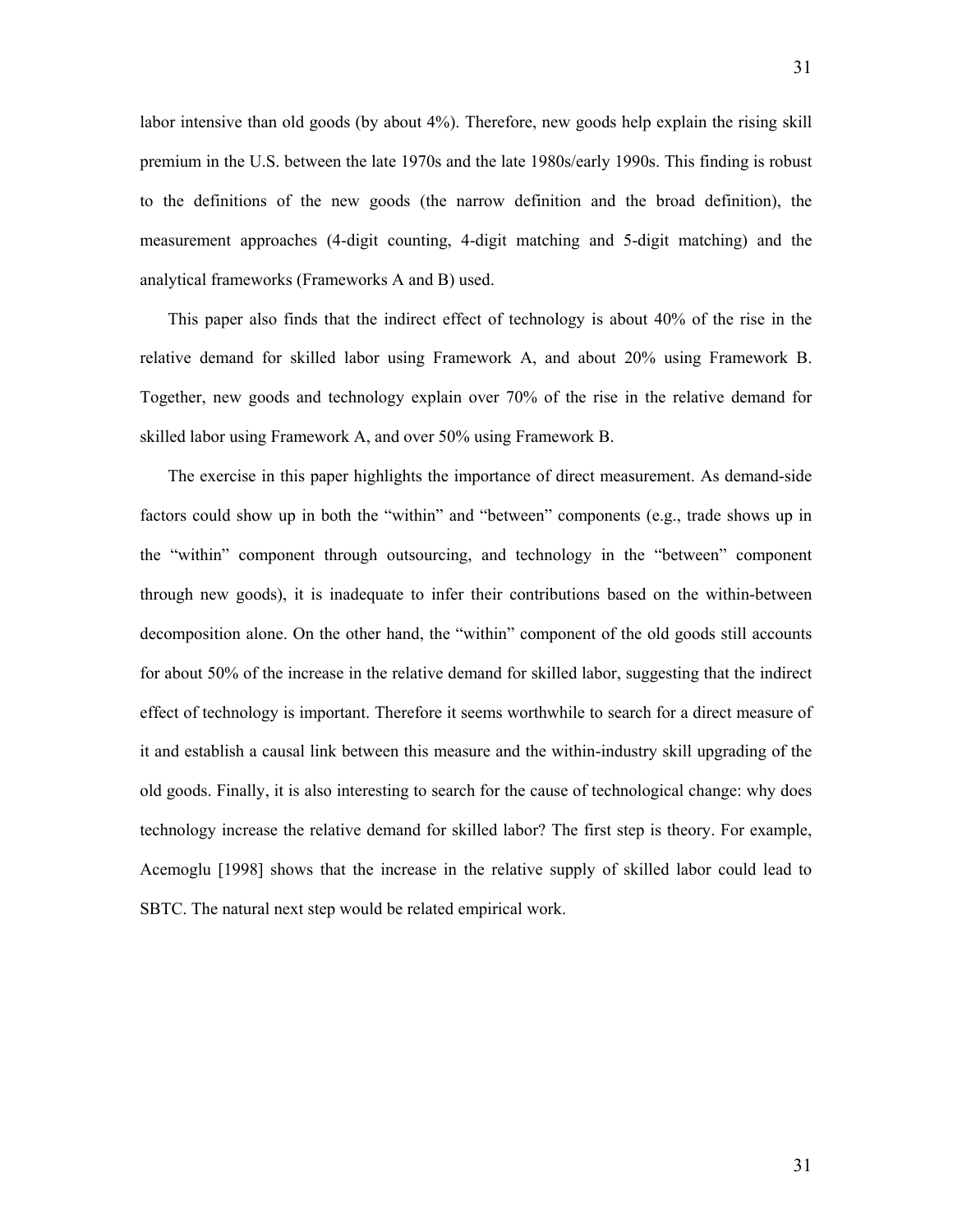labor intensive than old goods (by about 4%). Therefore, new goods help explain the rising skill premium in the U.S. between the late 1970s and the late 1980s/early 1990s. This finding is robust to the definitions of the new goods (the narrow definition and the broad definition), the measurement approaches (4-digit counting, 4-digit matching and 5-digit matching) and the analytical frameworks (Frameworks A and B) used.

This paper also finds that the indirect effect of technology is about 40% of the rise in the relative demand for skilled labor using Framework A, and about 20% using Framework B. Together, new goods and technology explain over 70% of the rise in the relative demand for skilled labor using Framework A, and over 50% using Framework B.

The exercise in this paper highlights the importance of direct measurement. As demand-side factors could show up in both the "within" and "between" components (e.g., trade shows up in the "within" component through outsourcing, and technology in the "between" component through new goods), it is inadequate to infer their contributions based on the within-between decomposition alone. On the other hand, the "within" component of the old goods still accounts for about 50% of the increase in the relative demand for skilled labor, suggesting that the indirect effect of technology is important. Therefore it seems worthwhile to search for a direct measure of it and establish a causal link between this measure and the within-industry skill upgrading of the old goods. Finally, it is also interesting to search for the cause of technological change: why does technology increase the relative demand for skilled labor? The first step is theory. For example, Acemoglu [1998] shows that the increase in the relative supply of skilled labor could lead to SBTC. The natural next step would be related empirical work.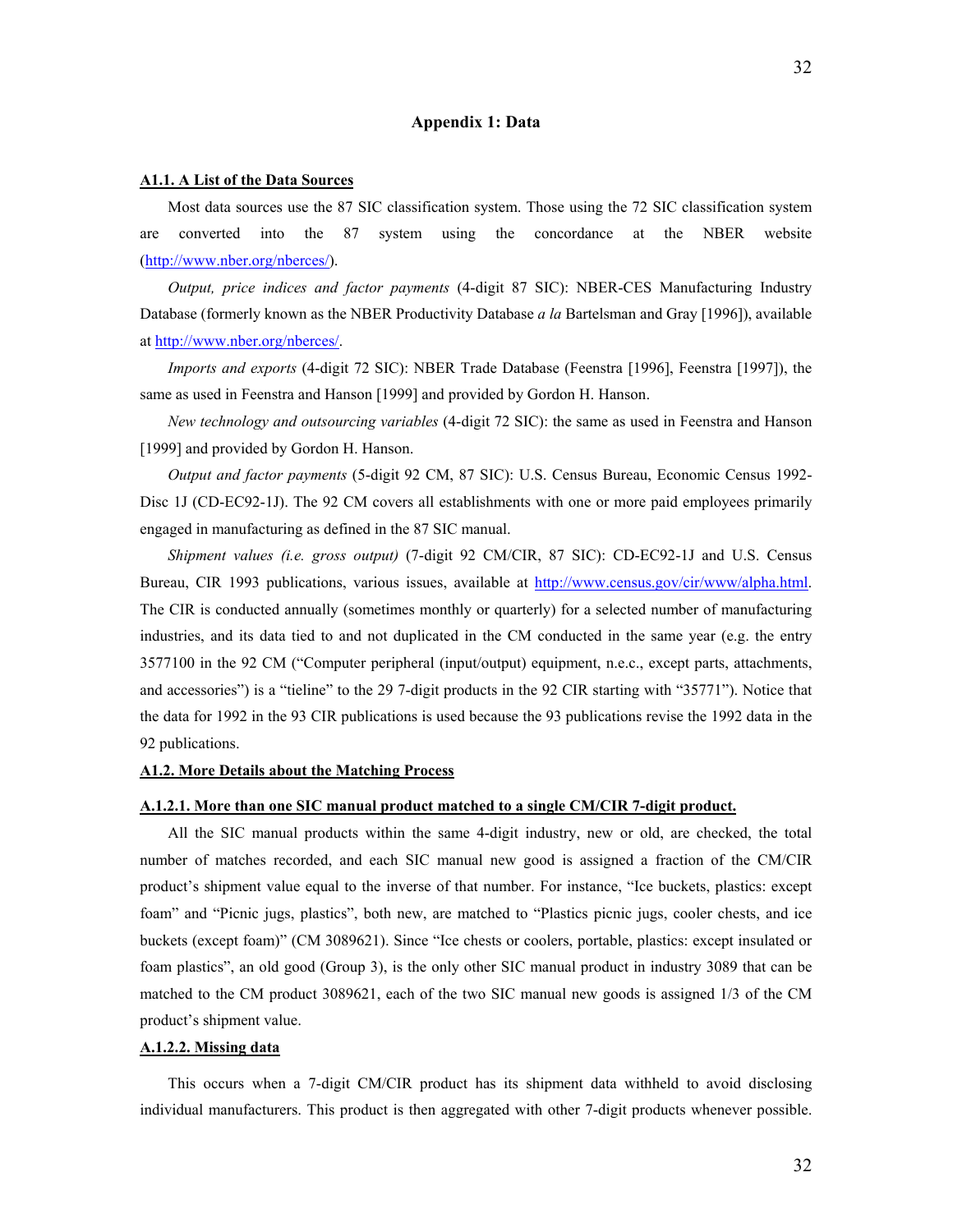#### **Appendix 1: Data**

#### **A1.1. A List of the Data Sources**

Most data sources use the 87 SIC classification system. Those using the 72 SIC classification system are converted into the 87 system using the concordance at the NBER website [\(http://www.nber.org/nberces/\)](http://www.nber.org/nberces/).

*Output, price indices and factor payments* (4-digit 87 SIC): NBER-CES Manufacturing Industry Database (formerly known as the NBER Productivity Database *a la* Bartelsman and Gray [1996]), available at [http://www.nber.org/nberces/.](http://www.nber.org/nberces/)

*Imports and exports* (4-digit 72 SIC): NBER Trade Database (Feenstra [1996], Feenstra [1997]), the same as used in Feenstra and Hanson [1999] and provided by Gordon H. Hanson.

*New technology and outsourcing variables* (4-digit 72 SIC): the same as used in Feenstra and Hanson [1999] and provided by Gordon H. Hanson.

*Output and factor payments* (5-digit 92 CM, 87 SIC): U.S. Census Bureau, Economic Census 1992- Disc 1J (CD-EC92-1J). The 92 CM covers all establishments with one or more paid employees primarily engaged in manufacturing as defined in the 87 SIC manual.

*Shipment values (i.e. gross output)* (7-digit 92 CM/CIR, 87 SIC): CD-EC92-1J and U.S. Census Bureau, CIR 1993 publications, various issues, available at <http://www.census.gov/cir/www/alpha.html>. The CIR is conducted annually (sometimes monthly or quarterly) for a selected number of manufacturing industries, and its data tied to and not duplicated in the CM conducted in the same year (e.g. the entry 3577100 in the 92 CM ("Computer peripheral (input/output) equipment, n.e.c., except parts, attachments, and accessories") is a "tieline" to the 29 7-digit products in the 92 CIR starting with "35771"). Notice that the data for 1992 in the 93 CIR publications is used because the 93 publications revise the 1992 data in the 92 publications.

#### **A1.2. More Details about the Matching Process**

# **A.1.2.1. More than one SIC manual product matched to a single CM/CIR 7-digit product.**

All the SIC manual products within the same 4-digit industry, new or old, are checked, the total number of matches recorded, and each SIC manual new good is assigned a fraction of the CM/CIR product's shipment value equal to the inverse of that number. For instance, "Ice buckets, plastics: except foam" and "Picnic jugs, plastics", both new, are matched to "Plastics picnic jugs, cooler chests, and ice buckets (except foam)" (CM 3089621). Since "Ice chests or coolers, portable, plastics: except insulated or foam plastics", an old good (Group 3), is the only other SIC manual product in industry 3089 that can be matched to the CM product 3089621, each of the two SIC manual new goods is assigned 1/3 of the CM product's shipment value.

#### **A.1.2.2. Missing data**

This occurs when a 7-digit CM/CIR product has its shipment data withheld to avoid disclosing individual manufacturers. This product is then aggregated with other 7-digit products whenever possible.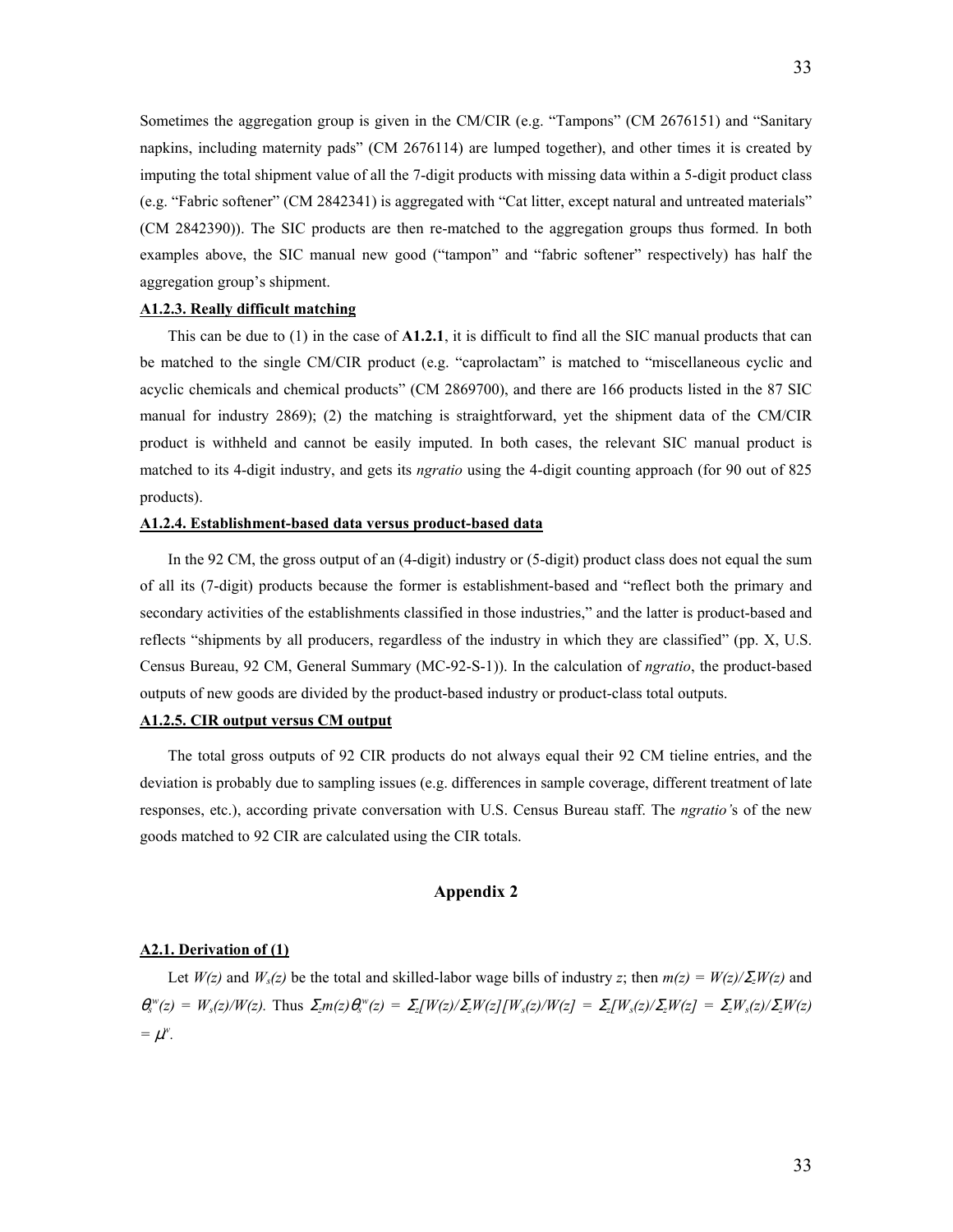Sometimes the aggregation group is given in the CM/CIR (e.g. "Tampons" (CM 2676151) and "Sanitary napkins, including maternity pads" (CM 2676114) are lumped together), and other times it is created by imputing the total shipment value of all the 7-digit products with missing data within a 5-digit product class (e.g. "Fabric softener" (CM 2842341) is aggregated with "Cat litter, except natural and untreated materials" (CM 2842390)). The SIC products are then re-matched to the aggregation groups thus formed. In both examples above, the SIC manual new good ("tampon" and "fabric softener" respectively) has half the aggregation group's shipment.

# **A1.2.3. Really difficult matching**

This can be due to (1) in the case of **A1.2.1**, it is difficult to find all the SIC manual products that can be matched to the single CM/CIR product (e.g. "caprolactam" is matched to "miscellaneous cyclic and acyclic chemicals and chemical products" (CM 2869700), and there are 166 products listed in the 87 SIC manual for industry 2869); (2) the matching is straightforward, yet the shipment data of the CM/CIR product is withheld and cannot be easily imputed. In both cases, the relevant SIC manual product is matched to its 4-digit industry, and gets its *ngratio* using the 4-digit counting approach (for 90 out of 825 products).

#### **A1.2.4. Establishment-based data versus product-based data**

In the 92 CM, the gross output of an (4-digit) industry or (5-digit) product class does not equal the sum of all its (7-digit) products because the former is establishment-based and "reflect both the primary and secondary activities of the establishments classified in those industries," and the latter is product-based and reflects "shipments by all producers, regardless of the industry in which they are classified" (pp. X, U.S. Census Bureau, 92 CM, General Summary (MC-92-S-1)). In the calculation of *ngratio*, the product-based outputs of new goods are divided by the product-based industry or product-class total outputs.

#### **A1.2.5. CIR output versus CM output**

The total gross outputs of 92 CIR products do not always equal their 92 CM tieline entries, and the deviation is probably due to sampling issues (e.g. differences in sample coverage, different treatment of late responses, etc.), according private conversation with U.S. Census Bureau staff. The *ngratio'*s of the new goods matched to 92 CIR are calculated using the CIR totals.

### **Appendix 2**

#### **A2.1. Derivation of (1)**

Let  $W(z)$  and  $W_s(z)$  be the total and skilled-labor wage bills of industry *z*; then  $m(z) = W(z)/\Sigma W(z)$  and  $\theta_s^{\{w\}}(z) = W_s(z)/W(z)$ . Thus  $\Sigma_z m(z) \theta_s^{\{w\}}(z) = \Sigma_z[W(z)/\Sigma_z W(z)] [W_s(z)/W(z)] = \Sigma_z[W_s(z)/\Sigma_z W(z)] = \Sigma_z W_s(z)/\Sigma_z W(z)$  $= \mu^w$ .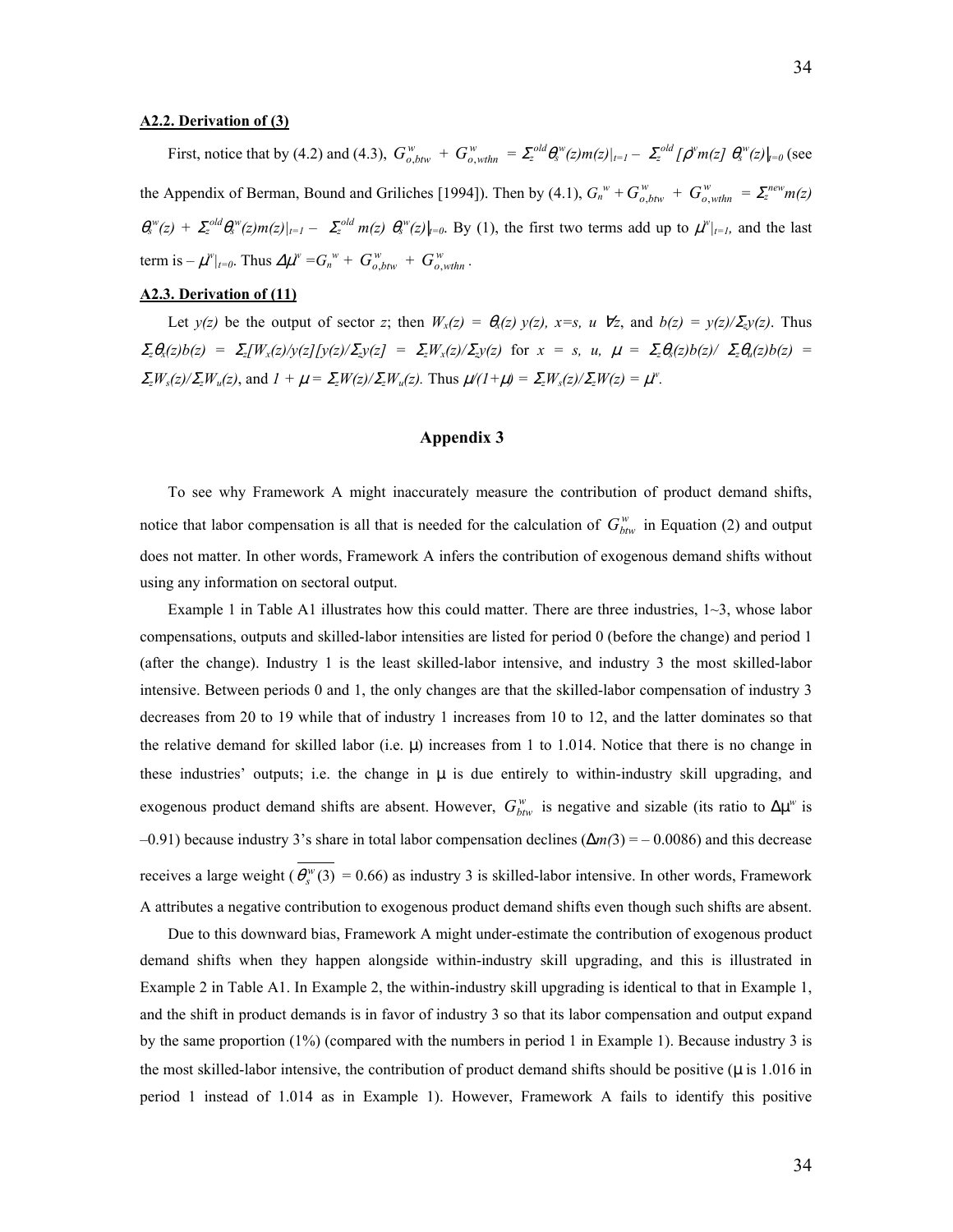#### **A2.2. Derivation of (3)**

First, notice that by (4.2) and (4.3),  $G_{o,btw}^w + G_{o,wthn}^w = \sum_{z}^{old} \theta_s^w(z) m(z)|_{t=1} - \sum_{z}^{old} [\rho^w m(z) \theta_s^w(z)|_{t=0})$  (see  $\lim_{M \to \infty} \int_{-\infty}^{w} f(x) dx$  *w o m = G<sub>n</sub><sup>w</sup> + G<sub>o</sub>*, *wth*<sub>*w*</sub> *+ G<sub>o</sub><sub>, <i>wthn*</sub> *e*. the Appendix of Berman, Bound and Griliches [1994]). Then by (4.1),  $G_n^w + G_{o, b\ell w}^w + G_{o, w\ell h n}^w = \sum_{z}^{n\epsilon w} m(z)$  $\theta_s^{\nu}(z) + \sum_2^{old} \theta_s^{\nu}(z) m(z)|_{t=1} - \sum_2^{old} m(z) \theta_s^{\nu}(z)|_{t=0}$ . By (1), the first two terms add up to  $\mu^{\nu}|_{t=1}$ , and the last

#### **A2.3. Derivation of (11)**

Let  $y(z)$  be the output of sector *z*; then  $W_x(z) = \theta_x(z)$   $y(z)$ ,  $x=s$ ,  $u \forall z$ , and  $b(z) = y(z)/\Sigma_z y(z)$ . Thus *Σ<sub>z</sub>*θ<sub>*x*</sub>(z)b(z) = Σ<sub>z</sub>[W<sub>*x*</sub>(z)/y(z][y(z)/Σ<sub>z</sub>y(z] = Σ<sub>z</sub>W<sub>*x*</sub>(z)/Σ<sub>z</sub>y(z) for *x* = *s*, *u*,  $\mu = \sum_z \theta_s(z)b(z)/\sum_z \theta_u(z)b(z)$  =  $\sum_z W_s(z)/\sum_z W_u(z)$ , and  $I + \mu = \sum_z W(z)/\sum_z W_u(z)$ . Thus  $\mu/(I + \mu) = \sum_z W_s(z)/\sum_z W(z) = \mu^w$ .

# **Appendix 3**

To see why Framework A might inaccurately measure the contribution of product demand shifts, notice that labor compensation is all that is needed for the calculation of  $G_{bw}^w$  in Equation (2) and output does not matter. In other words, Framework A infers the contribution of exogenous demand shifts without using any information on sectoral output.

Example 1 in Table A1 illustrates how this could matter. There are three industries,  $1\sim3$ , whose labor compensations, outputs and skilled-labor intensities are listed for period 0 (before the change) and period 1 (after the change). Industry 1 is the least skilled-labor intensive, and industry 3 the most skilled-labor intensive. Between periods 0 and 1, the only changes are that the skilled-labor compensation of industry 3 decreases from 20 to 19 while that of industry 1 increases from 10 to 12, and the latter dominates so that the relative demand for skilled labor (i.e.  $\mu$ ) increases from 1 to 1.014. Notice that there is no change in these industries' outputs; i.e. the change in  $\mu$  is due entirely to within-industry skill upgrading, and exogenous product demand shifts are absent. However,  $G_{bw}^w$  is negative and sizable (its ratio to  $\Delta \mu^w$  is –0.91) because industry 3's share in total labor compensation declines (∆*m(*3) = – 0.0086) and this decrease receives a large weight  $\left( \overline{\theta_s^w(3)} \right) = 0.66$ ) as industry 3 is skilled-labor intensive. In other words, Framework A attributes a negative contribution to exogenous product demand shifts even though such shifts are absent.

Due to this downward bias, Framework A might under-estimate the contribution of exogenous product demand shifts when they happen alongside within-industry skill upgrading, and this is illustrated in Example 2 in Table A1. In Example 2, the within-industry skill upgrading is identical to that in Example 1, and the shift in product demands is in favor of industry 3 so that its labor compensation and output expand by the same proportion (1%) (compared with the numbers in period 1 in Example 1). Because industry 3 is the most skilled-labor intensive, the contribution of product demand shifts should be positive ( $\mu$  is 1.016 in period 1 instead of 1.014 as in Example 1). However, Framework A fails to identify this positive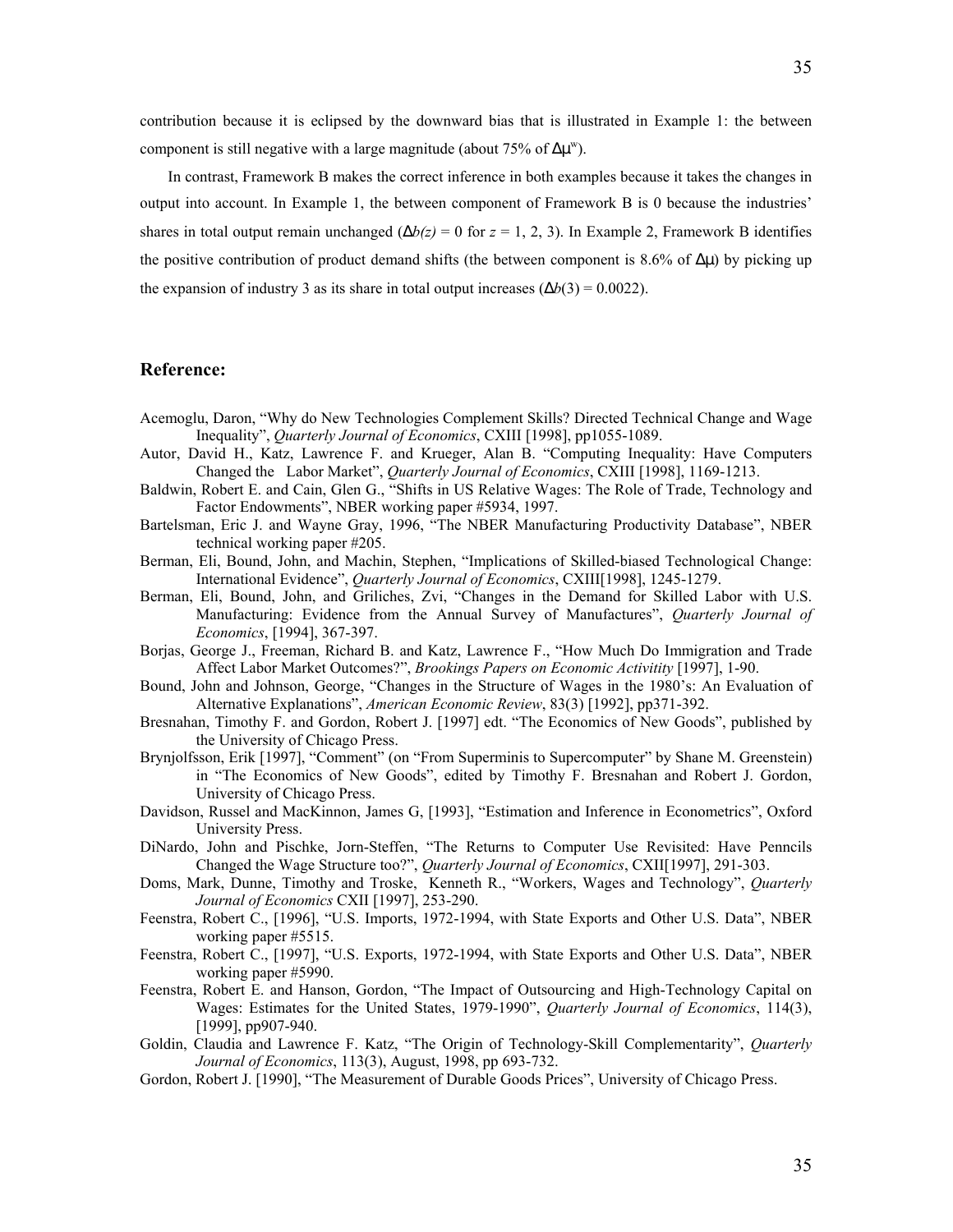contribution because it is eclipsed by the downward bias that is illustrated in Example 1: the between component is still negative with a large magnitude (about 75% of  $\Delta \mu^w$ ).

In contrast, Framework B makes the correct inference in both examples because it takes the changes in output into account. In Example 1, the between component of Framework B is 0 because the industries' shares in total output remain unchanged  $(\Delta b(z) = 0$  for  $z = 1, 2, 3$ ). In Example 2, Framework B identifies the positive contribution of product demand shifts (the between component is 8.6% of  $\Delta \mu$ ) by picking up the expansion of industry 3 as its share in total output increases ( $\Delta b(3) = 0.0022$ ).

# **Reference:**

- Acemoglu, Daron, "Why do New Technologies Complement Skills? Directed Technical Change and Wage Inequality", *Quarterly Journal of Economics*, CXIII [1998], pp1055-1089.
- Autor, David H., Katz, Lawrence F. and Krueger, Alan B. "Computing Inequality: Have Computers Changed the Labor Market", *Quarterly Journal of Economics*, CXIII [1998], 1169-1213.
- Baldwin, Robert E. and Cain, Glen G., "Shifts in US Relative Wages: The Role of Trade, Technology and Factor Endowments", NBER working paper #5934, 1997.
- Bartelsman, Eric J. and Wayne Gray, 1996, "The NBER Manufacturing Productivity Database", NBER technical working paper #205.
- Berman, Eli, Bound, John, and Machin, Stephen, "Implications of Skilled-biased Technological Change: International Evidence", *Quarterly Journal of Economics*, CXIII[1998], 1245-1279.
- Berman, Eli, Bound, John, and Griliches, Zvi, "Changes in the Demand for Skilled Labor with U.S. Manufacturing: Evidence from the Annual Survey of Manufactures", *Quarterly Journal of Economics*, [1994], 367-397.
- Borjas, George J., Freeman, Richard B. and Katz, Lawrence F., "How Much Do Immigration and Trade Affect Labor Market Outcomes?", *Brookings Papers on Economic Activitity* [1997], 1-90.
- Bound, John and Johnson, George, "Changes in the Structure of Wages in the 1980's: An Evaluation of Alternative Explanations", *American Economic Review*, 83(3) [1992], pp371-392.
- Bresnahan, Timothy F. and Gordon, Robert J. [1997] edt. "The Economics of New Goods", published by the University of Chicago Press.
- Brynjolfsson, Erik [1997], "Comment" (on "From Superminis to Supercomputer" by Shane M. Greenstein) in "The Economics of New Goods", edited by Timothy F. Bresnahan and Robert J. Gordon, University of Chicago Press.
- Davidson, Russel and MacKinnon, James G, [1993], "Estimation and Inference in Econometrics", Oxford University Press.
- DiNardo, John and Pischke, Jorn-Steffen, "The Returns to Computer Use Revisited: Have Penncils Changed the Wage Structure too?", *Quarterly Journal of Economics*, CXII[1997], 291-303.
- Doms, Mark, Dunne, Timothy and Troske, Kenneth R., "Workers, Wages and Technology", *Quarterly Journal of Economics* CXII [1997], 253-290.
- Feenstra, Robert C., [1996], "U.S. Imports, 1972-1994, with State Exports and Other U.S. Data", NBER working paper #5515.
- Feenstra, Robert C., [1997], "U.S. Exports, 1972-1994, with State Exports and Other U.S. Data", NBER working paper #5990.
- Feenstra, Robert E. and Hanson, Gordon, "The Impact of Outsourcing and High-Technology Capital on Wages: Estimates for the United States, 1979-1990", *Quarterly Journal of Economics*, 114(3), [1999], pp907-940.
- Goldin, Claudia and Lawrence F. Katz, "The Origin of Technology-Skill Complementarity", *Quarterly Journal of Economics*, 113(3), August, 1998, pp 693-732.
- Gordon, Robert J. [1990], "The Measurement of Durable Goods Prices", University of Chicago Press.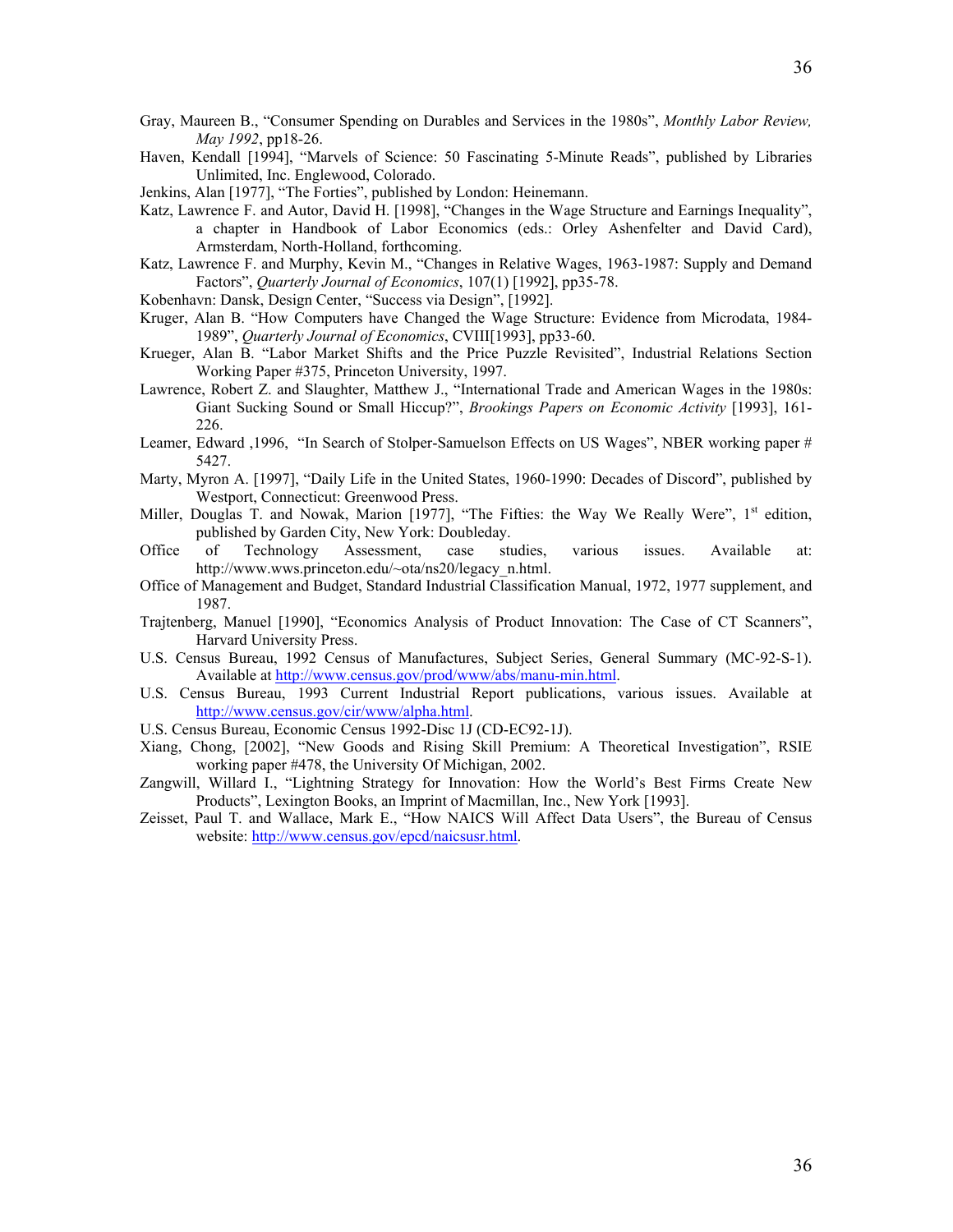- Gray, Maureen B., "Consumer Spending on Durables and Services in the 1980s", *Monthly Labor Review, May 1992*, pp18-26.
- Haven, Kendall [1994], "Marvels of Science: 50 Fascinating 5-Minute Reads", published by Libraries Unlimited, Inc. Englewood, Colorado.
- Jenkins, Alan [1977], "The Forties", published by London: Heinemann.
- Katz, Lawrence F. and Autor, David H. [1998], "Changes in the Wage Structure and Earnings Inequality", a chapter in Handbook of Labor Economics (eds.: Orley Ashenfelter and David Card), Armsterdam, North-Holland, forthcoming.
- Katz, Lawrence F. and Murphy, Kevin M., "Changes in Relative Wages, 1963-1987: Supply and Demand Factors", *Quarterly Journal of Economics*, 107(1) [1992], pp35-78.
- Kobenhavn: Dansk, Design Center, "Success via Design", [1992].
- Kruger, Alan B. "How Computers have Changed the Wage Structure: Evidence from Microdata, 1984- 1989", *Quarterly Journal of Economics*, CVIII[1993], pp33-60.
- Krueger, Alan B. "Labor Market Shifts and the Price Puzzle Revisited", Industrial Relations Section Working Paper #375, Princeton University, 1997.
- Lawrence, Robert Z. and Slaughter, Matthew J., "International Trade and American Wages in the 1980s: Giant Sucking Sound or Small Hiccup?", *Brookings Papers on Economic Activity* [1993], 161- 226.
- Leamer, Edward ,1996, "In Search of Stolper-Samuelson Effects on US Wages", NBER working paper # 5427.
- Marty, Myron A. [1997], "Daily Life in the United States, 1960-1990: Decades of Discord", published by Westport, Connecticut: Greenwood Press.
- Miller, Douglas T. and Nowak, Marion [1977], "The Fifties: the Way We Really Were", 1<sup>st</sup> edition, published by Garden City, New York: Doubleday.
- Office of Technology Assessment, case studies, various issues. Available at: http://www.wws.princeton.edu/~ota/ns20/legacy\_n.html.
- Office of Management and Budget, Standard Industrial Classification Manual, 1972, 1977 supplement, and 1987.
- Trajtenberg, Manuel [1990], "Economics Analysis of Product Innovation: The Case of CT Scanners", Harvard University Press.
- U.S. Census Bureau, 1992 Census of Manufactures, Subject Series, General Summary (MC-92-S-1). Available at<http://www.census.gov/prod/www/abs/manu-min.html>.
- U.S. Census Bureau, 1993 Current Industrial Report publications, various issues. Available at [http://www.census.gov/cir/www/alpha.html.](http://www.census.gov/cir/www/alpha.html)
- U.S. Census Bureau, Economic Census 1992-Disc 1J (CD-EC92-1J).
- Xiang, Chong, [2002], "New Goods and Rising Skill Premium: A Theoretical Investigation", RSIE working paper #478, the University Of Michigan, 2002.
- Zangwill, Willard I., "Lightning Strategy for Innovation: How the World's Best Firms Create New Products", Lexington Books, an Imprint of Macmillan, Inc., New York [1993].
- Zeisset, Paul T. and Wallace, Mark E., "How NAICS Will Affect Data Users", the Bureau of Census website: [http://www.census.gov/epcd/naicsusr.html.](http://www.census.gov/epcd/naicsusr.html)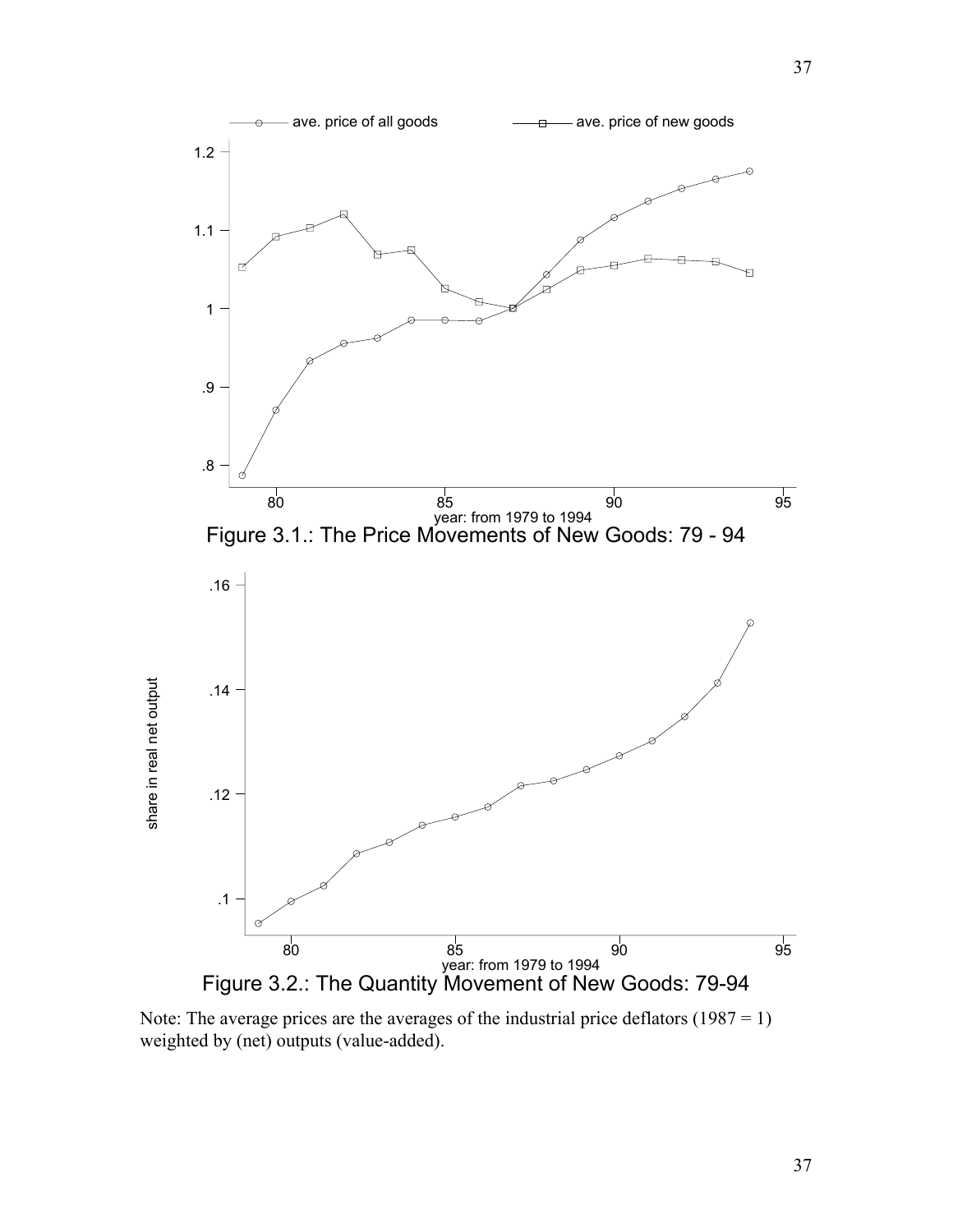

Note: The average prices are the averages of the industrial price deflators  $(1987 = 1)$ weighted by (net) outputs (value-added).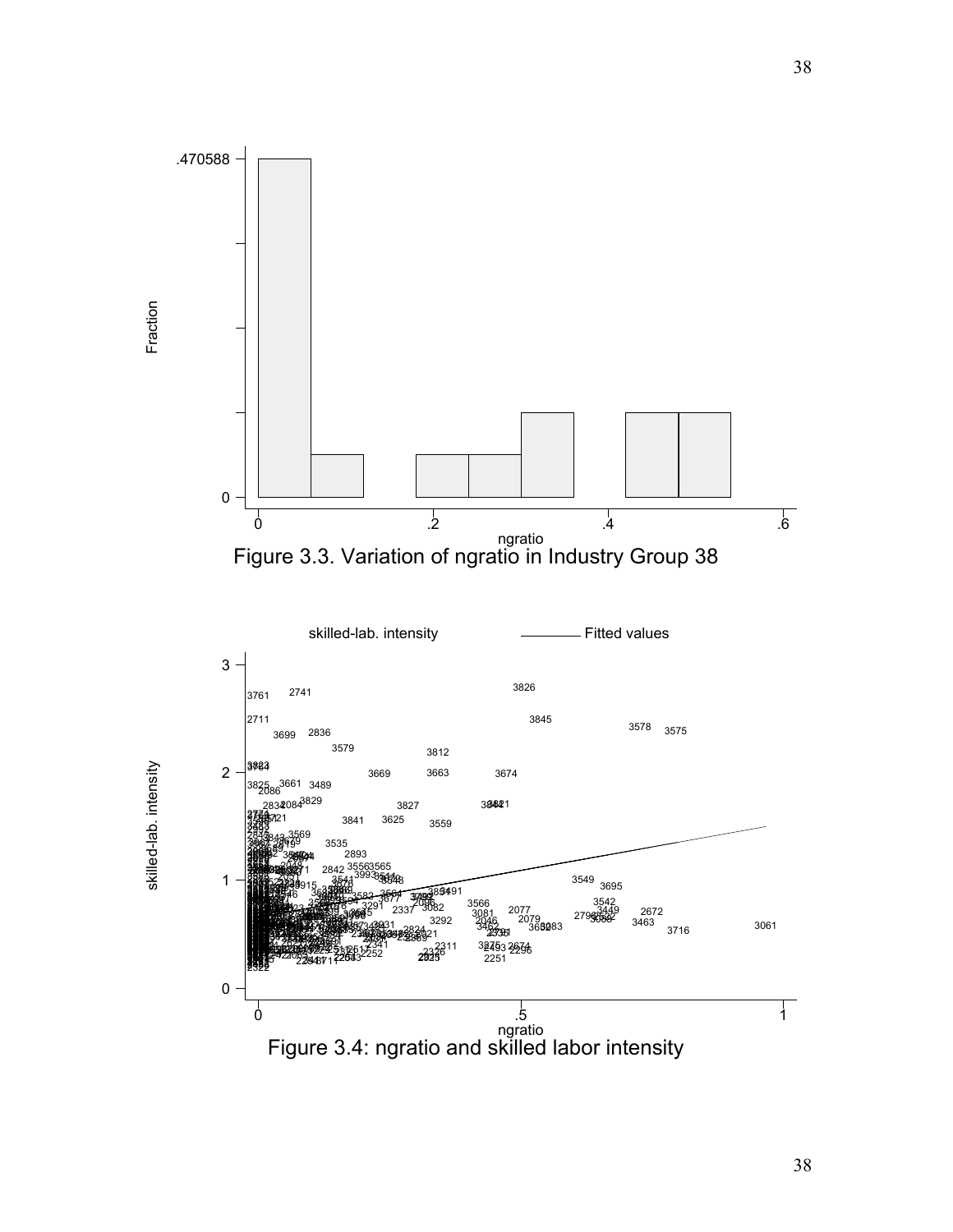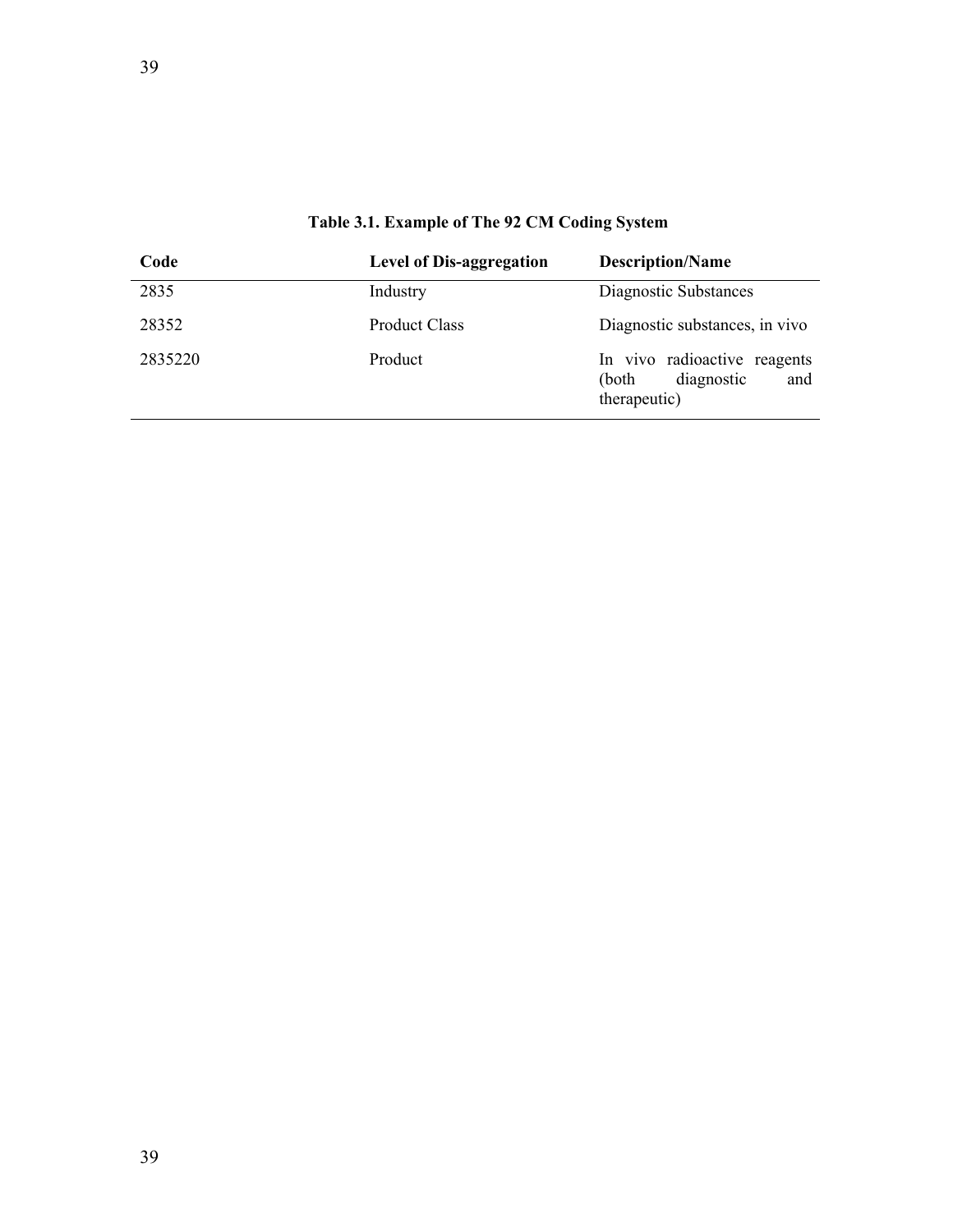| Code    | <b>Level of Dis-aggregation</b> | <b>Description/Name</b>                                                    |
|---------|---------------------------------|----------------------------------------------------------------------------|
| 2835    | Industry                        | Diagnostic Substances                                                      |
| 28352   | <b>Product Class</b>            | Diagnostic substances, in vivo                                             |
| 2835220 | Product                         | In vivo radioactive reagents<br>diagnostic<br>and<br>(both<br>therapeutic) |

**Table 3.1. Example of The 92 CM Coding System**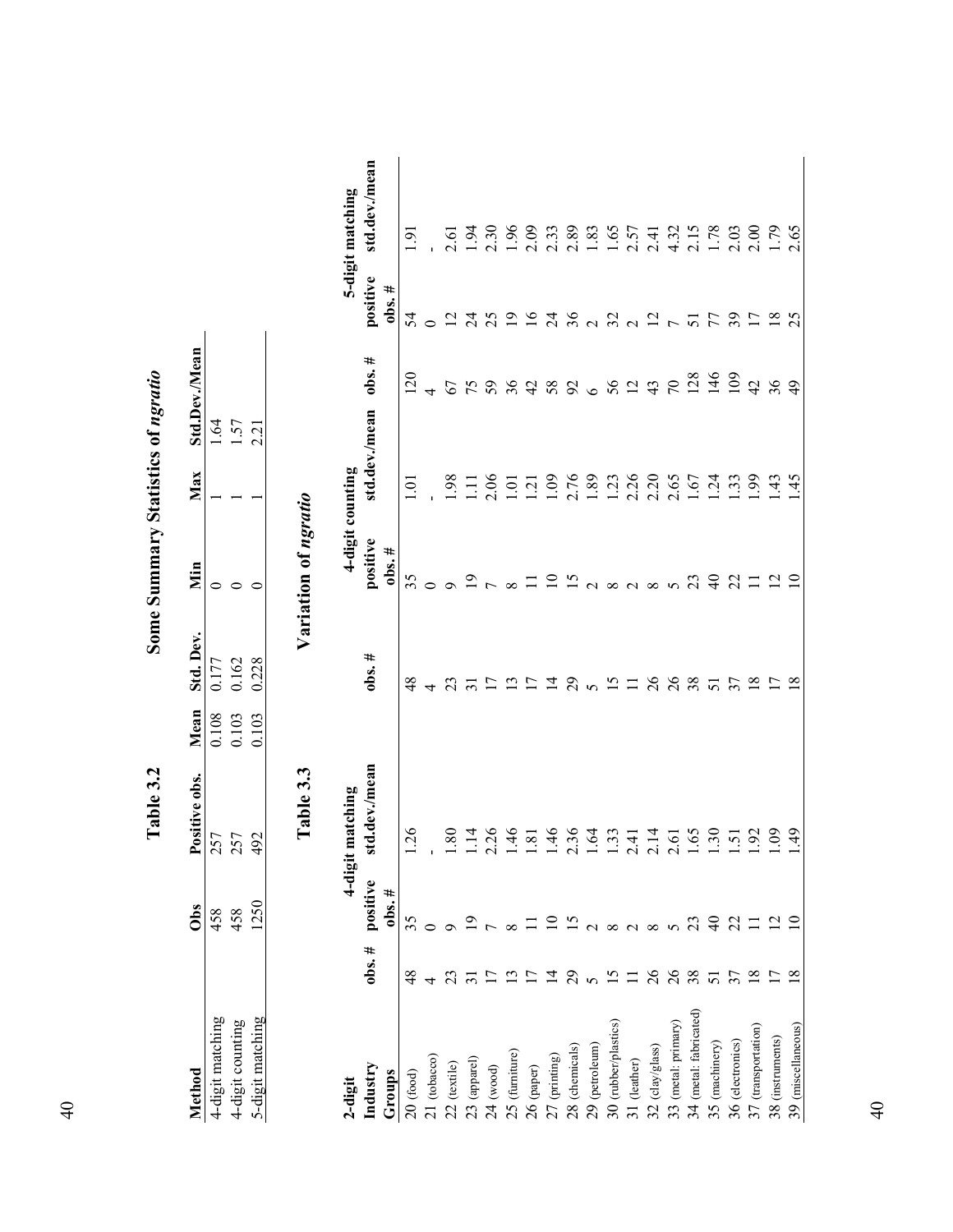|                        |                 |                          | Table 3.2             |       |               | Some Summary Statistics of ngratio      |                  |                 |                                  |                  |
|------------------------|-----------------|--------------------------|-----------------------|-------|---------------|-----------------------------------------|------------------|-----------------|----------------------------------|------------------|
| Method                 |                 | Obs                      | Positive obs.         | Mean  | Std. Dev.     | Nin                                     | Max              | Std.Dev./Mean   |                                  |                  |
| 4-digit matching       |                 | 458                      | 257                   | 0.108 | 0.177         | 0                                       |                  | ।.64            |                                  |                  |
| 4-digit counting       |                 | 458                      | 257                   | 0.103 | 0.162         | $\circ$                                 |                  | 1.57            |                                  |                  |
| 5-digit matching       |                 | 1250                     | 492                   | 0.103 | 0.228         | $\subset$                               |                  | 2.21            |                                  |                  |
|                        |                 |                          | Table 3.3             |       |               | Variation of ngratio                    |                  |                 |                                  |                  |
| 2-digit                |                 | 4-digit                  | tmatching             |       |               |                                         | 4-digit counting |                 |                                  | 5-digit matching |
| Industry<br>Groups     | $obs.$ #        | positive<br>$obs.$ #     | std.dev./mean         |       | $obs.$ #      | positive<br>$obs.$ #                    | std.dev./mean    | $obs.$ #        | positive<br>$\frac{1}{2}$ obs. # | std.dev./mean    |
| $20$ (food)            | $\frac{8}{2}$   | 35                       | 1.26                  |       | $\frac{8}{3}$ | 35                                      | ē                | 120             | 54                               | 5                |
| $21$ (tobacco)         | 4               | 0                        |                       |       | 4             |                                         |                  |                 |                                  |                  |
| $22$ (textile)         | 23              |                          | 1.80                  |       | 23            |                                         | 98               | 67              | $\overline{\mathcal{C}}$         | 2.61             |
| $23$ (apparel)         |                 |                          | 1.14                  |       |               |                                         | Ξ                | 75              | र्य                              | 1.94             |
| $24 \pmod{ }$          |                 |                          | 2.26                  |       |               |                                         | 2.06             | 59              | 25                               | 2.30             |
| 25 (furniture)         |                 |                          | 1.46                  |       |               | $\infty$                                | $\overline{0}$   | 36              | $\overline{19}$                  | 96               |
| $26$ (paper)           |                 |                          | 1.81                  |       |               |                                         | $\overline{2}$   |                 | $\overline{16}$                  | 2.09             |
| 27 (printing)          | $\tilde{4}$     |                          | 1.46                  |       | 그             | $\Xi$                                   | 1.09             | 488             | $\overline{z}$                   | 2.33             |
| 28 (chemicals)         | 29              | $\overline{5}$           | 2.36                  |       | 29            | <u>୯</u>                                | 2.76             |                 | 36                               | 2.89             |
| 29 (petroleum)         | $\sigma$        |                          | 1.64                  |       |               |                                         | .89              | $\bullet$       |                                  | 1.83             |
| 30 (rubber/plastics)   | $\overline{5}$  |                          | 1.33                  |       | ن             | $\infty$                                | $\overline{23}$  | $56$ $13$       | $\frac{2}{3}$                    | 1.65             |
| 31 (leather)           | $\equiv$        | $\infty$ $\sim$ $\infty$ | 2.41                  |       |               |                                         | 2.26             |                 |                                  | 2.57             |
| $32$ (clay/glass)      | 26              |                          | 2.14                  |       | 26            | $\infty$                                | 2.20             |                 | $\overline{2}$                   | 2.41             |
| 33 (metal: primary)    | $\delta$        | $\sim$                   | 2.61                  |       | $\delta$      | $\Omega$                                | 2.65             | $\overline{70}$ |                                  | 4.32             |
| 34 (metal: fabricated) | 38              | 23                       | 1.65                  |       | 38            |                                         | $\overline{.67}$ | 128             | 51                               |                  |
| 35 (machinery)         | 51              | $\theta$                 | $\ddot{\cdot}$        |       | 51            | ੩                                       | $\ddot{5}$       | 146             |                                  | $2.15$<br>1.78   |
| 36 (electronics)       | 37              | 22                       | $\overline{5}$        |       | 37            | 22                                      | 33               | 109             | 39                               | 2.03             |
| $37$ (transportation)  | $\overline{18}$ | □                        | $\tilde{\mathcal{S}}$ |       | $\infty$      |                                         | 66               | $\overline{d}$  |                                  | 2.00             |
| 38 (instruments)       |                 |                          | 60                    |       |               | $\overline{\omega}$ $\overline{\omega}$ | 4.               | 36              |                                  | 1.79             |
| 39 (miscellaneous)     |                 |                          | 49                    |       | $\infty$      |                                         | 45               |                 |                                  | 2.65             |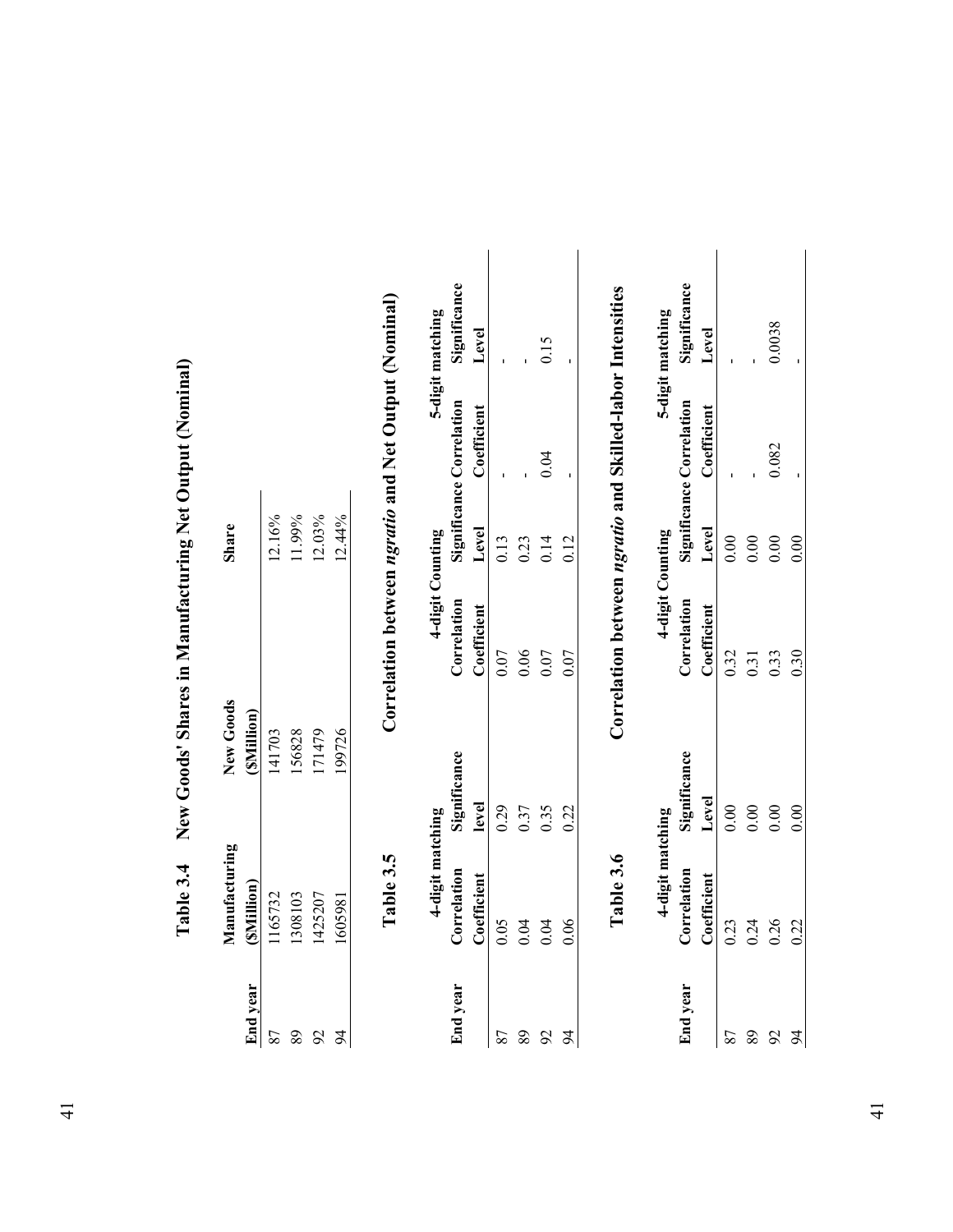|                 |                             | The Strategy of the Strategy of the Strategy of the Strategy of the Strategy of the Strategy of the Strategy of the Strategy of the Strategy of the Strategy of the Strategy of the Strategy of the Strategy of the Strategy o |                  |        |                                 |                  |
|-----------------|-----------------------------|--------------------------------------------------------------------------------------------------------------------------------------------------------------------------------------------------------------------------------|------------------|--------|---------------------------------|------------------|
| <b>End</b> year | Manufacturing<br>(SMillion) | New Goods<br>(SMillion)                                                                                                                                                                                                        |                  | Share  |                                 |                  |
| 87              | 1165732                     | 141703                                                                                                                                                                                                                         |                  | 12.16% |                                 |                  |
| 89              | 1308103                     | 156828                                                                                                                                                                                                                         |                  | 11.99% |                                 |                  |
| 92              | 1425207                     | 171479                                                                                                                                                                                                                         |                  | 12.03% |                                 |                  |
| 24              | 605981                      | 199726                                                                                                                                                                                                                         |                  | 12.44% |                                 |                  |
|                 | 4-digit matching            |                                                                                                                                                                                                                                | 4-digit Counting |        |                                 | 5-digit matching |
| <b>End</b> year | Correlation                 | Significance                                                                                                                                                                                                                   | Correlation      |        | <b>Significance Correlation</b> | Significance     |
|                 | Coefficient                 | level                                                                                                                                                                                                                          | Coefficient      | Level  | Coefficient                     | Level            |
| 87              | 0.05                        | 0.29                                                                                                                                                                                                                           | 0.07             | 0.13   |                                 |                  |
| 89              | 0.04                        | 0.37                                                                                                                                                                                                                           | 0.06             | 0.23   |                                 |                  |
| 92              | 0.04                        | 0.35                                                                                                                                                                                                                           | 0.07             | 0.14   | 0.04                            | 0.15             |
| 94              | 0.06                        | 0.22                                                                                                                                                                                                                           | 0.07             | 0.12   |                                 |                  |

| I                                  |
|------------------------------------|
|                                    |
|                                    |
| ļ                                  |
|                                    |
| $\frac{1}{2}$                      |
|                                    |
|                                    |
| )<br>)                             |
|                                    |
|                                    |
| $\frac{1}{2}$                      |
|                                    |
|                                    |
| <br> <br> <br> <br>                |
|                                    |
|                                    |
| ו<br>ו                             |
|                                    |
|                                    |
|                                    |
|                                    |
|                                    |
|                                    |
| י<br>ג                             |
|                                    |
|                                    |
| ζ                                  |
|                                    |
| <b>וזהר ויינום א</b>               |
| $\ldots$ . The compact of $\ldots$ |
|                                    |
|                                    |
|                                    |
| Table 3.4                          |

|                 | Table 3.6        |                 | Correlation between ngratio and Skilled-labor Intensities |       |                          |                  |
|-----------------|------------------|-----------------|-----------------------------------------------------------|-------|--------------------------|------------------|
|                 | 4-digit matching |                 | 4-digit Counting                                          |       |                          | 5-digit matching |
| <b>End</b> year | Correlation      | Significance    | Correlation                                               |       | Significance Correlation | Significance     |
|                 | Coefficient      | Level           | Coefficient                                               | Level | Coefficient              | Level            |
|                 | 0.23             | 00(             | 0.32                                                      |       |                          |                  |
| 89              | 0.24             | 00 <sub>1</sub> | 0.31                                                      |       |                          |                  |
|                 | 0.26             | $\frac{8}{1}$   | 0.33                                                      |       | 082                      | 0.0038           |
|                 | 0.22             |                 | 0.30                                                      |       |                          |                  |
|                 |                  |                 |                                                           |       |                          |                  |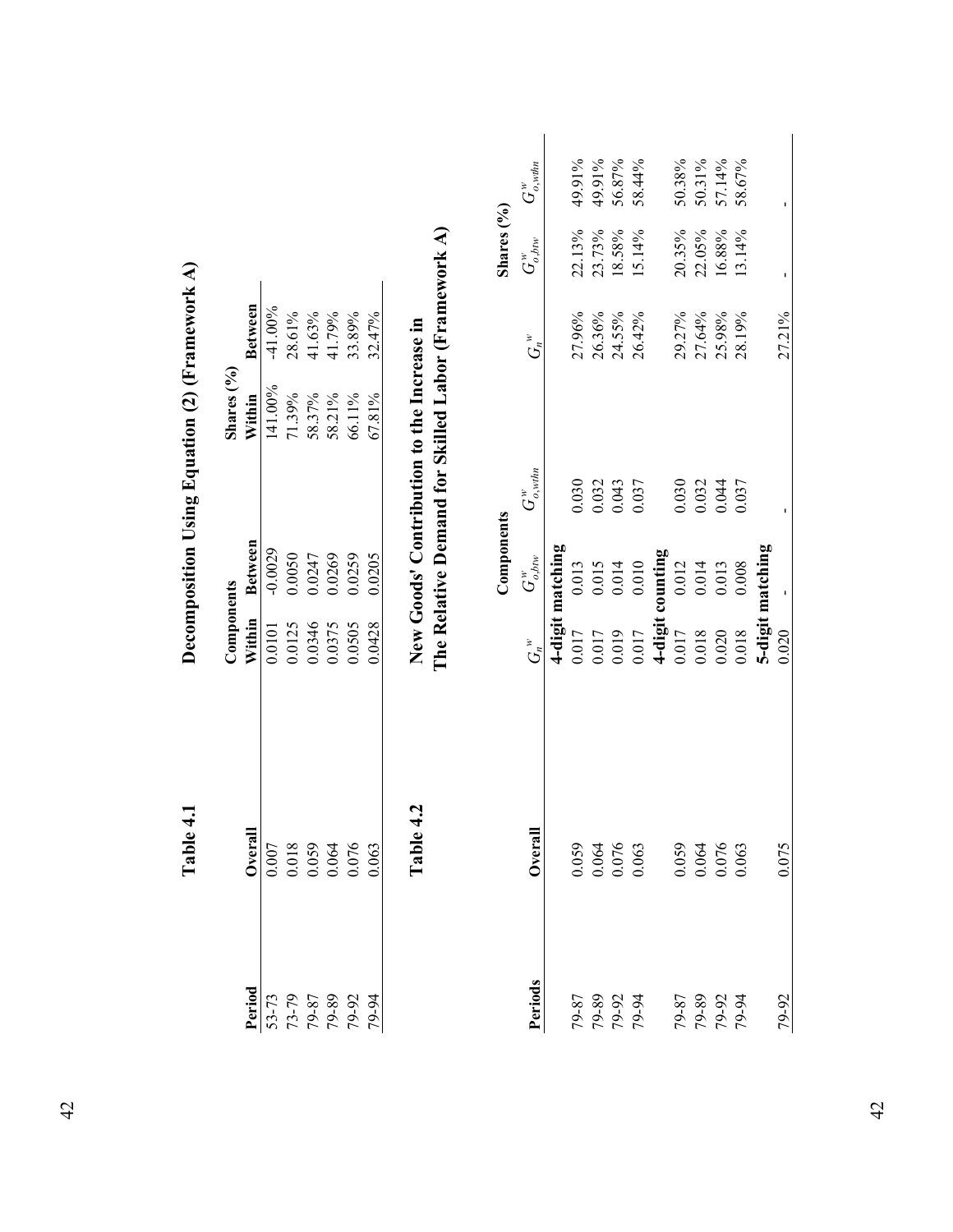|                                                     | $\mathbf{1}$<br>Table                                                             |            |                  | Decomposition Using Equation (2) (Framework A)      |                |              |                  |
|-----------------------------------------------------|-----------------------------------------------------------------------------------|------------|------------------|-----------------------------------------------------|----------------|--------------|------------------|
|                                                     |                                                                                   | Components |                  | Shares (%)                                          |                |              |                  |
| Period                                              | Overal                                                                            | Within     | <b>Between</b>   | Within                                              | <b>Between</b> |              |                  |
| 53-73                                               |                                                                                   | 0.0101     | $-0.0029$        | 141.00%                                             | $-41.00%$      |              |                  |
|                                                     |                                                                                   | 0.0125     | 0.0050           | 71.39%                                              | 28.61%         |              |                  |
|                                                     |                                                                                   | 0.0346     | 0.0247           | 58.37%                                              | 41.63%         |              |                  |
|                                                     |                                                                                   | 0.0375     | 0.0269           | 58.21%                                              | 41.79%         |              |                  |
|                                                     |                                                                                   | 0.0505     | 0.0259           | 66.11%                                              | 33.89%         |              |                  |
| $73-79$<br>$79-87$<br>$79-87$<br>$79-92$<br>$79-92$ | $\begin{array}{c} 0.007 \\ 0.018 \\ 0.059 \\ 0.064 \\ 0.064 \\ 0.076 \end{array}$ | 0.0428     | 0.0205           | 67.81%                                              | 32.47%         |              |                  |
|                                                     |                                                                                   |            |                  |                                                     |                |              |                  |
|                                                     | 4.2<br>Table                                                                      |            |                  | New Goods' Contribution to the Increase in          |                |              |                  |
|                                                     |                                                                                   |            |                  | The Relative Demand for Skilled Labor (Framework A) |                |              |                  |
|                                                     |                                                                                   |            |                  |                                                     |                |              |                  |
|                                                     |                                                                                   |            | Components       |                                                     |                | Shares (%)   |                  |
| Periods                                             | Overal                                                                            | $G_n^*$    | $G^w_{o,tm}$     | $G_{o, withn}^w$                                    | $G_n^*$        | $G_{o,bw}^w$ | $G_{o, withm}^w$ |
|                                                     |                                                                                   |            | 4-digit matching |                                                     |                |              |                  |
|                                                     |                                                                                   | 0.017      | 0.013            | 0.030                                               | 27.96%         | 22.13%       | 49.91%           |
|                                                     |                                                                                   | 0.017      | 0.015            | 0.032                                               | 26.36%         | 23.73%       | 49.91%           |
|                                                     |                                                                                   | 0.019      | 0.014            | 0.043                                               | 24.55%         | 18.58%       | 56.87%           |
| 79-87<br>29-90<br>29-91<br>29-94                    | 0.059<br>0.064<br>0.076<br>0.063                                                  | 0.017      | 0.010            | 0.037                                               | 26.42%         | 15.14%       | 58.44%           |
|                                                     |                                                                                   |            | 4-digit counting |                                                     |                |              |                  |
|                                                     |                                                                                   | 0.017      | 0.012            | 0.030                                               | 29.27%         | 20.35%       | 50.38%           |
|                                                     |                                                                                   | 0.018      | 0.014            | 0.032                                               | 27.64%         | 22.05%       | 50.31%           |
| 79-87<br>20-07<br>20-97<br>20-94                    |                                                                                   | 0.020      | 0.013            | 0.044                                               | 25.98%         | 16.88%       | 57.14%           |
|                                                     | $\begin{array}{c} 0.059 \\ 0.064 \\ 0.076 \\ 0.076 \end{array}$                   | 0.018      | 0.008            | 0.037                                               | 28.19%         | 13.14%       | 58.67%           |
|                                                     |                                                                                   |            | 5-digit matching |                                                     |                |              |                  |
| 79-92                                               | 0.075                                                                             | 0.020      |                  |                                                     | 27.21%         |              |                  |

42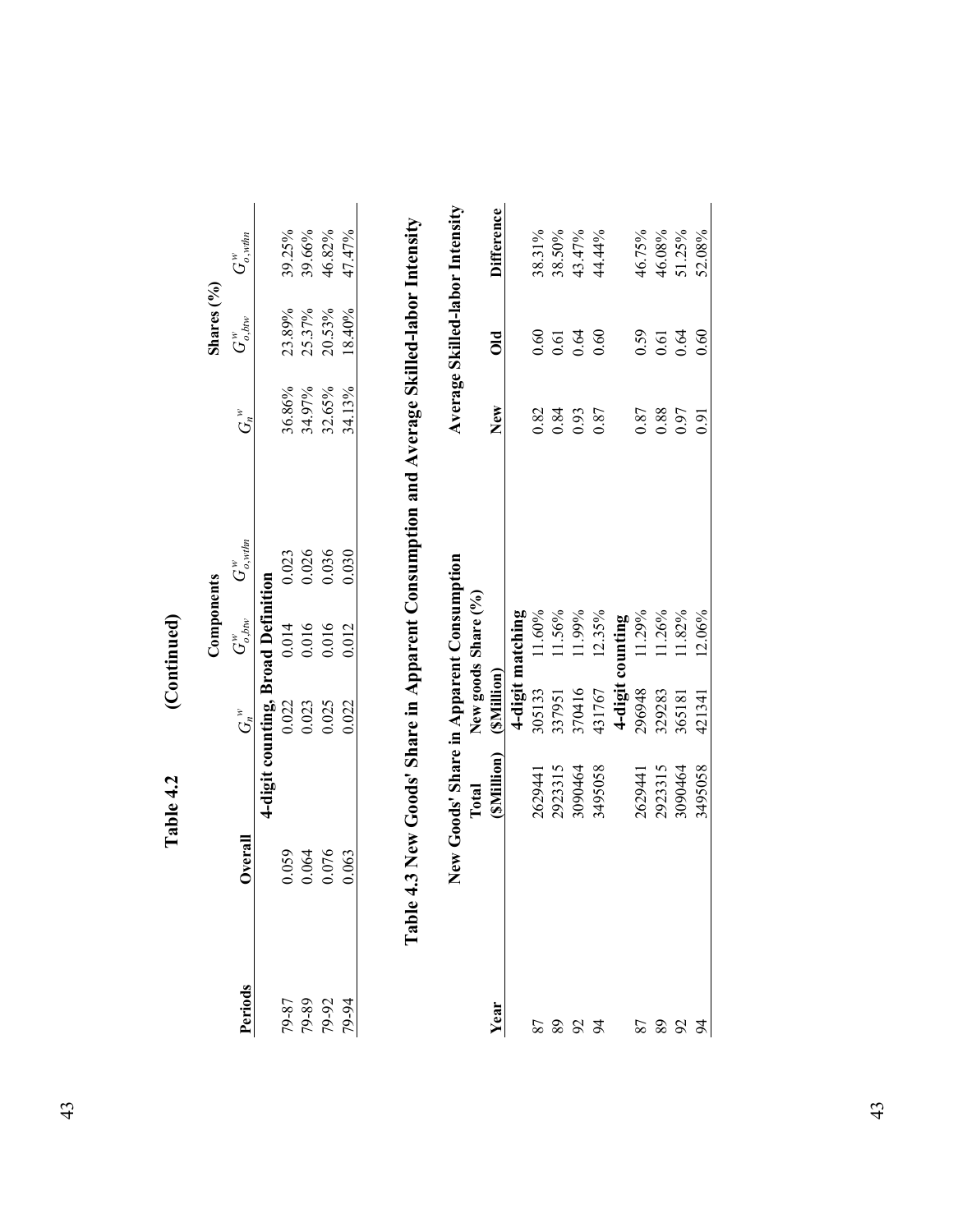|                                  | Table 4.2                                         |                                    | (Continued)         |                         |         |                         |                                 |
|----------------------------------|---------------------------------------------------|------------------------------------|---------------------|-------------------------|---------|-------------------------|---------------------------------|
|                                  |                                                   |                                    | Components          |                         |         | Shares (%)              |                                 |
| Periods                          | Overall                                           | $G_n^*$                            | $G^w_{o,bw}$        | $G_{o,\textit{wthn}}^w$ | $G_n^*$ | $G^w_{o, \textit{bow}}$ | $G_{o,\textit{wthn}}^w$         |
|                                  |                                                   | 4-digit counting, Broad Definition |                     |                         |         |                         |                                 |
|                                  | 0.059                                             | 0.022                              | 0.014               | 0.023                   | 36.86%  | 23.89%                  | 39.25%                          |
|                                  | 0.064                                             | 0.023                              | 0.016               | 0.026                   | 34.97%  | 25.37%                  | 39.66%                          |
| 79-87<br>29-90<br>29-91<br>29-94 | 0.076                                             | 0.025                              | 0.016               | 0.036                   | 32.65%  | 20.53%                  | 46.82%                          |
|                                  | 0.063                                             | 0.022                              | 0.012               | 0.030                   | 34.13%  | 18.40%                  | 47.47%                          |
|                                  | New Goods' Share in Apparent Consumption<br>Total |                                    | New goods Share (%) |                         |         |                         | Average Skilled-labor Intensity |
| Year                             | (SMillion)                                        | (SMillion)                         |                     |                         | New     | $\overline{\textbf{O}}$ | <b>Difference</b>               |
|                                  |                                                   |                                    | 4-digit matching    |                         |         |                         |                                 |
|                                  | 2629441                                           | 305133                             | 11.60%              |                         | 0.82    | 0.60                    | 38.31%                          |
| 87<br>8                          | 2923315                                           | 337951                             | 11.56%              |                         | 0.84    | 0.61                    | 38.50%                          |
|                                  | 3090464                                           | 370416                             | 11.99%              |                         | 0.93    | 0.64                    | 43.47%                          |

|           | New Goods' Share in Apparent Consumption |            |                     |      |                          | Average Skilled-labor Intensity |
|-----------|------------------------------------------|------------|---------------------|------|--------------------------|---------------------------------|
|           | Total                                    |            | New goods Share (%) |      |                          |                                 |
| ear       | (SMillion)                               | (SMillion) |                     | New  | $\overline{\text{O}}$ ld | Difference                      |
|           |                                          |            | 4-digit matching    |      |                          |                                 |
|           | 1629441                                  | 305133     | $11.60\%$           | 0.82 | 0.60                     | 38.31%                          |
|           | 2923315                                  | 337951     | 11.56%              | 0.84 | 0.61                     | 38.50%                          |
|           | 1090464                                  | 370416     | 11.99%              | 0.93 | 0.64                     | 43.47%                          |
|           | 3495058                                  | 431767     | 12.35%              | 0.87 | 0.60                     | 14.44%                          |
| 5883 5883 |                                          | $4$ -digit | counting            |      |                          |                                 |
|           | 2629441                                  | 296948     | 11.29%              | 0.87 | 0.59                     | 46.75%                          |
|           | 2923315                                  | 329283     | 11.26%              | 0.88 | 0.61                     | 46.08%                          |
|           | 3090464                                  | 365181     | 11.82%              | 0.97 | 0.64                     | 51.25%                          |
|           | 3495058                                  | 421341     | 12.06%              | 5.6  | 0.60                     | 52.08%                          |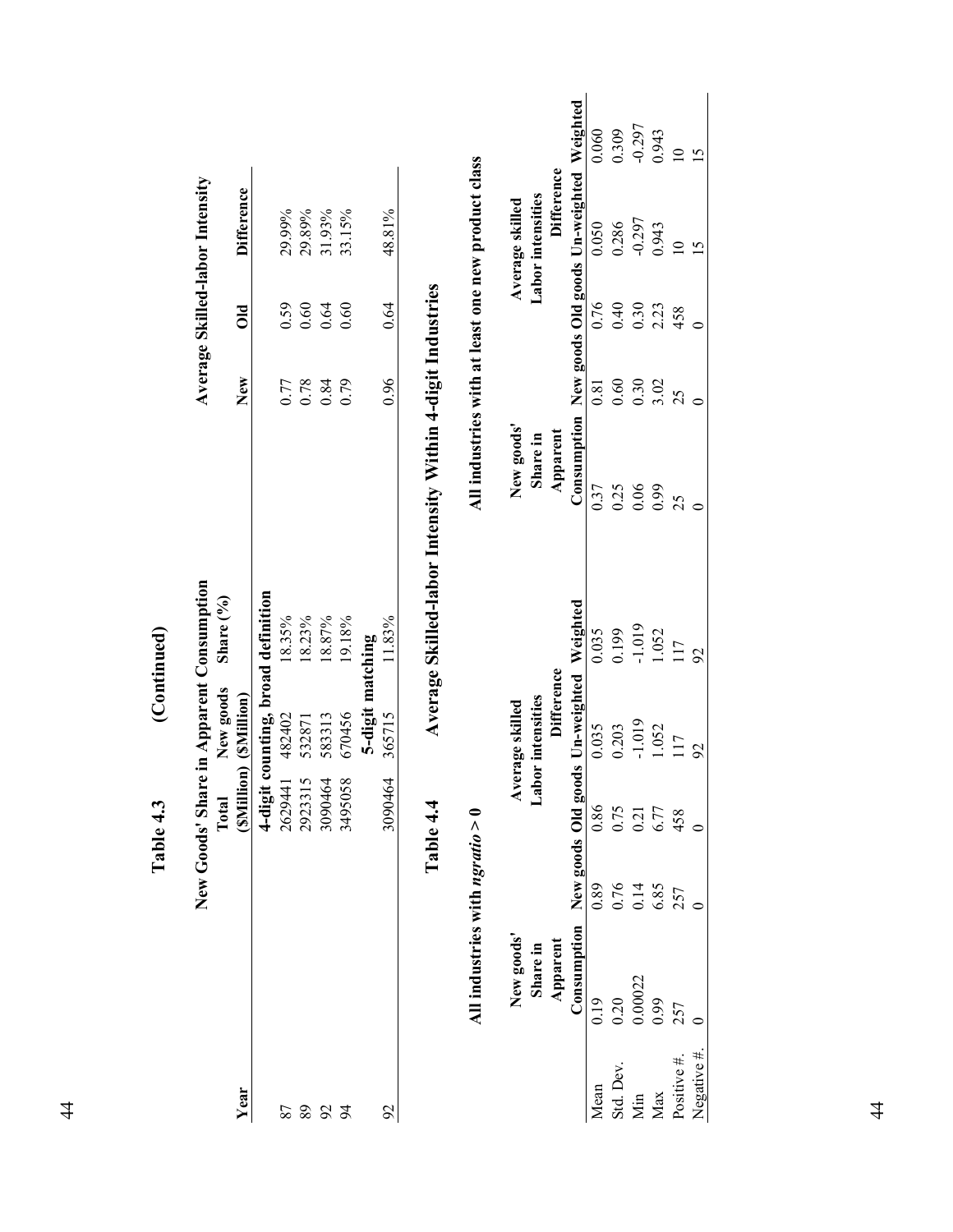|               |                                   |      |         | New Goods' Share in Apparent Consumption |                |                                                    |      |                | Average Skilled-labor Intensity          |                |
|---------------|-----------------------------------|------|---------|------------------------------------------|----------------|----------------------------------------------------|------|----------------|------------------------------------------|----------------|
|               |                                   |      | Total   | New goods                                | Share (%)      |                                                    |      |                |                                          |                |
| Year          |                                   |      |         | (SMillion) (SMillion)                    |                |                                                    | New  | $\overline{a}$ | <b>Difference</b>                        |                |
|               |                                   |      | 4-digit | counting, broad definition               |                |                                                    |      |                |                                          |                |
| 87            |                                   |      | 2629441 | 482402                                   | 18.35%         |                                                    | 0.77 | 0.59           | 29.99%                                   |                |
| 89            |                                   |      | 2923315 | 532871                                   | 18.23%         |                                                    | 0.78 | 0.60           | 29.89%                                   |                |
| $\mathcal{S}$ |                                   |      | 3090464 | 583313                                   | 18.87%         |                                                    | 0.84 | 0.64           | 31.93%                                   |                |
| $\approx$     |                                   |      | 3495058 | 670456                                   | 19.18%         |                                                    | 0.79 | 0.60           | 33.15%                                   |                |
|               |                                   |      |         | 5-digit matching                         |                |                                                    |      |                |                                          |                |
| $\mathcal{S}$ |                                   |      | 3090464 | 365715                                   | 1.83%          |                                                    | 0.96 | 0.64           | 48.81%                                   |                |
|               | All industries with ngratio $> 0$ |      |         |                                          |                | All industries with at least one new product class |      |                |                                          |                |
|               | New goods'                        |      |         | Average skilled                          |                | New goods'                                         |      |                | Average skilled                          |                |
|               | Share in                          |      |         | <b>Labor</b> intensities                 |                | Share in                                           |      |                | <b>Labor</b> intensities                 |                |
|               | Apparent                          |      |         | <b>Difference</b>                        |                | Apparent                                           |      |                | <b>Difference</b>                        |                |
|               | Consumption                       |      |         | New goods Old goods Un-weighted          | Weighted       | Consumption                                        |      |                | New goods Old goods Un-weighted Weighted |                |
| Mean          | 0.19                              | 0.89 | 0.86    | 0.035                                    | 0.035          | 0.37                                               | 0.81 | 0.76           | 0.050                                    | 0.060          |
| Std. Dev.     | 0.20                              | 0.76 | 0.75    | 0.203                                    | 0.199          | 0.25                                               | 0.60 | 0.40           | 0.286                                    | 0.309          |
| Min           | 0.00022                           | 0.14 | 0.21    | $-1.019$                                 | $-1.019$       | $0.06\,$                                           | 0.30 | 0.30           | $-0.297$                                 | $-0.297$       |
| Max           | 0.99                              | 6.85 | 6.77    | 1.052                                    | 1.052          | 66.0                                               | 3.02 | 2.23           | 0.943                                    | 0.943          |
| Positive #.   | 257                               | 257  | 458     | 117                                      | 117            | 25                                                 | 25   | 458            | $\overline{10}$                          | $\overline{a}$ |
| Negative #    |                                   |      |         | $\mathcal{S}$                            | $\overline{5}$ |                                                    |      |                | $\overline{5}$                           | $\overline{5}$ |
|               |                                   |      |         |                                          |                |                                                    |      |                |                                          |                |

(Continued) **Table 4.3 (Continued)**  Table 4.3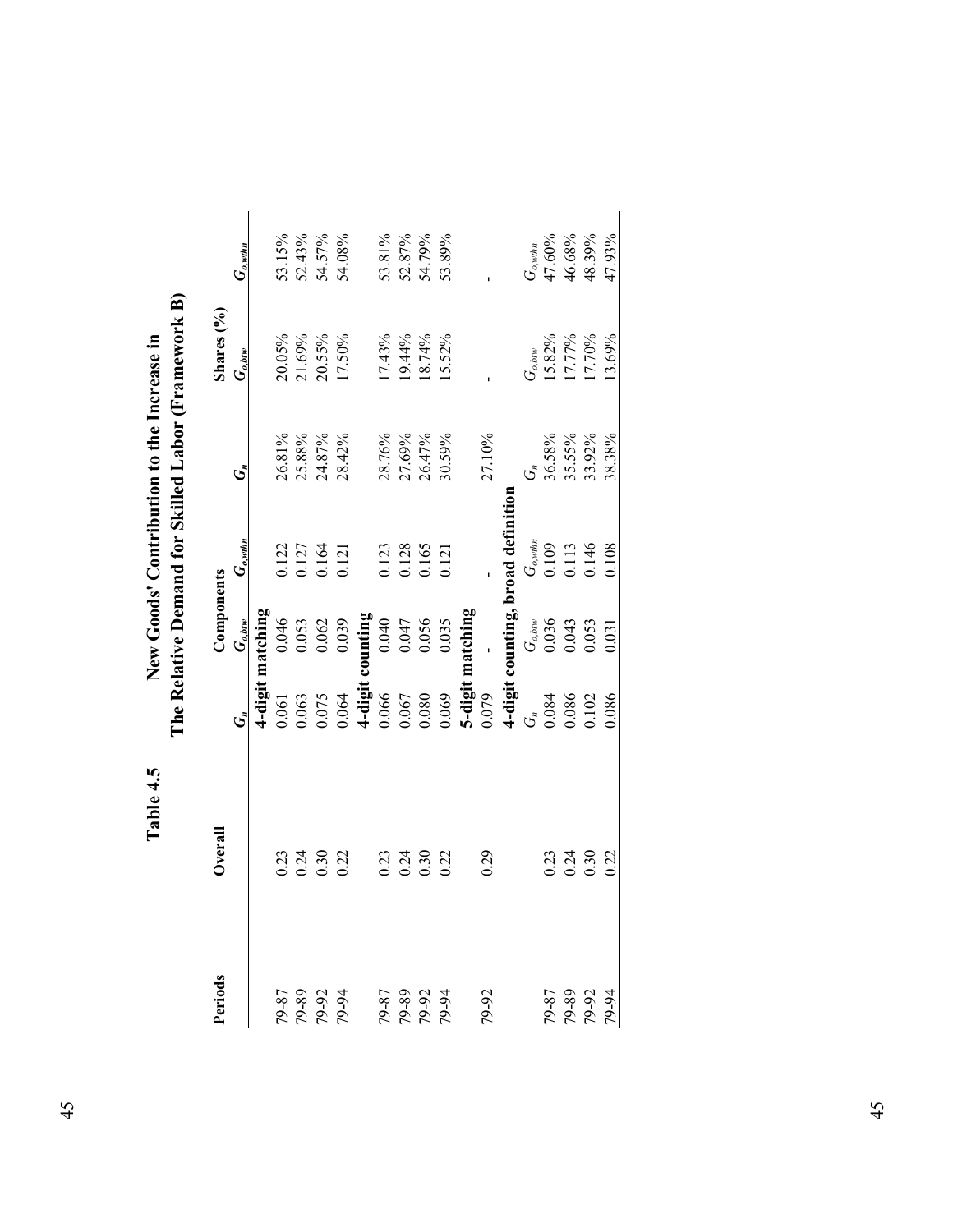| 79-87<br>20-97<br>20-97<br>20-94 |                      |                         | Components                                                      |                                          |                                      | Shares (%)                                       |                                      |
|----------------------------------|----------------------|-------------------------|-----------------------------------------------------------------|------------------------------------------|--------------------------------------|--------------------------------------------------|--------------------------------------|
|                                  |                      |                         | $G_{o,btv}$                                                     | $G_{o, \text{with} n}$                   | ئى                                   | $G_{o,btv}$                                      | $G_{o, \text{with}}$                 |
|                                  |                      |                         | -digit matching                                                 |                                          |                                      |                                                  |                                      |
|                                  |                      | 1.061                   |                                                                 |                                          |                                      |                                                  |                                      |
|                                  |                      | 0.63                    |                                                                 |                                          |                                      |                                                  |                                      |
|                                  | 0.21<br>0.21<br>0.30 |                         | $\begin{array}{c} 0.046 \\ 0.053 \\ 0.062 \\ 0.039 \end{array}$ | 1122<br>1127<br>1134<br>1121             | 26.81%<br>25.88%<br>24.87%<br>28.42% | 20.05%<br>21.69%<br>20.55%<br>17.50%             | 53.15%<br>52.43%<br>54.57%<br>54.08% |
|                                  | 0.22                 | 1.075                   |                                                                 |                                          |                                      |                                                  |                                      |
|                                  |                      | $4$ -digit<br>$0.066$   | it counting<br>$0.040$                                          |                                          |                                      |                                                  |                                      |
|                                  | 0.23                 |                         |                                                                 |                                          | 28.76%                               |                                                  |                                      |
|                                  | 0.24                 | 0.67                    | 0.047<br>0.056                                                  |                                          |                                      |                                                  | 53.81%<br>52.87%<br>54.79%           |
| 18-87<br>19-87<br>19-91<br>19-91 | 0.30                 | 080.                    |                                                                 | 0.123<br>0.128<br>0.165                  | 27.69%<br>26.47%                     | 17.43%<br>19.44%<br>18.74%                       |                                      |
|                                  | 0.22                 | 0.069                   | 0.035                                                           | 121                                      | 30.59%                               | 5.52%                                            | 53.89%                               |
|                                  |                      |                         | 5-digit matching                                                |                                          |                                      |                                                  |                                      |
| 79-92                            | 0.29                 | 0.079                   |                                                                 |                                          | 27.10%                               |                                                  |                                      |
|                                  |                      |                         |                                                                 | 4-digit counting, broad definition       |                                      |                                                  |                                      |
|                                  |                      | $G_{\mathbf{r}}$        |                                                                 |                                          |                                      |                                                  |                                      |
|                                  | 0.23                 |                         | $G_{o,biv}$<br>0.036<br>0.043<br>0.053                          | $G_{o, with}$<br>0.109<br>0.113<br>0.146 |                                      | G <sub>o,btw</sub><br>15.82%<br>17.77%<br>17.70% | $G_{o, with}$<br>47.60%              |
| 79-87<br>29-90<br>29-91<br>29-94 | 0.24                 | 0.084<br>0.086<br>0.102 |                                                                 |                                          | 36.58%<br>35.55%<br>33.92%           |                                                  | 46.68%<br>48.39%                     |
|                                  | 0.30                 |                         |                                                                 |                                          |                                      |                                                  |                                      |
|                                  | 0.22                 | 1.086                   | 0.031                                                           | 0.108                                    | 38.38%                               | 13.69%                                           | 47.93%                               |

The Relative Demand for Skilled Labor (Framework B) **The Relative Demand for Skilled Labor (Framework B)** New Goods' Contribution to the Increase in **Table 4.5 New Goods' Contribution to the Increase in**  Table 4.5

| . .<br>۰,<br>×<br>× |
|---------------------|
| ×<br>۰.<br>×<br>×   |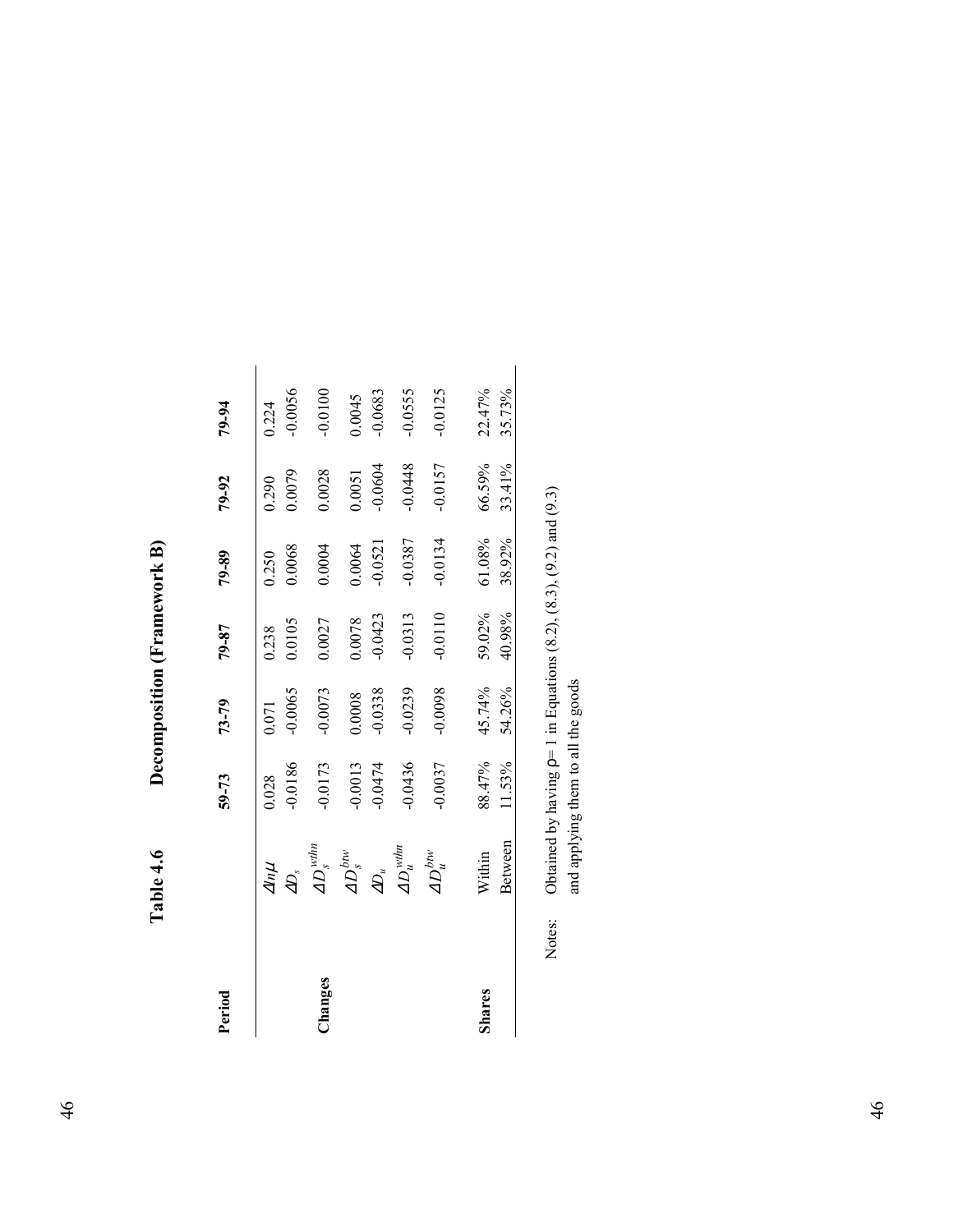| $\mathbf{k}$ <b>B</b> )<br>יודדת המיר הבדו<br>Į |  |
|-------------------------------------------------|--|
| í<br>ľ                                          |  |
| È                                               |  |

| Period |                                                                                                                                       | $59 - 73$       | $73 - 79$          | 79-87           | 79-89           | 79-92           | 79-94              |
|--------|---------------------------------------------------------------------------------------------------------------------------------------|-----------------|--------------------|-----------------|-----------------|-----------------|--------------------|
|        | $\frac{dn\mu}{4D_s}$<br>AD <sub>s</sub>                                                                                               | 0.0186<br>0.028 | $-0.0065$<br>0.071 | 0.0105<br>0.238 | 0.0068<br>0.250 | 0.0079<br>0.290 | $-0.0056$<br>0.224 |
| hanges |                                                                                                                                       | $-0.0173$       | $-0.0073$          | 0.0027          | 0.0004          | 0.0028          | $-0.0100$          |
|        | $\begin{array}{c} \displaystyle 4D_s^{bw} \\ \displaystyle \overline{\phantom{aa}}\phantom{aa}^\displaystyle\phantom{aa} \end{array}$ | 0.0013          | 0.0008             | 0.0078          | 0.0064          | 0.0051          | 0.0045             |
|        |                                                                                                                                       | $-0.0474$       | $-0.0338$          | $-0.0423$       | $-0.0521$       | $-0.0604$       | 0.0683             |
|        | $\displaystyle{AD_u^{wthn}}$                                                                                                          | 0.0436          | $-0.0239$          | $-0.0313$       | -0.0387         | $-0.0448$       | 0.0555             |
|        | $\displaystyle{AD^{bw}_u}$                                                                                                            | 0.0037          | 0.0098             | $-0.0110$       | 0.0134          | $-0.0157$       | 0.0125             |
| Shares | Within                                                                                                                                | 88.47%          | 45.74%             | 59.02%          | 61.08%          | 66.59%          | 22.47%             |
|        | Between                                                                                                                               | 11.53%          | 54.26%             | 40.98%          | 38.92%          | 33.41%          | 35.73%             |

Notes: Obtained by having  $p=1$  in Equations (8.2), (8.3), (9.2) and (9.3) and applying them to all the goods Notes: Obtained by having  $p=1$  in Equations (8.2), (8.3), (9.2) and (9.3) and applying them to all the goods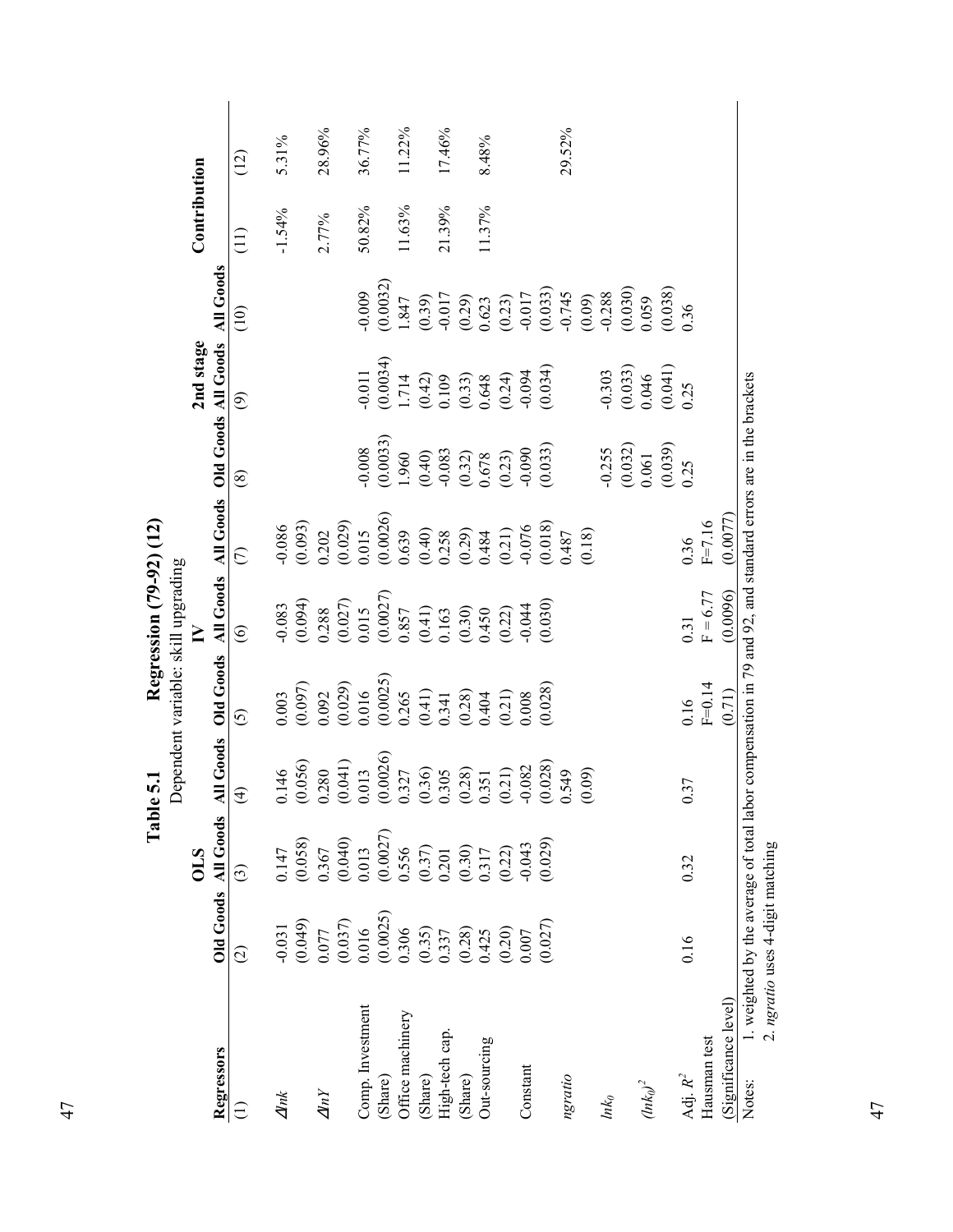| Regressors                 |                                                                   |                                                                                                 |                                                                                                                                                                    |                                     | Regression (79-92) (12)                        |                                            |                                                                                       |                                                                                     |                                                          |              |        |
|----------------------------|-------------------------------------------------------------------|-------------------------------------------------------------------------------------------------|--------------------------------------------------------------------------------------------------------------------------------------------------------------------|-------------------------------------|------------------------------------------------|--------------------------------------------|---------------------------------------------------------------------------------------|-------------------------------------------------------------------------------------|----------------------------------------------------------|--------------|--------|
|                            |                                                                   |                                                                                                 |                                                                                                                                                                    | Dependent variable: skill upgrading |                                                |                                            |                                                                                       |                                                                                     |                                                          |              |        |
|                            |                                                                   | <b>OLS</b>                                                                                      |                                                                                                                                                                    |                                     | $\geq$                                         |                                            |                                                                                       | 2nd stage                                                                           |                                                          | Contribution |        |
|                            |                                                                   | Old Goods All Goods All                                                                         | Goods                                                                                                                                                              | <b>Old Goods</b>                    |                                                |                                            |                                                                                       | All Goods All Goods Old Goods All Goods                                             | All Goods                                                |              |        |
| $\widehat{\infty}$<br>Ξ    |                                                                   | ⊙                                                                                               | $\bigoplus$                                                                                                                                                        | $\odot$                             | $\odot$                                        | $\widehat{C}$                              | $\circledS$                                                                           | $\circledcirc$                                                                      | (10)                                                     | (11)         | (12)   |
| $\Delta ln k$              | $-0.031$                                                          | 0.147                                                                                           | $\frac{46}{5}$<br>$\overline{C}$                                                                                                                                   | 0.003                               | $-0.083$                                       | $-0.086$                                   |                                                                                       |                                                                                     |                                                          | $-1.54%$     | 5.31%  |
|                            | (0.049)                                                           | (0.058)                                                                                         |                                                                                                                                                                    | (0.097)                             | (0.094)                                        | (0.093)                                    |                                                                                       |                                                                                     |                                                          |              |        |
| $\varDelta lnY$            | 0.077                                                             | 0.367                                                                                           | $\begin{array}{c} (0.056) \\ 0.280 \\ (0.041) \\ 0.013 \\ (0.0026) \\ (0.037) \\ (0.327) \\ (0.305) \\ (0.28) \\ (0.21) \\ (0.21) \\ (0.22) \\ -0.082 \end{array}$ |                                     | 0.288                                          | 0.202                                      |                                                                                       |                                                                                     |                                                          | 2.77%        | 28.96% |
|                            | $(0.037)$<br>0.016                                                | (0.040)                                                                                         |                                                                                                                                                                    | $\frac{0.092}{(0.029)}$             | (0.027)                                        | (0.029)                                    |                                                                                       |                                                                                     |                                                          |              |        |
| Comp. Investment           |                                                                   | 0.013                                                                                           |                                                                                                                                                                    | 0.016                               | 0.015                                          | 0.015                                      | 0.008                                                                                 | $-0.011$                                                                            | 0.009                                                    | 50.82%       | 36.77% |
| (Share)                    | $(0.0025)$<br>0.306                                               | (0.0027)                                                                                        |                                                                                                                                                                    | (0.0025)                            | (0.0027)                                       | $(0.0026)$<br>0.639                        | $(0.0033)$<br>1.960                                                                   | (0.0034)                                                                            | (0.0032)                                                 |              |        |
| Office machinery           |                                                                   | 0.556                                                                                           |                                                                                                                                                                    | 0.265                               | 0.857                                          |                                            |                                                                                       | 1.714                                                                               | 1.847                                                    | 11.63%       | 11.22% |
| (Share)                    |                                                                   |                                                                                                 |                                                                                                                                                                    |                                     |                                                | $(0.40)$<br>$0.258$<br>$(0.29)$<br>$0.484$ |                                                                                       |                                                                                     |                                                          |              |        |
| High-tech cap              |                                                                   |                                                                                                 |                                                                                                                                                                    | $(0.41)$<br>0.341                   | $\begin{array}{c} (0.41) \\ 0.163 \end{array}$ |                                            |                                                                                       |                                                                                     |                                                          | 21.39%       | 17.46% |
| (Share)                    | $\begin{array}{c} (0.35) \\ 0.337 \\ (0.28) \\ 0.425 \end{array}$ |                                                                                                 |                                                                                                                                                                    | (0.28)                              | (0.30)                                         |                                            |                                                                                       |                                                                                     | $(0.39)$<br>$-0.017$<br>$(0.29)$                         |              |        |
| Out-sourcing               |                                                                   |                                                                                                 |                                                                                                                                                                    | 0.404                               | 0.450                                          |                                            |                                                                                       |                                                                                     |                                                          | 11.37%       | 8.48%  |
|                            | $(0.20)$<br>$0.007$                                               | $\begin{array}{c} (0.37) \\ 0.201 \\ (0.30) \\ 0.317 \\ (0.22) \\ (0.23) \\ -0.043 \end{array}$ |                                                                                                                                                                    | (0.21)                              | (0.22)                                         |                                            | $\begin{array}{c} (0.40) \\ -0.083 \\ (0.32) \\ 0.678 \\ (0.23) \\ 0.029 \end{array}$ | $\begin{array}{c} (0.42) \\ 0.109 \\ (0.33) \\ 0.648 \\ (0.24) \\ 0.04 \end{array}$ | $\begin{array}{c} 0.623 \\ (0.23) \\ -0.017 \end{array}$ |              |        |
| Constant                   |                                                                   |                                                                                                 |                                                                                                                                                                    | 0.008                               | $-0.044$                                       |                                            |                                                                                       |                                                                                     |                                                          |              |        |
|                            | (0.027)                                                           | (0.029)                                                                                         | $(0.028)$<br>0.549                                                                                                                                                 | (0.028)                             | (0.030)                                        | $(0.21)$<br>$-0.076$<br>$(0.018)$          | (0.033)                                                                               | (0.034)                                                                             | $(0.033)$<br>-0.745                                      |              |        |
| ngratio                    |                                                                   |                                                                                                 |                                                                                                                                                                    |                                     |                                                | 1487                                       |                                                                                       |                                                                                     |                                                          |              | 29.52% |
|                            |                                                                   |                                                                                                 | (0.09)                                                                                                                                                             |                                     |                                                | (0.18)                                     |                                                                                       |                                                                                     | (0.09)                                                   |              |        |
| $ln k_0$                   |                                                                   |                                                                                                 |                                                                                                                                                                    |                                     |                                                |                                            | $-0.255$                                                                              |                                                                                     | $-0.288$                                                 |              |        |
|                            |                                                                   |                                                                                                 |                                                                                                                                                                    |                                     |                                                |                                            | (0.032)                                                                               | $\frac{0.303}{(0.033)}$                                                             | (0.030)                                                  |              |        |
| $\left({ln{k_0}}\right)^2$ |                                                                   |                                                                                                 |                                                                                                                                                                    |                                     |                                                |                                            | 0.061                                                                                 |                                                                                     | 0.059                                                    |              |        |
|                            |                                                                   |                                                                                                 |                                                                                                                                                                    |                                     |                                                |                                            | $(0.039)$<br>0.25                                                                     | $(0.041)$<br>0.25                                                                   | $(0.038)$<br>0.36                                        |              |        |
| 0.16<br>Adj. $R^2$         |                                                                   | 0.32                                                                                            | 0.37                                                                                                                                                               | 0.16                                | 0.31                                           | 0.36                                       |                                                                                       |                                                                                     |                                                          |              |        |
| Hausman test               |                                                                   |                                                                                                 |                                                                                                                                                                    | $F=0.14$                            | $F = 6.77$                                     | $F = 7.16$                                 |                                                                                       |                                                                                     |                                                          |              |        |
| (Significance level)       |                                                                   |                                                                                                 |                                                                                                                                                                    | (0.71)                              | (0.0096)                                       | (0.0077)                                   |                                                                                       |                                                                                     |                                                          |              |        |

47

47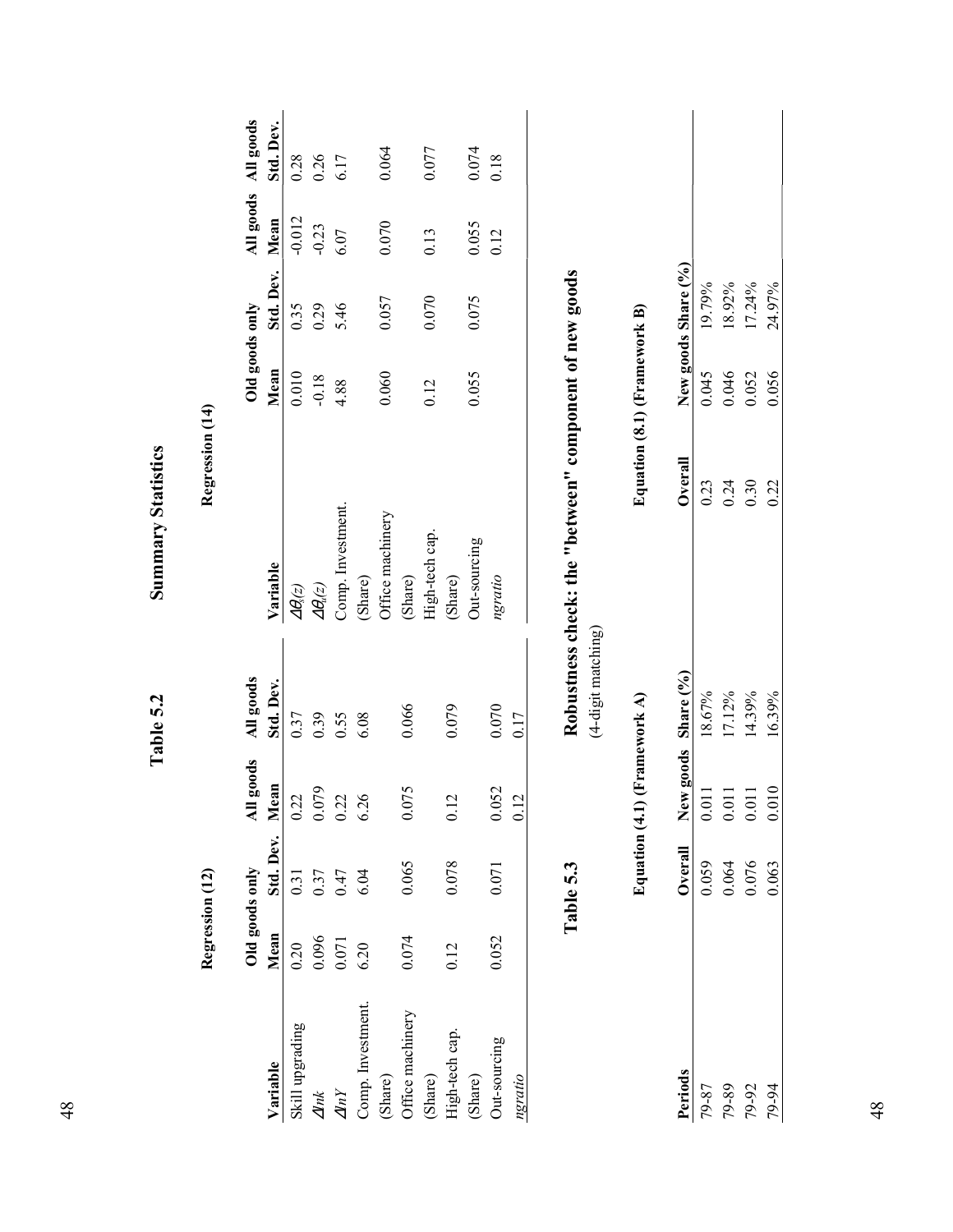|                      | Regression (12)        |                      |                                      |                        | Regression (14)                                        |                              |                     |          |                                  |
|----------------------|------------------------|----------------------|--------------------------------------|------------------------|--------------------------------------------------------|------------------------------|---------------------|----------|----------------------------------|
| Variable             | Old goods only<br>Mean | Std. Dev.            | ll goods<br>Mean<br>₹                | All goods<br>Std. Dev. | Variable                                               | Old goods only<br>Mean       | Std. Dev.           | Mean     | All goods All goods<br>Std. Dev. |
| Skill upgrading      | 0.20                   | 0.31                 | 0.22                                 | 0.37                   | $\varDelta\theta_{\rm s}(z)$                           | 0.010                        | 0.35                | $-0.012$ | 0.28                             |
| $\Delta lnk$         | 0.096                  |                      |                                      | 0.39                   | $\varDelta\theta_u(z)$                                 | $-0.18$                      | 0.29                | $-0.23$  | 0.26                             |
| $\varDelta\!I\!\!nY$ | 0.071                  | $0.37$<br>0.47       | $\frac{0.079}{0.22}$                 | 0.55                   | Comp. Investment.                                      | 4.88                         | 5.46                | 6.07     | 6.17                             |
| Comp. Investment.    | 6.20                   | 6.04                 | 6.26                                 | 6.08                   | (Share)                                                |                              |                     |          |                                  |
| (Share)              |                        |                      |                                      |                        | Office machinery                                       | 0.060                        | 0.057               | 0.070    | 0.064                            |
| Office machinery     | 0.074                  | 0.065                | 0.075                                | 0.066                  | (Share)                                                |                              |                     |          |                                  |
| (Share)              |                        |                      |                                      |                        | High-tech cap.                                         | 0.12                         | 0.070               | 0.13     | 0.077                            |
| High-tech cap.       | 0.12                   | 0.078                | $\mathbf 2$<br>$\overline{c}$        | 0.079                  | (Share)                                                |                              |                     |          |                                  |
| (Share)              |                        |                      |                                      |                        | Out-sourcing                                           | 0.055                        | 0.075               | 0.055    | $0.074\,$                        |
| Out-sourcing         | 0.052                  | 0.071                | 0.052                                | 0.070                  | ngratio                                                |                              |                     | 0.12     | 0.18                             |
| ngratio              |                        |                      | $\overline{C}$<br>$\overline{\circ}$ | 0.17                   |                                                        |                              |                     |          |                                  |
|                      |                        |                      |                                      |                        |                                                        |                              |                     |          |                                  |
|                      |                        | Table 5.3            |                                      |                        | Robustness check: the "between" component of new goods |                              |                     |          |                                  |
|                      |                        |                      |                                      | (4-digit matching)     |                                                        |                              |                     |          |                                  |
|                      |                        | <b>Equation</b> (4.1 | (Framework A)                        |                        |                                                        | Equation (8.1) (Framework B) |                     |          |                                  |
| Periods              |                        | Overall              | New goods                            | Share (%)              | Overall                                                |                              | New goods Share (%) |          |                                  |
| 79-87                |                        | 0.059                | 0.011                                | 18.67%                 | 0.23                                                   | 0.045                        | 19.79%              |          |                                  |
| 79-89                |                        |                      | $0.011\,$                            | 17.12%                 | 0.24                                                   | 0.046                        | 18.92%              |          |                                  |
| 79-92                |                        | $0.064$<br>0.076     | $0.011\,$                            | 14.39%                 | 0.30                                                   | 0.052                        | 17.24%              |          |                                  |
| 79-94                |                        | 0.063                | 0.010                                | 16.39%                 | 0.22                                                   | 0.056                        | 24.97%              |          |                                  |

**Summary Statistics Table 5.2 Summary Statistics** 

Table 5.2

48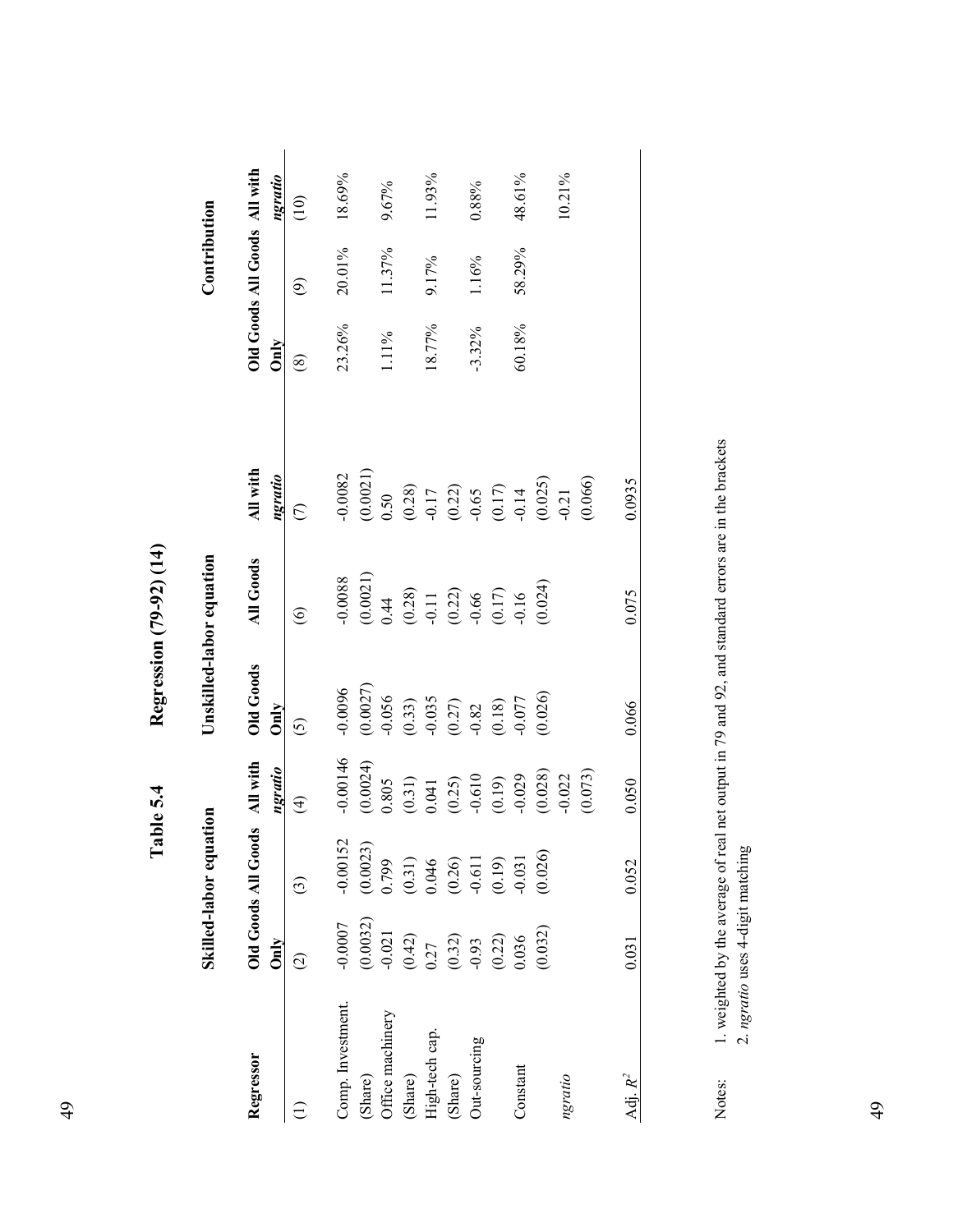|                             |                                          | Skilled-labor equation                                |                                                                                                                          | Unskilled-labor equation                                                                          |                                                                   |                                                                                                                                                                                                                                                                                                                          |                     | Contribution                 |           |
|-----------------------------|------------------------------------------|-------------------------------------------------------|--------------------------------------------------------------------------------------------------------------------------|---------------------------------------------------------------------------------------------------|-------------------------------------------------------------------|--------------------------------------------------------------------------------------------------------------------------------------------------------------------------------------------------------------------------------------------------------------------------------------------------------------------------|---------------------|------------------------------|-----------|
| Regressor                   | Only                                     | Old Goods All Goods All with                          | ngratio                                                                                                                  | <b>Old Goods</b><br>Only                                                                          | <b>All Goods</b>                                                  | All with<br>ngratio                                                                                                                                                                                                                                                                                                      | Only                | Old Goods All Goods All with | ngratio   |
|                             |                                          | $\odot$                                               | $\widehat{\mathfrak{t}}$                                                                                                 | $\widehat{\odot}$                                                                                 | $\widehat{\mathbf{e}}$                                            | $\overline{C}$                                                                                                                                                                                                                                                                                                           | $\widehat{\otimes}$ | ම                            | (10)      |
| Comp. Investment.           | $-0.0007$                                | $-0.00152$                                            | $-0.00146$                                                                                                               | $-0.0096$                                                                                         | $-0.0088$                                                         | $-0.0082$                                                                                                                                                                                                                                                                                                                | 23.26%              | 20.01%                       | $18.69\%$ |
| Office machinery<br>(Share) | $(0.0032)$<br>$-0.021$                   | $(0.0023)$<br>0.799                                   | (0.0024)<br>0.805                                                                                                        | $(0.0027)$<br>-0.056                                                                              | $\begin{array}{c} (0.0021) \\ 0.44 \end{array}$                   | (0.0021)                                                                                                                                                                                                                                                                                                                 | 11%                 | 11.37%                       | 9.67%     |
| (Share)                     | $(0.42)$<br>$0.27$<br>$(0.32)$<br>$0.93$ | $(0.31)$<br>0.046<br>0.046<br>0.050<br>0.019<br>0.031 | $\begin{array}{c} (0.31) \\ 0.041 \\ (0.25) \\ (0.19) \\ (0.19) \\ (0.028) \\ (0.028) \\ (0.022) \\ (0.022) \end{array}$ | $\begin{array}{c} (0.33) \\ -0.035 \\ (0.27) \\ -0.82 \\ (0.18) \\ (0.018) \\ -0.077 \end{array}$ | $(0.28)$<br>$-0.11$<br>$(0.22)$<br>$-0.66$<br>$(0.17)$<br>$-0.16$ | $\begin{array}{c} 0.50 \\ (0.28) \\ (0.21) \\ (0.21) \\ (0.22) \\ (0.17) \\ (0.17) \\ (0.025) \\ (0.025) \\ (0.025) \\ (0.025) \\ (0.025) \\ (0.025) \\ (0.025) \\ (0.025) \\ (0.025) \\ (0.025) \\ (0.025) \\ (0.025) \\ (0.025) \\ (0.025) \\ (0.025) \\ (0.025) \\ (0.025) \\ (0.025) \\ (0.025) \\ (0.025) \\ (0.02$ |                     |                              |           |
| High-tech cap.              |                                          |                                                       |                                                                                                                          |                                                                                                   |                                                                   |                                                                                                                                                                                                                                                                                                                          | 18.77%              | 9.17%                        | 11.93%    |
| (Share)                     |                                          |                                                       |                                                                                                                          |                                                                                                   |                                                                   |                                                                                                                                                                                                                                                                                                                          |                     |                              |           |
| Out-sourcing                |                                          |                                                       |                                                                                                                          |                                                                                                   |                                                                   |                                                                                                                                                                                                                                                                                                                          | $-3.32\%$           | 1.16%                        | 0.88%     |
|                             | (0.22)                                   |                                                       |                                                                                                                          |                                                                                                   |                                                                   |                                                                                                                                                                                                                                                                                                                          |                     |                              |           |
| Constant                    | 0.036                                    |                                                       |                                                                                                                          |                                                                                                   |                                                                   |                                                                                                                                                                                                                                                                                                                          | 60.18%              | 58.29%                       | 48.61%    |
|                             | (0.032)                                  | (0.026)                                               |                                                                                                                          | (0.026)                                                                                           | (0.024)                                                           |                                                                                                                                                                                                                                                                                                                          |                     |                              |           |
| ngratio                     |                                          |                                                       |                                                                                                                          |                                                                                                   |                                                                   |                                                                                                                                                                                                                                                                                                                          |                     |                              | 10.21%    |
|                             |                                          |                                                       | (0.073)                                                                                                                  |                                                                                                   |                                                                   | (0.066)                                                                                                                                                                                                                                                                                                                  |                     |                              |           |
| Adj. $R^2$                  | 0.031                                    | 0.052                                                 | 0.050                                                                                                                    | 0.066                                                                                             | 0.075                                                             | 0.0935                                                                                                                                                                                                                                                                                                                   |                     |                              |           |

Regression (79-92) (14) **Table 5.4 Regression (79-92) (14)**  Table 5.4

1. weighted by the average of real net output in 79 and 92, and standard errors are in the brackets 2. ngratio uses 4-digit matching Notes: 1. weighted by the average of real net output in 79 and 92, and standard errors are in the brackets 2. *ngratio* uses 4-digit matching Notes: